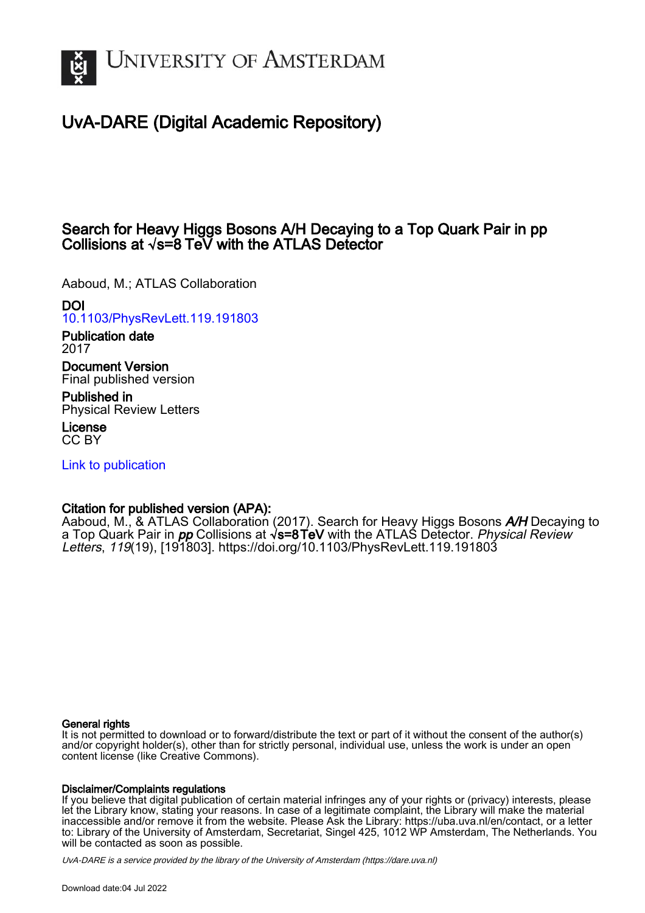

# UvA-DARE (Digital Academic Repository)

## Search for Heavy Higgs Bosons A/H Decaying to a Top Quark Pair in pp Collisions at √s=8  TeV with the ATLAS Detector

Aaboud, M.; ATLAS Collaboration

### DOI

[10.1103/PhysRevLett.119.191803](https://doi.org/10.1103/PhysRevLett.119.191803)

Publication date 2017

Document Version Final published version

Published in Physical Review Letters

License CC BY

[Link to publication](https://dare.uva.nl/personal/pure/en/publications/search-for-heavy-higgs-bosons-ah-decaying-to-a-top-quark-pair-in-pp-collisions-at-s8-tev-with-the-atlas-detector(d8aeee26-c9ff-402c-a0a2-5694fdab4dd3).html)

### Citation for published version (APA):

Aaboud, M., & ATLAS Collaboration (2017). Search for Heavy Higgs Bosons *A/H* Decaying to a Top Quark Pair in *pp* Collisions at √**s=8TeV** with the ATLAS Detector. *Physical Review* Letters, 119(19), [191803]. <https://doi.org/10.1103/PhysRevLett.119.191803>

#### General rights

It is not permitted to download or to forward/distribute the text or part of it without the consent of the author(s) and/or copyright holder(s), other than for strictly personal, individual use, unless the work is under an open content license (like Creative Commons).

#### Disclaimer/Complaints regulations

If you believe that digital publication of certain material infringes any of your rights or (privacy) interests, please let the Library know, stating your reasons. In case of a legitimate complaint, the Library will make the material inaccessible and/or remove it from the website. Please Ask the Library: https://uba.uva.nl/en/contact, or a letter to: Library of the University of Amsterdam, Secretariat, Singel 425, 1012 WP Amsterdam, The Netherlands. You will be contacted as soon as possible.

UvA-DARE is a service provided by the library of the University of Amsterdam (http*s*://dare.uva.nl)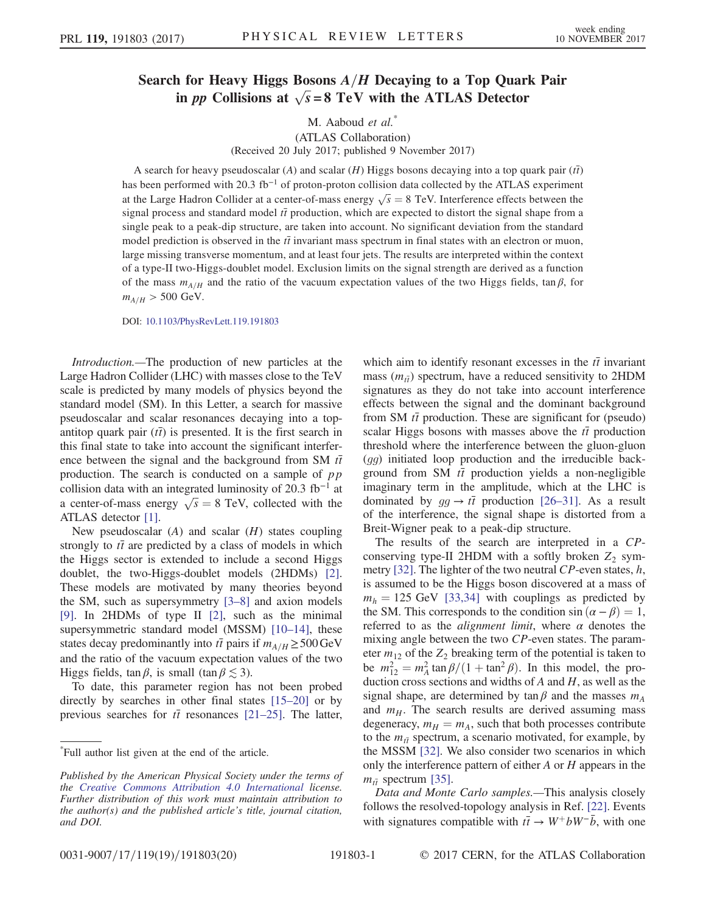# Search for Heavy Higgs Bosons  $A/H$  Decaying to a Top Quark Pair in *pp* Collisions at  $\sqrt{s} = 8$  TeV with the ATLAS Detector

M. Aaboud et al.<sup>\*</sup>

(ATLAS Collaboration) (Received 20 July 2017; published 9 November 2017)

A search for heavy pseudoscalar (A) and scalar (H) Higgs bosons decaying into a top quark pair ( $t\bar{t}$ ) has been performed with 20.3 fb<sup>-1</sup> of proton-proton collision data collected by the ATLAS experiment at the Large Hadron Collider at a center-of-mass energy  $\sqrt{s} = 8$  TeV. Interference effects between the signal process and standard model if production, which are expected to distort the signal shape from a signal process and standard model  $t\bar{t}$  production, which are expected to distort the signal shape from a single peak to a peak-dip structure, are taken into account. No significant deviation from the standard model prediction is observed in the  $t\bar{t}$  invariant mass spectrum in final states with an electron or muon, large missing transverse momentum, and at least four jets. The results are interpreted within the context of a type-II two-Higgs-doublet model. Exclusion limits on the signal strength are derived as a function of the mass  $m_{A/H}$  and the ratio of the vacuum expectation values of the two Higgs fields, tan  $\beta$ , for  $m_{A/H} > 500 \text{ GeV}.$ 

DOI: [10.1103/PhysRevLett.119.191803](https://doi.org/10.1103/PhysRevLett.119.191803)

Introduction.—The production of new particles at the Large Hadron Collider (LHC) with masses close to the TeV scale is predicted by many models of physics beyond the standard model (SM). In this Letter, a search for massive pseudoscalar and scalar resonances decaying into a topantitop quark pair  $(t\bar{t})$  is presented. It is the first search in this final state to take into account the significant interference between the signal and the background from SM  $t\bar{t}$ production. The search is conducted on a sample of  $pp$ collision data with an integrated luminosity of 20.3 fb<sup>-1</sup> at a center-of-mass energy  $\sqrt{s} = 8$  TeV, collected with the ATI AS detector [1] ATLAS detector [\[1\]](#page-5-0).

New pseudoscalar  $(A)$  and scalar  $(H)$  states coupling strongly to  $t\bar{t}$  are predicted by a class of models in which the Higgs sector is extended to include a second Higgs doublet, the two-Higgs-doublet models (2HDMs) [\[2\]](#page-5-1). These models are motivated by many theories beyond the SM, such as supersymmetry [\[3](#page-5-2)–8] and axion models [\[9\]](#page-5-3). In 2HDMs of type II [\[2\]](#page-5-1), such as the minimal supersymmetric standard model (MSSM) [\[10](#page-5-4)–14], these states decay predominantly into  $t\bar{t}$  pairs if  $m_{A/H} \geq 500 \,\text{GeV}$ and the ratio of the vacuum expectation values of the two Higgs fields,  $\tan \beta$ , is small  $(\tan \beta \lesssim 3)$ .

To date, this parameter region has not been probed directly by searches in other final states [15–[20\]](#page-6-0) or by previous searches for  $t\bar{t}$  resonances [21–[25\].](#page-6-1) The latter,

which aim to identify resonant excesses in the  $t\bar{t}$  invariant mass  $(m_{\tilde{t}})$  spectrum, have a reduced sensitivity to 2HDM signatures as they do not take into account interference effects between the signal and the dominant background from SM  $t\bar{t}$  production. These are significant for (pseudo) scalar Higgs bosons with masses above the  $t\bar{t}$  production threshold where the interference between the gluon-gluon (gg) initiated loop production and the irreducible background from SM  $t\bar{t}$  production yields a non-negligible imaginary term in the amplitude, which at the LHC is dominated by  $gg \to t\bar{t}$  production [26–[31\].](#page-6-2) As a result of the interference, the signal shape is distorted from a Breit-Wigner peak to a peak-dip structure.

The results of the search are interpreted in a CPconserving type-II 2HDM with a softly broken  $Z_2$  sym-metry [\[32\].](#page-6-3) The lighter of the two neutral  $CP$ -even states,  $h$ , is assumed to be the Higgs boson discovered at a mass of  $m_h = 125$  GeV [\[33,34\]](#page-6-4) with couplings as predicted by the SM. This corresponds to the condition  $sin(\alpha - \beta) = 1$ , referred to as the *alignment limit*, where  $\alpha$  denotes the mixing angle between the two CP-even states. The parameter  $m_{12}$  of the  $Z_2$  breaking term of the potential is taken to be  $m_{12}^2 = m_A^2 \tan \beta / (1 + \tan^2 \beta)$ . In this model, the pro-<br>duction cross sections and widths of A and H as well as the duction cross sections and widths of  $A$  and  $H$ , as well as the signal shape, are determined by tan  $\beta$  and the masses  $m_A$ and  $m_H$ . The search results are derived assuming mass degeneracy,  $m_H = m_A$ , such that both processes contribute to the  $m_{t\bar{t}}$  spectrum, a scenario motivated, for example, by the MSSM [\[32\].](#page-6-3) We also consider two scenarios in which only the interference pattern of either  $A$  or  $H$  appears in the  $m_{\tilde{t}}$  spectrum [\[35\].](#page-6-5)

Data and Monte Carlo samples.—This analysis closely follows the resolved-topology analysis in Ref. [\[22\].](#page-6-6) Events with signatures compatible with  $t\bar{t} \rightarrow W^+ b W^- \bar{b}$ , with one

<sup>\*</sup> Full author list given at the end of the article.

Published by the American Physical Society under the terms of the [Creative Commons Attribution 4.0 International](https://creativecommons.org/licenses/by/4.0/) license. Further distribution of this work must maintain attribution to the author(s) and the published article's title, journal citation, and DOI.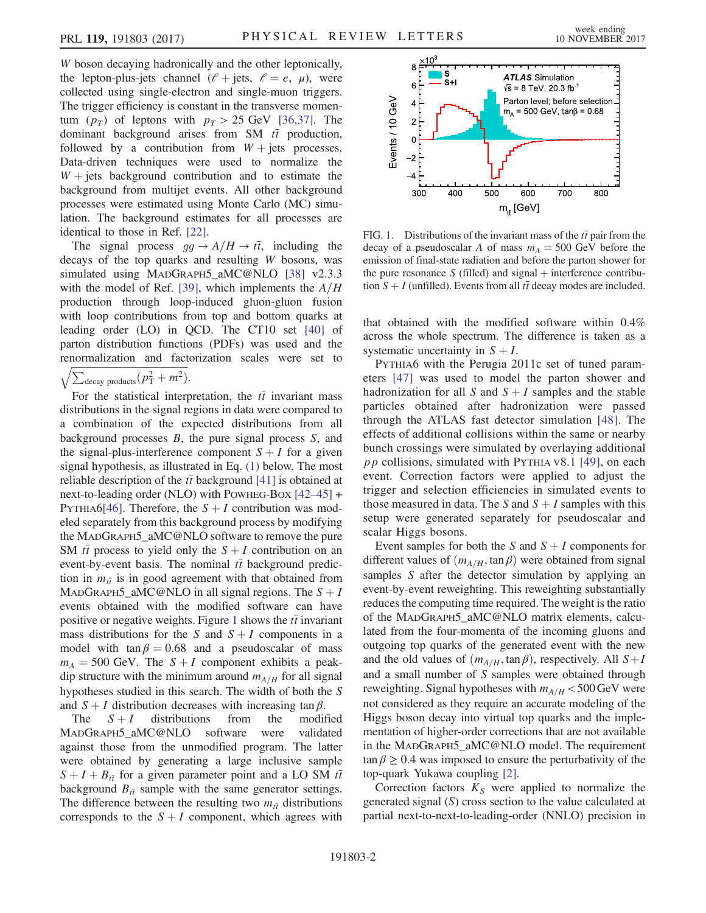W boson decaying hadronically and the other leptonically, the lepton-plus-jets channel  $(\ell + \text{jets}, \ell = e, \mu)$ , were collected using single-electron and single-muon triggers. The trigger efficiency is constant in the transverse momentum  $(p_T)$  of leptons with  $p_T > 25$  GeV [\[36,37\].](#page-6-7) The dominant background arises from SM  $t\bar{t}$  production, followed by a contribution from  $W +$  jets processes. Data-driven techniques were used to normalize the  $W +$  jets background contribution and to estimate the background from multijet events. All other background processes were estimated using Monte Carlo (MC) simulation. The background estimates for all processes are identical to those in Ref. [\[22\].](#page-6-6)

The signal process  $gg \rightarrow A/H \rightarrow t\bar{t}$ , including the decays of the top quarks and resulting W bosons, was simulated using MADGRAPH5\_aMC@NLO [\[38\]](#page-6-8) v2.3.3 with the model of Ref. [\[39\]](#page-6-9), which implements the  $A/H$ production through loop-induced gluon-gluon fusion with loop contributions from top and bottom quarks at leading order (LO) in QCD. The CT10 set [\[40\]](#page-6-10) of parton distribution functions (PDFs) was used and the renormalization and factorization scales were set to

$$
\sqrt{\sum_{\text{decay products}}(p_{\text{T}}^2 + m^2)}.
$$

For the statistical interpretation, the  $t\bar{t}$  invariant mass stributions in the signal regions in data were compared to distributions in the signal regions in data were compared to a combination of the expected distributions from all background processes  $B$ , the pure signal process  $S$ , and the signal-plus-interference component  $S + I$  for a given signal hypothesis, as illustrated in Eq. [\(1\)](#page-4-0) below. The most reliable description of the  $t\bar{t}$  background [\[41\]](#page-6-11) is obtained at next-to-leading order (NLO) with POWHEG-BOX [42–[45\]](#page-6-12) + PYTHIA6[\[46\]](#page-6-13). Therefore, the  $S + I$  contribution was modeled separately from this background process by modifying the MADGRAPH5\_aMC@NLO software to remove the pure SM  $t\bar{t}$  process to yield only the  $S + I$  contribution on an event-by-event basis. The nominal  $t\bar{t}$  background prediction in  $m_{\tilde{t}}$  is in good agreement with that obtained from MADGRAPH5\_aMC@NLO in all signal regions. The  $S + I$ events obtained with the modified software can have positive or negative weights. Figure [1](#page-2-0) shows the  $t\bar{t}$  invariant mass distributions for the S and  $S + I$  components in a model with tan  $\beta = 0.68$  and a pseudoscalar of mass  $m_A = 500$  GeV. The  $S + I$  component exhibits a peakdip structure with the minimum around  $m_{A/H}$  for all signal hypotheses studied in this search. The width of both the S and  $S + I$  distribution decreases with increasing tan  $\beta$ .<br>The  $S + I$  distributions from the modified

The  $S + I$  distributions from the modified<br>MADGRAPH5\_aMC@NLO software were validated against those from the unmodified program. The latter were obtained by generating a large inclusive sample  $S + I + B_{t\bar{t}}$  for a given parameter point and a LO SM  $t\bar{t}$ background  $B_{t\bar{t}}$  sample with the same generator settings. The difference between the resulting two  $m_{\tilde{t}t}$  distributions corresponds to the  $S + I$  component, which agrees with



<span id="page-2-0"></span>FIG. 1. Distributions of the invariant mass of the  $t\bar{t}$  pair from the decay of a pseudoscalar A of mass  $m_A = 500$  GeV before the emission of final-state radiation and before the parton shower for the pure resonance S (filled) and signal  $+$  interference contribution  $S + I$  (unfilled). Events from all  $t\bar{t}$  decay modes are included.

that obtained with the modified software within 0.4% across the whole spectrum. The difference is taken as a systematic uncertainty in  $S + I$ .

PYTHIA6 with the Perugia 2011c set of tuned parameters [\[47\]](#page-6-14) was used to model the parton shower and hadronization for all S and  $S + I$  samples and the stable particles obtained after hadronization were passed through the ATLAS fast detector simulation [\[48\]](#page-6-15). The effects of additional collisions within the same or nearby bunch crossings were simulated by overlaying additional  $pp$  collisions, simulated with PYTHIA V8.1 [\[49\],](#page-6-16) on each event. Correction factors were applied to adjust the trigger and selection efficiencies in simulated events to those measured in data. The S and  $S + I$  samples with this setup were generated separately for pseudoscalar and scalar Higgs bosons.

Event samples for both the S and  $S + I$  components for different values of  $(m_{A/H}, \tan \beta)$  were obtained from signal samples S after the detector simulation by applying an event-by-event reweighting. This reweighting substantially reduces the computing time required. The weight is the ratio of the MADGRAPH5\_aMC@NLO matrix elements, calculated from the four-momenta of the incoming gluons and outgoing top quarks of the generated event with the new and the old values of  $(m_{A/H}, \tan \beta)$ , respectively. All  $S+I$ and a small number of S samples were obtained through reweighting. Signal hypotheses with  $m_{A/H} < 500 \,\text{GeV}$  were not considered as they require an accurate modeling of the Higgs boson decay into virtual top quarks and the implementation of higher-order corrections that are not available in the MADGRAPH5\_aMC@NLO model. The requirement  $\tan \beta \geq 0.4$  was imposed to ensure the perturbativity of the top-quark Yukawa coupling [\[2\]](#page-5-1).

Correction factors  $K<sub>S</sub>$  were applied to normalize the generated signal (S) cross section to the value calculated at partial next-to-next-to-leading-order (NNLO) precision in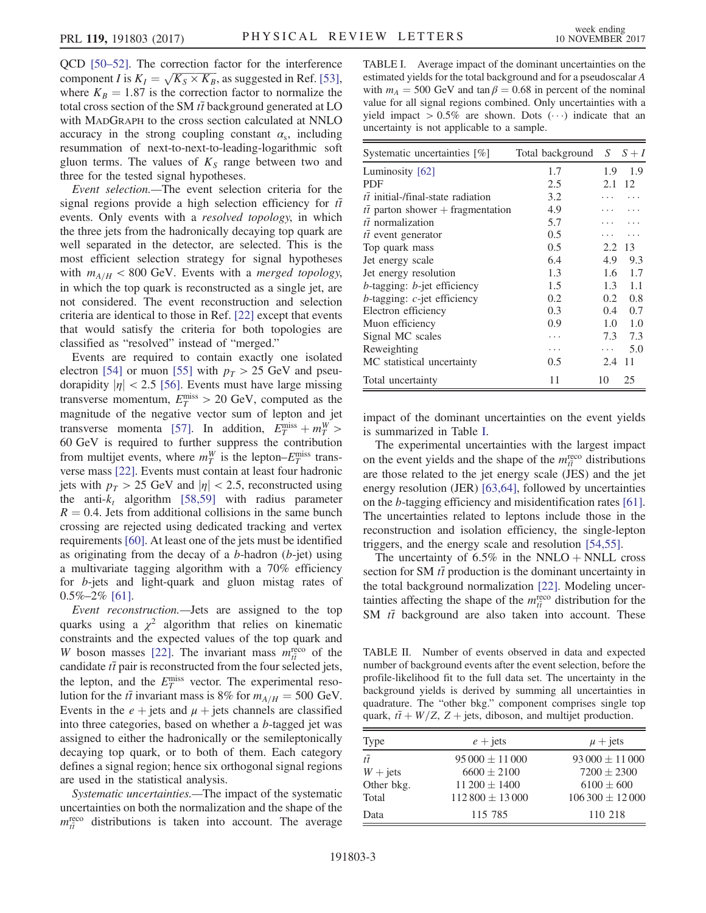QCD [50–[52\].](#page-6-17) The correction factor for the interference component I is  $K_I = \sqrt{K_S \times K_B}$ , as suggested in Ref. [\[53\]](#page-7-0),<br>where  $K_B = 1.87$  is the correction factor to normalize the where  $K_B = 1.87$  is the correction factor to normalize the total cross section of the SM  $t\bar{t}$  background generated at LO with MADGRAPH to the cross section calculated at NNLO accuracy in the strong coupling constant  $\alpha_s$ , including resummation of next-to-next-to-leading-logarithmic soft gluon terms. The values of  $K<sub>S</sub>$  range between two and three for the tested signal hypotheses.

Event selection.—The event selection criteria for the signal regions provide a high selection efficiency for  $t\bar{t}$ events. Only events with a resolved topology, in which the three jets from the hadronically decaying top quark are well separated in the detector, are selected. This is the most efficient selection strategy for signal hypotheses with  $m_{A/H}$  < 800 GeV. Events with a *merged topology*, in which the top quark is reconstructed as a single jet, are not considered. The event reconstruction and selection criteria are identical to those in Ref. [\[22\]](#page-6-6) except that events that would satisfy the criteria for both topologies are classified as "resolved" instead of "merged."

Events are required to contain exactly one isolated electron [\[54\]](#page-7-1) or muon [\[55\]](#page-7-2) with  $p_T > 25$  GeV and pseudorapidity  $|\eta|$  < 2.5 [\[56\]](#page-7-3). Events must have large missing transverse momentum,  $E_T^{\text{miss}} > 20 \text{ GeV}$ , computed as the magnitude of the negative vector sum of lepton and jet magnitude of the negative vector sum of lepton and jet transverse momenta [\[57\].](#page-7-4) In addition,  $E_T^{\text{miss}} + m_T^W$  > transverse momenta [57]. In addition,  $E_T^{rms} + m_T^{2} > 60$  GeV is required to further suppress the contribution from multijet events, where  $m_T^W$  is the lepton– $E_T^{\text{miss}}$  trans-<br>verse mass [22] Events must contain at least four hadronic verse mass [\[22\]](#page-6-6). Events must contain at least four hadronic jets with  $p_T > 25$  GeV and  $|\eta| < 2.5$ , reconstructed using the anti- $k_t$  algorithm [\[58,59\]](#page-7-5) with radius parameter  $R = 0.4$ . Jets from additional collisions in the same bunch crossing are rejected using dedicated tracking and vertex requirements [\[60\]](#page-7-6). At least one of the jets must be identified as originating from the decay of a  $b$ -hadron ( $b$ -jet) using a multivariate tagging algorithm with a 70% efficiency for b-jets and light-quark and gluon mistag rates of  $0.5\% - 2\%$  [\[61\].](#page-7-7)

Event reconstruction.—Jets are assigned to the top quarks using a  $\chi^2$  algorithm that relies on kinematic constraints and the expected values of the top quark and W boson masses [\[22\]](#page-6-6). The invariant mass  $m_{\tilde{t}}^{\text{reco}}$  of the candidate  $\tilde{t}$  pair is reconstructed from the four selected jets. candidate  $t\bar{t}$  pair is reconstructed from the four selected jets, the lepton, and the  $E_T^{\text{miss}}$  vector. The experimental reso-<br>lution for the  $t\bar{t}$  invariant mass is 8% for  $m_{\text{max}} = 500 \text{ GeV}$ lution for the  $t\bar{t}$  invariant mass is 8% for  $m_{A/H} = 500$  GeV. Events in the  $e + \text{jets}$  and  $\mu + \text{jets}$  channels are classified into three categories, based on whether a b-tagged jet was assigned to either the hadronically or the semileptonically decaying top quark, or to both of them. Each category defines a signal region; hence six orthogonal signal regions are used in the statistical analysis.

Systematic uncertainties.—The impact of the systematic uncertainties on both the normalization and the shape of the  $m_{\tilde{t}q}^{\text{reco}}$  distributions is taken into account. The average

<span id="page-3-0"></span>TABLE I. Average impact of the dominant uncertainties on the estimated yields for the total background and for a pseudoscalar A with  $m_A = 500$  GeV and tan  $\beta = 0.68$  in percent of the nominal value for all signal regions combined. Only uncertainties with a yield impact  $> 0.5\%$  are shown. Dots  $(\cdots)$  indicate that an uncertainty is not applicable to a sample uncertainty is not applicable to a sample.

| Systematic uncertainties [%]              | Total background | S             | $S+I$ |
|-------------------------------------------|------------------|---------------|-------|
| Luminosity [62]                           | 1.7              | 1.9           | 1.9   |
| <b>PDF</b>                                | 2.5              | 2.1           | 12    |
| $t\bar{t}$ initial-/final-state radiation | 3.2              |               |       |
| $t\bar{t}$ parton shower + fragmentation  | 4.9              |               |       |
| $t\bar{t}$ normalization                  | 5.7              |               |       |
| $t\bar{t}$ event generator                | 0.5              |               |       |
| Top quark mass                            | 0.5              | 2.2           | 13    |
| Jet energy scale                          | 6.4              | 4.9           | 9.3   |
| Jet energy resolution                     | 1.3              | 1.6           | 1.7   |
| $b$ -tagging: $b$ -jet efficiency         | 1.5              | 1.3           | 1.1   |
| $b$ -tagging: $c$ -jet efficiency         | 0.2              | $0.2^{\circ}$ | 0.8   |
| Electron efficiency                       | 0.3              | 0.4           | 0.7   |
| Muon efficiency                           | 0.9              | 1.0           | 1.0   |
| Signal MC scales                          |                  | 7.3           | 7.3   |
| Reweighting                               | .                | .             | 5.0   |
| MC statistical uncertainty                | 0.5              | 2.4           | 11    |
| Total uncertainty                         | 11               | 10            | 25    |

impact of the dominant uncertainties on the event yields is summarized in Table [I.](#page-3-0)

The experimental uncertainties with the largest impact on the event yields and the shape of the  $m_{\tilde{t}}^{\text{reco}}$  distributions<br>are those related to the jet energy scale (IES) and the jet are those related to the jet energy scale (JES) and the jet energy resolution (JER) [\[63,64\]](#page-7-8), followed by uncertainties on the b-tagging efficiency and misidentification rates [\[61\]](#page-7-7). The uncertainties related to leptons include those in the reconstruction and isolation efficiency, the single-lepton triggers, and the energy scale and resolution [\[54,55\]](#page-7-1).

The uncertainty of  $6.5\%$  in the NNLO + NNLL cross section for SM  $t\bar{t}$  production is the dominant uncertainty in the total background normalization [\[22\].](#page-6-6) Modeling uncertainties affecting the shape of the  $m_{\tilde{t}}^{\text{reco}}$  distribution for the SM  $t\bar{t}$  background are also taken into account. These SM  $t\bar{t}$  background are also taken into account. These

<span id="page-3-1"></span>TABLE II. Number of events observed in data and expected number of background events after the event selection, before the profile-likelihood fit to the full data set. The uncertainty in the background yields is derived by summing all uncertainties in quadrature. The "other bkg." component comprises single top quark,  $t\bar{t} + W/Z$ ,  $Z + \text{jets}$ , diboson, and multijet production.

| Type            | $e + \text{jets}$  | $\mu$ + jets       |  |  |
|-----------------|--------------------|--------------------|--|--|
| $t\overline{t}$ | $95000 \pm 11000$  | $93000 \pm 11000$  |  |  |
| $W + jets$      | $6600 \pm 2100$    | $7200 \pm 2300$    |  |  |
| Other bkg.      | $11\,200 \pm 1400$ | $6100 \pm 600$     |  |  |
| Total           | $112800 \pm 13000$ | $106300 \pm 12000$ |  |  |
| Data            | 115 785            | 110 218            |  |  |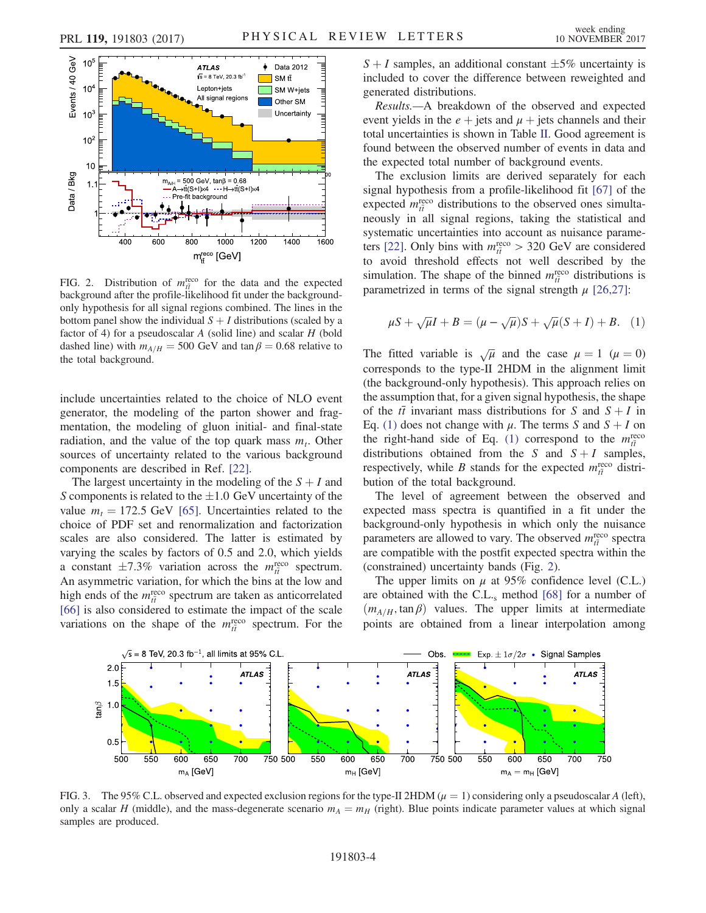<span id="page-4-1"></span>

FIG. 2. Distribution of  $m_{\tilde{t}}^{reco}$  for the data and the expected background after the profile-likelihood fit under the backgroundbackground after the profile-likelihood fit under the backgroundonly hypothesis for all signal regions combined. The lines in the bottom panel show the individual  $S + I$  distributions (scaled by a factor of 4) for a pseudoscalar  $A$  (solid line) and scalar  $H$  (bold dashed line) with  $m_{A/H} = 500$  GeV and tan  $\beta = 0.68$  relative to the total background.

include uncertainties related to the choice of NLO event generator, the modeling of the parton shower and fragmentation, the modeling of gluon initial- and final-state radiation, and the value of the top quark mass  $m_t$ . Other sources of uncertainty related to the various background components are described in Ref. [\[22\].](#page-6-6)

The largest uncertainty in the modeling of the  $S + I$  and S components is related to the  $\pm 1.0$  GeV uncertainty of the value  $m_t = 172.5$  GeV [\[65\]](#page-7-10). Uncertainties related to the choice of PDF set and renormalization and factorization scales are also considered. The latter is estimated by varying the scales by factors of 0.5 and 2.0, which yields a constant  $\pm 7.3\%$  variation across the  $m_{\tilde{t}}^{\text{reco}}$  spectrum.<br>An asymmetric variation for which the bins at the low and An asymmetric variation, for which the bins at the low and high ends of the  $m_{\tilde{t}}^{\text{reco}}$  spectrum are taken as anticorrelated  $\overline{t}$  specifiered to estimate the impact of the scale [\[66\]](#page-7-11) is also considered to estimate the impact of the scale variations on the shape of the  $m_{\tilde{t}}^{\text{reco}}$  spectrum. For the  $S + I$  samples, an additional constant  $\pm 5\%$  uncertainty is included to cover the difference between reweighted and generated distributions.

Results.—A breakdown of the observed and expected event yields in the  $e +$  jets and  $\mu$  + jets channels and their total uncertainties is shown in Table [II](#page-3-1). Good agreement is found between the observed number of events in data and the expected total number of background events.

The exclusion limits are derived separately for each signal hypothesis from a profile-likelihood fit [\[67\]](#page-7-12) of the expected  $m_{\tilde{t}}^{\text{reco}}$  distributions to the observed ones simulta-<br>neously in all signal regions taking the statistical and neously in all signal regions, taking the statistical and systematic uncertainties into account as nuisance parame-ters [\[22\]](#page-6-6). Only bins with  $m_{\tilde{t}}^{\text{reco}} > 320 \text{ GeV}$  are considered<br>to avoid threshold effects not well described by the to avoid threshold effects not well described by the simulation. The shape of the binned  $m_{\tilde{t}}^{\text{reco}}$  distributions is<br>parametrized in terms of the signal strength  $\mu$  [26.27]. parametrized in terms of the signal strength  $\mu$  [\[26,27\]:](#page-6-2)

<span id="page-4-0"></span>
$$
\mu S + \sqrt{\mu}I + B = (\mu - \sqrt{\mu})S + \sqrt{\mu}(S + I) + B. \quad (1)
$$

The fitted variable is  $\sqrt{\mu}$  and the case  $\mu = 1$  ( $\mu = 0$ ) corresponds to the type-II 2HDM in the alignment limit (the background-only hypothesis). This approach relies on the assumption that, for a given signal hypothesis, the shape of the  $t\bar{t}$  invariant mass distributions for S and  $S + I$  in Eq. [\(1\)](#page-4-0) does not change with  $\mu$ . The terms S and  $S + I$  on the right-hand side of Eq. [\(1\)](#page-4-0) correspond to the  $m_{\tilde{t}}^{\text{reco}}$ tī<br>l∈ distributions obtained from the S and  $S + I$  samples,<br>respectively while B stands for the expected  $m^{\text{reco}}$  distrirespectively, while B stands for the expected  $m_{\tilde{t}}^{\text{reco}}$  distribution of the total background bution of the total background.

The level of agreement between the observed and expected mass spectra is quantified in a fit under the background-only hypothesis in which only the nuisance parameters are allowed to vary. The observed  $m_{ti}^{\text{reco}}$  spectra<br>are compatible with the postfit expected spectra within the are compatible with the postfit expected spectra within the (constrained) uncertainty bands (Fig. [2](#page-4-1)).

The upper limits on  $\mu$  at 95% confidence level (C.L.) are obtained with the C.L. $_s$  method [\[68\]](#page-7-13) for a number of  $(m_{A/H}, \tan \beta)$  values. The upper limits at intermediate points are obtained from a linear interpolation among

<span id="page-4-2"></span>

FIG. 3. The 95% C.L. observed and expected exclusion regions for the type-II 2HDM ( $\mu = 1$ ) considering only a pseudoscalar A (left), only a scalar H (middle), and the mass-degenerate scenario  $m_A = m_H$  (right). Blue points indicate parameter values at which signal samples are produced.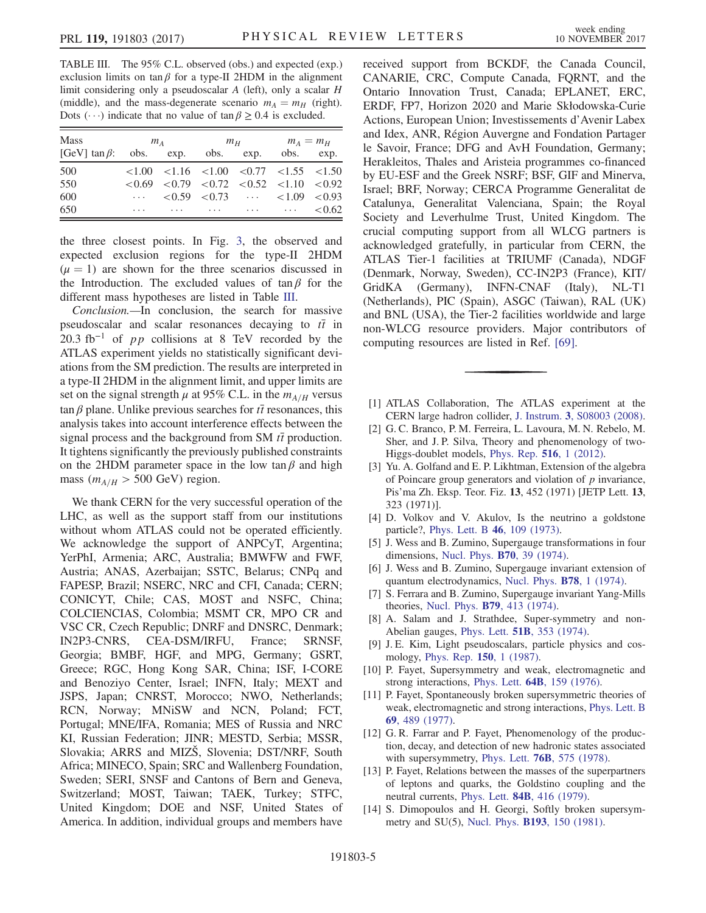<span id="page-5-5"></span>TABLE III. The 95% C.L. observed (obs.) and expected (exp.) exclusion limits on tan $\beta$  for a type-II 2HDM in the alignment limit considering only a pseudoscalar A (left), only a scalar H (middle), and the mass-degenerate scenario  $m_A = m_H$  (right). Dots ( $\cdots$ ) indicate that no value of  $\tan \beta \ge 0.4$  is excluded.

| <b>Mass</b>                                        | $m_A$ |                                                                                                                                           |  |  | $m_H$ $m_A = m_H$ |  |
|----------------------------------------------------|-------|-------------------------------------------------------------------------------------------------------------------------------------------|--|--|-------------------|--|
| [GeV] $\tan \beta$ : obs. exp. obs. exp. obs. exp. |       |                                                                                                                                           |  |  |                   |  |
| 500                                                |       | $\langle 1.00 \rangle$ $\langle 1.16 \rangle$ $\langle 1.00 \rangle$ $\langle 0.77 \rangle$ $\langle 1.55 \rangle$ $\langle 1.50 \rangle$ |  |  |                   |  |
| 550                                                |       | $< 0.69$ $< 0.79$ $< 0.72$ $< 0.52$ $< 1.10$ $< 0.92$                                                                                     |  |  |                   |  |
| 600                                                |       | $\cdots$ < 0.59 < 0.73 $\cdots$ < 1.09 < 0.93                                                                                             |  |  |                   |  |
| 650                                                |       | $< 0.62$                                                                                                                                  |  |  |                   |  |

the three closest points. In Fig. [3](#page-4-2), the observed and expected exclusion regions for the type-II 2HDM  $(\mu = 1)$  are shown for the three scenarios discussed in the Introduction. The excluded values of  $tan \beta$  for the different mass hypotheses are listed in Table [III.](#page-5-5)

Conclusion.—In conclusion, the search for massive pseudoscalar and scalar resonances decaying to  $t\bar{t}$  in 20.3 fb<sup>-1</sup> of *pp* collisions at 8 TeV recorded by the ATLAS experiment yields no statistically significant deviations from the SM prediction. The results are interpreted in a type-II 2HDM in the alignment limit, and upper limits are set on the signal strength  $\mu$  at 95% C.L. in the  $m_{A/H}$  versus tan β plane. Unlike previous searches for  $t\bar{t}$  resonances, this analysis takes into account interference effects between the signal process and the background from SM  $t\bar{t}$  production. It tightens significantly the previously published constraints on the 2HDM parameter space in the low tan  $\beta$  and high mass ( $m_{A/H} > 500$  GeV) region.

We thank CERN for the very successful operation of the LHC, as well as the support staff from our institutions without whom ATLAS could not be operated efficiently. We acknowledge the support of ANPCyT, Argentina; YerPhI, Armenia; ARC, Australia; BMWFW and FWF, Austria; ANAS, Azerbaijan; SSTC, Belarus; CNPq and FAPESP, Brazil; NSERC, NRC and CFI, Canada; CERN; CONICYT, Chile; CAS, MOST and NSFC, China; COLCIENCIAS, Colombia; MSMT CR, MPO CR and VSC CR, Czech Republic; DNRF and DNSRC, Denmark; IN2P3-CNRS, CEA-DSM/IRFU, France; SRNSF, Georgia; BMBF, HGF, and MPG, Germany; GSRT, Greece; RGC, Hong Kong SAR, China; ISF, I-CORE and Benoziyo Center, Israel; INFN, Italy; MEXT and JSPS, Japan; CNRST, Morocco; NWO, Netherlands; RCN, Norway; MNiSW and NCN, Poland; FCT, Portugal; MNE/IFA, Romania; MES of Russia and NRC KI, Russian Federation; JINR; MESTD, Serbia; MSSR, Slovakia; ARRS and MIZŠ, Slovenia; DST/NRF, South Africa; MINECO, Spain; SRC and Wallenberg Foundation, Sweden; SERI, SNSF and Cantons of Bern and Geneva, Switzerland; MOST, Taiwan; TAEK, Turkey; STFC, United Kingdom; DOE and NSF, United States of America. In addition, individual groups and members have received support from BCKDF, the Canada Council, CANARIE, CRC, Compute Canada, FQRNT, and the Ontario Innovation Trust, Canada; EPLANET, ERC, ERDF, FP7, Horizon 2020 and Marie Skłodowska-Curie Actions, European Union; Investissements d'Avenir Labex and Idex, ANR, Région Auvergne and Fondation Partager le Savoir, France; DFG and AvH Foundation, Germany; Herakleitos, Thales and Aristeia programmes co-financed by EU-ESF and the Greek NSRF; BSF, GIF and Minerva, Israel; BRF, Norway; CERCA Programme Generalitat de Catalunya, Generalitat Valenciana, Spain; the Royal Society and Leverhulme Trust, United Kingdom. The crucial computing support from all WLCG partners is acknowledged gratefully, in particular from CERN, the ATLAS Tier-1 facilities at TRIUMF (Canada), NDGF (Denmark, Norway, Sweden), CC-IN2P3 (France), KIT/ GridKA (Germany), INFN-CNAF (Italy), NL-T1 (Netherlands), PIC (Spain), ASGC (Taiwan), RAL (UK) and BNL (USA), the Tier-2 facilities worldwide and large non-WLCG resource providers. Major contributors of computing resources are listed in Ref. [\[69\].](#page-7-14)

- <span id="page-5-1"></span><span id="page-5-0"></span>[1] ATLAS Collaboration, The ATLAS experiment at the CERN large hadron collider, J. Instrum. 3[, S08003 \(2008\).](https://doi.org/10.1088/1748-0221/3/08/S08003)
- [2] G. C. Branco, P. M. Ferreira, L. Lavoura, M. N. Rebelo, M. Sher, and J. P. Silva, Theory and phenomenology of two-Higgs-doublet models, [Phys. Rep.](https://doi.org/10.1016/j.physrep.2012.02.002) 516, 1 (2012).
- <span id="page-5-2"></span>[3] Yu. A. Golfand and E. P. Likhtman, Extension of the algebra of Poincare group generators and violation of  $p$  invariance, Pis'ma Zh. Eksp. Teor. Fiz. 13, 452 (1971) [JETP Lett. 13, 323 (1971)].
- [4] D. Volkov and V. Akulov, Is the neutrino a goldstone particle?, [Phys. Lett. B](https://doi.org/10.1016/0370-2693(73)90490-5) 46, 109 (1973).
- [5] J. Wess and B. Zumino, Supergauge transformations in four dimensions, [Nucl. Phys.](https://doi.org/10.1016/0550-3213(74)90355-1) B70, 39 (1974).
- [6] J. Wess and B. Zumino, Supergauge invariant extension of quantum electrodynamics, [Nucl. Phys.](https://doi.org/10.1016/0550-3213(74)90112-6) B78, 1 (1974).
- [7] S. Ferrara and B. Zumino, Supergauge invariant Yang-Mills theories, Nucl. Phys. B79[, 413 \(1974\).](https://doi.org/10.1016/0550-3213(74)90559-8)
- <span id="page-5-3"></span>[8] A. Salam and J. Strathdee, Super-symmetry and non-Abelian gauges, Phys. Lett. 51B[, 353 \(1974\)](https://doi.org/10.1016/0370-2693(74)90226-3).
- <span id="page-5-4"></span>[9] J. E. Kim, Light pseudoscalars, particle physics and cosmology, [Phys. Rep.](https://doi.org/10.1016/0370-1573(87)90017-2) 150, 1 (1987).
- [10] P. Fayet, Supersymmetry and weak, electromagnetic and strong interactions, Phys. Lett. 64B[, 159 \(1976\)](https://doi.org/10.1016/0370-2693(76)90319-1).
- [11] P. Fayet, Spontaneously broken supersymmetric theories of weak, electromagnetic and strong interactions, [Phys. Lett. B](https://doi.org/10.1016/0370-2693(77)90852-8) 69[, 489 \(1977\).](https://doi.org/10.1016/0370-2693(77)90852-8)
- [12] G. R. Farrar and P. Fayet, Phenomenology of the production, decay, and detection of new hadronic states associated with supersymmetry, Phys. Lett. 76B[, 575 \(1978\)](https://doi.org/10.1016/0370-2693(78)90858-4).
- [13] P. Fayet, Relations between the masses of the superpartners of leptons and quarks, the Goldstino coupling and the neutral currents, Phys. Lett. 84B[, 416 \(1979\)](https://doi.org/10.1016/0370-2693(79)91229-2).
- [14] S. Dimopoulos and H. Georgi, Softly broken supersymmetry and SU(5), Nucl. Phys. B193[, 150 \(1981\).](https://doi.org/10.1016/0550-3213(81)90522-8)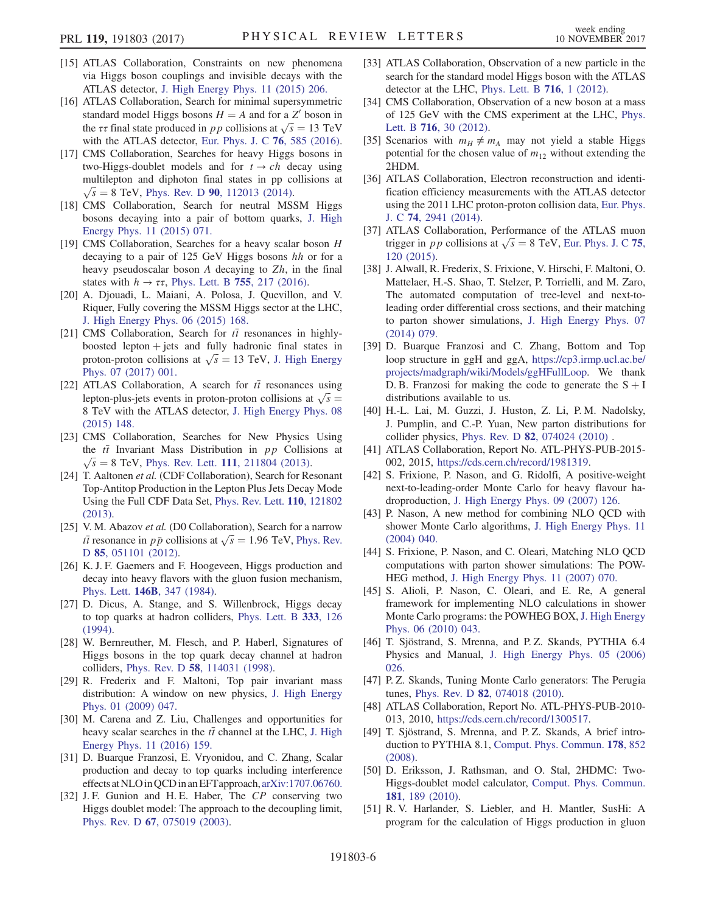- <span id="page-6-0"></span>[15] ATLAS Collaboration, Constraints on new phenomena via Higgs boson couplings and invisible decays with the ATLAS detector, [J. High Energy Phys. 11 \(2015\) 206.](https://doi.org/10.1007/JHEP11(2015)206)
- [16] ATLAS Collaboration, Search for minimal supersymmetric standard model Higgs bosons  $H = A$  and for a Z' boson in the  $\tau\tau$  final state produced in pp collisions at  $\sqrt{s} = 13 \text{ TeV}$ <br>with the ATI AS detector Fur, Phys. I. C. 76, 585 (2016) with the ATLAS detector, [Eur. Phys. J. C](https://doi.org/10.1140/epjc/s10052-016-4400-6) 76, 585 (2016).
- [17] CMS Collaboration, Searches for heavy Higgs bosons in two-Higgs-doublet models and for  $t \to ch$  decay using multilepton and diphoton final states in pp collisions at  $\sqrt{s} = 8$  TeV, Phys. Rev. D 90[, 112013 \(2014\)](https://doi.org/10.1103/PhysRevD.90.112013).<br>CMS Collaboration. Search for neutral MS.
- [18] CMS Collaboration, Search for neutral MSSM Higgs bosons decaying into a pair of bottom quarks, [J. High](https://doi.org/10.1007/JHEP11(2015)071) [Energy Phys. 11 \(2015\) 071.](https://doi.org/10.1007/JHEP11(2015)071)
- [19] CMS Collaboration, Searches for a heavy scalar boson H decaying to a pair of 125 GeV Higgs bosons hh or for a heavy pseudoscalar boson  $A$  decaying to  $Zh$ , in the final states with  $h \rightarrow \tau \tau$ , [Phys. Lett. B](https://doi.org/10.1016/j.physletb.2016.01.056) 755, 217 (2016).
- [20] A. Djouadi, L. Maiani, A. Polosa, J. Quevillon, and V. Riquer, Fully covering the MSSM Higgs sector at the LHC, [J. High Energy Phys. 06 \(2015\) 168.](https://doi.org/10.1007/JHEP06(2015)168)
- <span id="page-6-1"></span>[21] CMS Collaboration, Search for  $t\bar{t}$  resonances in highlyboosted lepton  $+$  jets and fully hadronic final states in proton-proton collisions at  $\sqrt{s}$  = 13 TeV, [J. High Energy](https://doi.org/10.1007/JHEP07(2017)001) [Phys. 07 \(2017\) 001.](https://doi.org/10.1007/JHEP07(2017)001)
- <span id="page-6-6"></span>[22] ATLAS Collaboration, A search for  $t\bar{t}$  resonances using lepton-plus-jets events in proton-proton collisions at  $\sqrt{s}$  = 8 TeV with the ATI AS detector I High Energy Phys 08 8 TeV with the ATLAS detector, [J. High Energy Phys. 08](https://doi.org/10.1007/JHEP08(2015)148) [\(2015\) 148.](https://doi.org/10.1007/JHEP08(2015)148)
- [23] CMS Collaboration, Searches for New Physics Using the  $t\bar{t}$  Invariant Mass Distribution in pp Collisions at  $\sqrt{s} = 8$  TeV, Phys. Rev. Lett. 111[, 211804 \(2013\).](https://doi.org/10.1103/PhysRevLett.111.211804)<br>T Aaltonen et al. (CDE Collaboration) Search for Resonant
- [24] T. Aaltonen et al. (CDF Collaboration), Search for Resonant Top-Antitop Production in the Lepton Plus Jets Decay Mode Using the Full CDF Data Set, [Phys. Rev. Lett.](https://doi.org/10.1103/PhysRevLett.110.121802) 110, 121802 [\(2013\).](https://doi.org/10.1103/PhysRevLett.110.121802)
- [25] V. M. Abazov et al. (D0 Collaboration), Search for a narrow *tt* resonance in  $p\bar{p}$  collisions at  $\sqrt{s} = 1.96$  TeV, [Phys. Rev.](https://doi.org/10.1103/PhysRevD.85.051101) D 85. 051101 (2012) <sup>D</sup> 85[, 051101 \(2012\)](https://doi.org/10.1103/PhysRevD.85.051101).
- <span id="page-6-2"></span>[26] K. J. F. Gaemers and F. Hoogeveen, Higgs production and decay into heavy flavors with the gluon fusion mechanism, Phys. Lett. 146B[, 347 \(1984\).](https://doi.org/10.1016/0370-2693(84)91711-8)
- [27] D. Dicus, A. Stange, and S. Willenbrock, Higgs decay to top quarks at hadron colliders, [Phys. Lett. B](https://doi.org/10.1016/0370-2693(94)91017-0) 333, 126 [\(1994\).](https://doi.org/10.1016/0370-2693(94)91017-0)
- [28] W. Bernreuther, M. Flesch, and P. Haberl, Signatures of Higgs bosons in the top quark decay channel at hadron colliders, Phys. Rev. D 58[, 114031 \(1998\)](https://doi.org/10.1103/PhysRevD.58.114031).
- [29] R. Frederix and F. Maltoni, Top pair invariant mass distribution: A window on new physics, [J. High Energy](https://doi.org/10.1088/1126-6708/2009/01/047) [Phys. 01 \(2009\) 047.](https://doi.org/10.1088/1126-6708/2009/01/047)
- [30] M. Carena and Z. Liu, Challenges and opportunities for heavy scalar searches in the  $t\bar{t}$  channel at the LHC, [J. High](https://doi.org/10.1007/JHEP11(2016)159) [Energy Phys. 11 \(2016\) 159.](https://doi.org/10.1007/JHEP11(2016)159)
- [31] D. Buarque Franzosi, E. Vryonidou, and C. Zhang, Scalar production and decay to top quarks including interference effects atNLOinQCDin anEFTapproach, [arXiv:1707.06760.](http://arXiv.org/abs/1707.06760)
- <span id="page-6-3"></span>[32] J. F. Gunion and H. E. Haber, The CP conserving two Higgs doublet model: The approach to the decoupling limit, Phys. Rev. D 67[, 075019 \(2003\)](https://doi.org/10.1103/PhysRevD.67.075019).
- <span id="page-6-4"></span>[33] ATLAS Collaboration, Observation of a new particle in the search for the standard model Higgs boson with the ATLAS detector at the LHC, [Phys. Lett. B](https://doi.org/10.1016/j.physletb.2012.08.020) 716, 1 (2012).
- [34] CMS Collaboration, Observation of a new boson at a mass of 125 GeV with the CMS experiment at the LHC, [Phys.](https://doi.org/10.1016/j.physletb.2012.08.021) Lett. B 716[, 30 \(2012\)](https://doi.org/10.1016/j.physletb.2012.08.021).
- <span id="page-6-5"></span>[35] Scenarios with  $m_H \neq m_A$  may not yield a stable Higgs potential for the chosen value of  $m_{12}$  without extending the 2HDM.
- <span id="page-6-7"></span>[36] ATLAS Collaboration, Electron reconstruction and identification efficiency measurements with the ATLAS detector using the 2011 LHC proton-proton collision data, [Eur. Phys.](https://doi.org/10.1140/epjc/s10052-014-2941-0) J. C 74[, 2941 \(2014\)](https://doi.org/10.1140/epjc/s10052-014-2941-0).
- [37] ATLAS Collaboration, Performance of the ATLAS muon trigger in pp collisions at  $\sqrt{s} = 8$  TeV, [Eur. Phys. J. C](https://doi.org/10.1140/epjc/s10052-015-3325-9) 75, 120 (2015) [120 \(2015\)](https://doi.org/10.1140/epjc/s10052-015-3325-9).
- <span id="page-6-8"></span>[38] J. Alwall, R. Frederix, S. Frixione, V. Hirschi, F. Maltoni, O. Mattelaer, H.-S. Shao, T. Stelzer, P. Torrielli, and M. Zaro, The automated computation of tree-level and next-toleading order differential cross sections, and their matching to parton shower simulations, [J. High Energy Phys. 07](https://doi.org/10.1007/JHEP07(2014)079) [\(2014\) 079.](https://doi.org/10.1007/JHEP07(2014)079)
- <span id="page-6-9"></span>[39] D. Buarque Franzosi and C. Zhang, Bottom and Top loop structure in ggH and ggA, [https://cp3.irmp.ucl.ac.be/](https://cp3.irmp.ucl.ac.be/projects/madgraph/wiki/Models/ggHFullLoop) [projects/madgraph/wiki/Models/ggHFullLoop](https://cp3.irmp.ucl.ac.be/projects/madgraph/wiki/Models/ggHFullLoop). We thank D. B. Franzosi for making the code to generate the  $S + I$ distributions available to us.
- <span id="page-6-10"></span>[40] H.-L. Lai, M. Guzzi, J. Huston, Z. Li, P.M. Nadolsky, J. Pumplin, and C.-P. Yuan, New parton distributions for collider physics, Phys. Rev. D 82[, 074024 \(2010\)](https://doi.org/10.1103/PhysRevD.82.074024) .
- <span id="page-6-11"></span>[41] ATLAS Collaboration, Report No. ATL-PHYS-PUB-2015- 002, 2015, <https://cds.cern.ch/record/1981319>.
- <span id="page-6-12"></span>[42] S. Frixione, P. Nason, and G. Ridolfi, A positive-weight next-to-leading-order Monte Carlo for heavy flavour hadroproduction, [J. High Energy Phys. 09 \(2007\) 126.](https://doi.org/10.1088/1126-6708/2007/09/126)
- [43] P. Nason, A new method for combining NLO QCD with shower Monte Carlo algorithms, [J. High Energy Phys. 11](https://doi.org/10.1088/1126-6708/2004/11/040) [\(2004\) 040.](https://doi.org/10.1088/1126-6708/2004/11/040)
- [44] S. Frixione, P. Nason, and C. Oleari, Matching NLO QCD computations with parton shower simulations: The POW-HEG method, [J. High Energy Phys. 11 \(2007\) 070.](https://doi.org/10.1088/1126-6708/2007/11/070)
- [45] S. Alioli, P. Nason, C. Oleari, and E. Re, A general framework for implementing NLO calculations in shower Monte Carlo programs: the POWHEG BOX, [J. High Energy](https://doi.org/10.1007/JHEP06(2010)043) [Phys. 06 \(2010\) 043.](https://doi.org/10.1007/JHEP06(2010)043)
- <span id="page-6-13"></span>[46] T. Sjöstrand, S. Mrenna, and P. Z. Skands, PYTHIA 6.4 Physics and Manual, [J. High Energy Phys. 05 \(2006\)](https://doi.org/10.1088/1126-6708/2006/05/026) [026.](https://doi.org/10.1088/1126-6708/2006/05/026)
- <span id="page-6-15"></span><span id="page-6-14"></span>[47] P. Z. Skands, Tuning Monte Carlo generators: The Perugia tunes, Phys. Rev. D 82[, 074018 \(2010\)](https://doi.org/10.1103/PhysRevD.82.074018).
- <span id="page-6-16"></span>[48] ATLAS Collaboration, Report No. ATL-PHYS-PUB-2010-013, 2010, <https://cds.cern.ch/record/1300517>.
- [49] T. Sjöstrand, S. Mrenna, and P. Z. Skands, A brief introduction to PYTHIA 8.1, [Comput. Phys. Commun.](https://doi.org/10.1016/j.cpc.2008.01.036) 178, 852 [\(2008\).](https://doi.org/10.1016/j.cpc.2008.01.036)
- <span id="page-6-17"></span>[50] D. Eriksson, J. Rathsman, and O. Stal, 2HDMC: Two-Higgs-doublet model calculator, [Comput. Phys. Commun.](https://doi.org/10.1016/j.cpc.2009.09.011) 181[, 189 \(2010\)](https://doi.org/10.1016/j.cpc.2009.09.011).
- [51] R. V. Harlander, S. Liebler, and H. Mantler, SusHi: A program for the calculation of Higgs production in gluon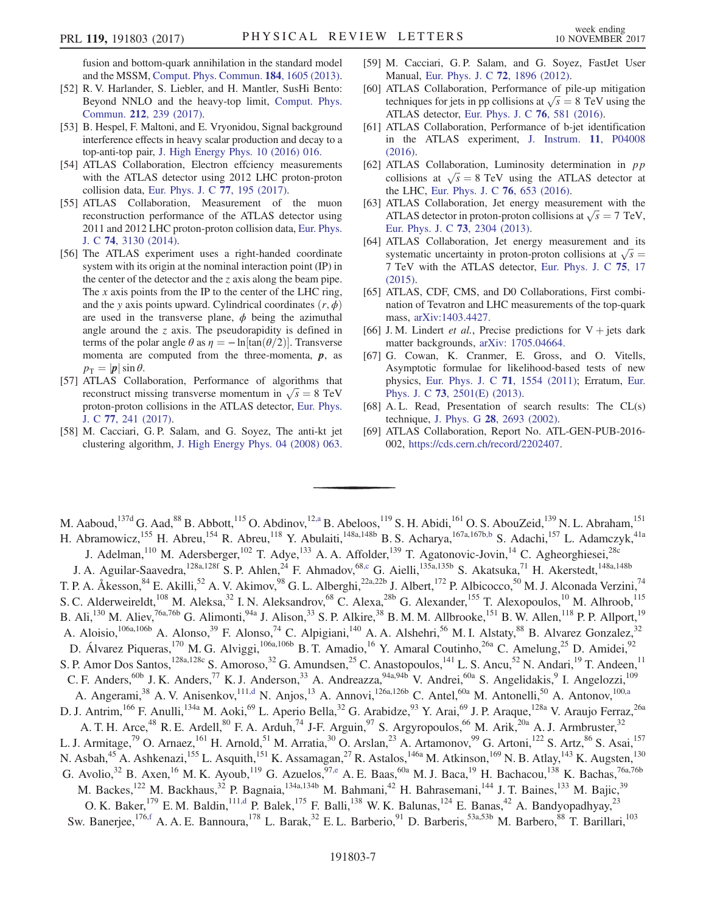fusion and bottom-quark annihilation in the standard model and the MSSM, [Comput. Phys. Commun.](https://doi.org/10.1016/j.cpc.2013.02.006) 184, 1605 (2013).

- [52] R. V. Harlander, S. Liebler, and H. Mantler, SusHi Bento: Beyond NNLO and the heavy-top limit, [Comput. Phys.](https://doi.org/10.1016/j.cpc.2016.10.015) Commun. 212[, 239 \(2017\)](https://doi.org/10.1016/j.cpc.2016.10.015).
- <span id="page-7-0"></span>[53] B. Hespel, F. Maltoni, and E. Vryonidou, Signal background interference effects in heavy scalar production and decay to a top-anti-top pair, [J. High Energy Phys. 10 \(2016\) 016.](https://doi.org/10.1007/JHEP10(2016)016)
- <span id="page-7-1"></span>[54] ATLAS Collaboration, Electron effciency measurements with the ATLAS detector using 2012 LHC proton-proton collision data, [Eur. Phys. J. C](https://doi.org/10.1140/epjc/s10052-017-4756-2) 77, 195 (2017).
- <span id="page-7-2"></span>[55] ATLAS Collaboration, Measurement of the muon reconstruction performance of the ATLAS detector using 2011 and 2012 LHC proton-proton collision data, [Eur. Phys.](https://doi.org/10.1140/epjc/s10052-014-3130-x) J. C 74[, 3130 \(2014\)](https://doi.org/10.1140/epjc/s10052-014-3130-x).
- <span id="page-7-3"></span>[56] The ATLAS experiment uses a right-handed coordinate system with its origin at the nominal interaction point (IP) in the center of the detector and the z axis along the beam pipe. The  $x$  axis points from the IP to the center of the LHC ring, and the y axis points upward. Cylindrical coordinates  $(r, \phi)$ are used in the transverse plane,  $\phi$  being the azimuthal angle around the  $z$  axis. The pseudorapidity is defined in terms of the polar angle  $\theta$  as  $\eta = -\ln[\tan(\theta/2)]$ . Transverse momenta are computed from the three-momenta,  $p$ , as  $p_T = |\boldsymbol{p}| \sin \theta$ .
- <span id="page-7-4"></span>[57] ATLAS Collaboration, Performance of algorithms that reconstruct missing transverse momentum in  $\sqrt{s} = 8$  TeV<br>proton-proton collisions in the ATI AS detector. Fur, phys. proton-proton collisions in the ATLAS detector, [Eur. Phys.](https://doi.org/10.1140/epjc/s10052-017-4780-2) J. C 77[, 241 \(2017\).](https://doi.org/10.1140/epjc/s10052-017-4780-2)
- <span id="page-7-5"></span>[58] M. Cacciari, G. P. Salam, and G. Soyez, The anti-kt jet clustering algorithm, [J. High Energy Phys. 04 \(2008\) 063.](https://doi.org/10.1088/1126-6708/2008/04/063)
- [59] M. Cacciari, G. P. Salam, and G. Soyez, FastJet User Manual, [Eur. Phys. J. C](https://doi.org/10.1140/epjc/s10052-012-1896-2) 72, 1896 (2012).
- <span id="page-7-6"></span>[60] ATLAS Collaboration, Performance of pile-up mitigation techniques for jets in pp collisions at  $\sqrt{s} = 8$  TeV using the ATI AS detector Eur Phys I C 76 581 (2016) ATLAS detector, [Eur. Phys. J. C](https://doi.org/10.1140/epjc/s10052-016-4395-z) 76, 581 (2016).
- <span id="page-7-7"></span>[61] ATLAS Collaboration, Performance of b-jet identification in the ATLAS experiment, [J. Instrum.](https://doi.org/10.1088/1748-0221/11/04/P04008) 11, P04008 [\(2016\).](https://doi.org/10.1088/1748-0221/11/04/P04008)
- <span id="page-7-9"></span>[62] ATLAS Collaboration, Luminosity determination in pp collisions at  $\sqrt{s} = 8$  TeV using the ATLAS detector at the LHC Fur Phys L C 76 653 (2016) the LHC, [Eur. Phys. J. C](https://doi.org/10.1140/epjc/s10052-016-4466-1) 76, 653 (2016).
- <span id="page-7-8"></span>[63] ATLAS Collaboration, Jet energy measurement with the ATLAS detector in proton-proton collisions at  $\sqrt{s} = 7$  TeV,<br>Fur Phys. I C 73, 2304 (2013) [Eur. Phys. J. C](https://doi.org/10.1140/epjc/s10052-013-2304-2) 73, 2304 (2013).
- [64] ATLAS Collaboration, Jet energy measurement and its systematic uncertainty in proton-proton collisions at  $\sqrt{s} = 7$  TeV with the ATI AS detector Fur Phys I C 75, 17 <sup>7</sup> TeV with the ATLAS detector, [Eur. Phys. J. C](https://doi.org/10.1140/epjc/s10052-014-3190-y) 75, 17 [\(2015\).](https://doi.org/10.1140/epjc/s10052-014-3190-y)
- <span id="page-7-10"></span>[65] ATLAS, CDF, CMS, and D0 Collaborations, First combination of Tevatron and LHC measurements of the top-quark mass, [arXiv:1403.4427.](http://arXiv.org/abs/1403.4427)
- <span id="page-7-11"></span>[66] J. M. Lindert et al., Precise predictions for  $V +$  jets dark matter backgrounds, [arXiv: 1705.04664.](http://arXiv.org/abs/ 1705.04664)
- <span id="page-7-12"></span>[67] G. Cowan, K. Cranmer, E. Gross, and O. Vitells, Asymptotic formulae for likelihood-based tests of new physics, [Eur. Phys. J. C](https://doi.org/10.1140/epjc/s10052-011-1554-0) 71, 1554 (2011); Erratum, [Eur.](https://doi.org/10.1140/epjc/s10052-013-2501-z) Phys. J. C 73[, 2501\(E\) \(2013\).](https://doi.org/10.1140/epjc/s10052-013-2501-z)
- <span id="page-7-13"></span>[68] A. L. Read, Presentation of search results: The CL(s) technique, J. Phys. G 28[, 2693 \(2002\)](https://doi.org/10.1088/0954-3899/28/10/313).
- <span id="page-7-14"></span>[69] ATLAS Collaboration, Report No. ATL-GEN-PUB-2016- 002, [https://cds.cern.ch/record/2202407.](https://cds.cern.ch/record/2202407)

<span id="page-7-20"></span><span id="page-7-19"></span><span id="page-7-18"></span><span id="page-7-17"></span><span id="page-7-16"></span><span id="page-7-15"></span>M. Aaboud, <sup>137d</sup> G. Aad, <sup>88</sup> B. Abbott, <sup>115</sup> O. Abdinov, <sup>12[,a](#page-19-0)</sup> B. Abeloos, <sup>119</sup> S. H. Abidi, <sup>161</sup> O. S. AbouZeid, <sup>139</sup> N. L. Abraham, <sup>151</sup> H. Abramowicz,<sup>155</sup> H. Abreu,<sup>154</sup> R. Abreu,<sup>118</sup> Y. Abulaiti,<sup>148a,148b</sup> B. S. Acharya,<sup>167a,167b[,b](#page-19-1)</sup> S. Adachi,<sup>157</sup> L. Adamczyk,<sup>41a</sup> J. Adelman,<sup>110</sup> M. Adersberger,<sup>102</sup> T. Adye,<sup>133</sup> A. A. Affolder,<sup>139</sup> T. Agatonovic-Jovin,<sup>14</sup> C. Agheorghiesei,<sup>28c</sup> J. A. Aguilar-Saavedra,<sup>128a,128f</sup> S. P. Ahlen,<sup>24</sup> F. Ahmadov,<sup>6[8,c](#page-19-2)</sup> G. Aielli,<sup>135a,135b</sup> S. Akatsuka,<sup>71</sup> H. Akerstedt,<sup>148a,148b</sup> T. P. A. Åkesson,<sup>84</sup> E. Akilli,<sup>52</sup> A. V. Akimov,<sup>98</sup> G. L. Alberghi,<sup>22a,22b</sup> J. Albert,<sup>172</sup> P. Albicocco,<sup>50</sup> M. J. Alconada Verzini,<sup>74</sup> S. C. Alderweireldt,<sup>108</sup> M. Aleksa,<sup>32</sup> I. N. Aleksandrov,<sup>68</sup> C. Alexa,<sup>28b</sup> G. Alexander,<sup>155</sup> T. Alexopoulos,<sup>10</sup> M. Alhroob,<sup>115</sup> B. Ali,<sup>130</sup> M. Aliev,<sup>76a,76b</sup> G. Alimonti,<sup>94a</sup> J. Alison,<sup>33</sup> S. P. Alkire,<sup>38</sup> B. M. M. Allbrooke,<sup>151</sup> B. W. Allen,<sup>118</sup> P. P. Allport,<sup>19</sup> A. Aloisio,<sup>106a,106b</sup> A. Alonso,<sup>39</sup> F. Alonso,<sup>74</sup> C. Alpigiani,<sup>140</sup> A. A. Alshehri,<sup>56</sup> M. I. Alstaty,<sup>88</sup> B. Alvarez Gonzalez,<sup>32</sup> D. Álvarez Piqueras,<sup>170</sup> M. G. Alviggi,<sup>106a,106b</sup> B. T. Amadio,<sup>16</sup> Y. Amaral Coutinho,<sup>26a</sup> C. Amelung,<sup>25</sup> D. Amidei,<sup>92</sup> S. P. Amor Dos Santos,<sup>128a,128c</sup> S. Amoroso,<sup>32</sup> G. Amundsen,<sup>25</sup> C. Anastopoulos,<sup>141</sup> L. S. Ancu,<sup>52</sup> N. Andari,<sup>19</sup> T. Andeen,<sup>11</sup> C. F. Anders,<sup>60b</sup> J. K. Anders,<sup>77</sup> K. J. Anderson,<sup>33</sup> A. Andreazza,<sup>94a,94b</sup> V. Andrei,<sup>60a</sup> S. Angelidakis,<sup>9</sup> I. Angelozzi,<sup>109</sup> A. Angerami,<sup>38</sup> A. V. Anisenkov,<sup>11[1,d](#page-19-3)</sup> N. Anjos,<sup>13</sup> A. Annovi,<sup>126a,126b</sup> C. Antel,<sup>60a</sup> M. Antonelli,<sup>50</sup> A. Antonov,<sup>10[0,a](#page-19-0)</sup> D. J. Antrim,<sup>166</sup> F. Anulli,<sup>134a</sup> M. Aoki,<sup>69</sup> L. Aperio Bella,<sup>32</sup> G. Arabidze,<sup>93</sup> Y. Arai,<sup>69</sup> J. P. Araque,<sup>128a</sup> V. Araujo Ferraz,<sup>26a</sup> A. T. H. Arce,<sup>48</sup> R. E. Ardell,<sup>80</sup> F. A. Arduh,<sup>74</sup> J-F. Arguin,<sup>97</sup> S. Argyropoulos,<sup>66</sup> M. Arik,<sup>20a</sup> A. J. Armbruster,<sup>32</sup> L. J. Armitage,<sup>79</sup> O. Arnaez,<sup>161</sup> H. Arnold,<sup>51</sup> M. Arratia,<sup>30</sup> O. Arslan,<sup>23</sup> A. Artamonov,<sup>99</sup> G. Artoni,<sup>122</sup> S. Artz,<sup>86</sup> S. Asai,<sup>157</sup> N. Asbah,<sup>45</sup> A. Ashkenazi,<sup>155</sup> L. Asquith,<sup>151</sup> K. Assamagan,<sup>27</sup> R. Astalos,<sup>146a</sup> M. Atkinson,<sup>169</sup> N. B. Atlay,<sup>143</sup> K. Augsten,<sup>130</sup> G. Avolio,<sup>32</sup> B. Axen,<sup>16</sup> M. K. Ayoub,<sup>119</sup> G. Azuelos,<sup>97[,e](#page-19-4)</sup> A. E. Baas,<sup>60a</sup> M. J. Baca,<sup>19</sup> H. Bachacou,<sup>138</sup> K. Bachas,<sup>76a,76b</sup> M. Backes,<sup>122</sup> M. Backhaus,<sup>32</sup> P. Bagnaia,<sup>134a,134b</sup> M. Bahmani,<sup>42</sup> H. Bahrasemani,<sup>144</sup> J. T. Baines,<sup>133</sup> M. Bajic,<sup>39</sup> O. K. Baker,<sup>179</sup> E. M. Baldin,<sup>111[,d](#page-19-3)</sup> P. Balek,<sup>175</sup> F. Balli,<sup>138</sup> W. K. Balunas,<sup>124</sup> E. Banas,<sup>42</sup> A. Bandyopadhyay,<sup>23</sup> Sw. Banerjee,<sup>176[,f](#page-19-5)</sup> A. A. E. Bannoura,<sup>178</sup> L. Barak,<sup>32</sup> E. L. Barberio,<sup>91</sup> D. Barberis,<sup>53a,53b</sup> M. Barbero,<sup>88</sup> T. Barillari,<sup>103</sup>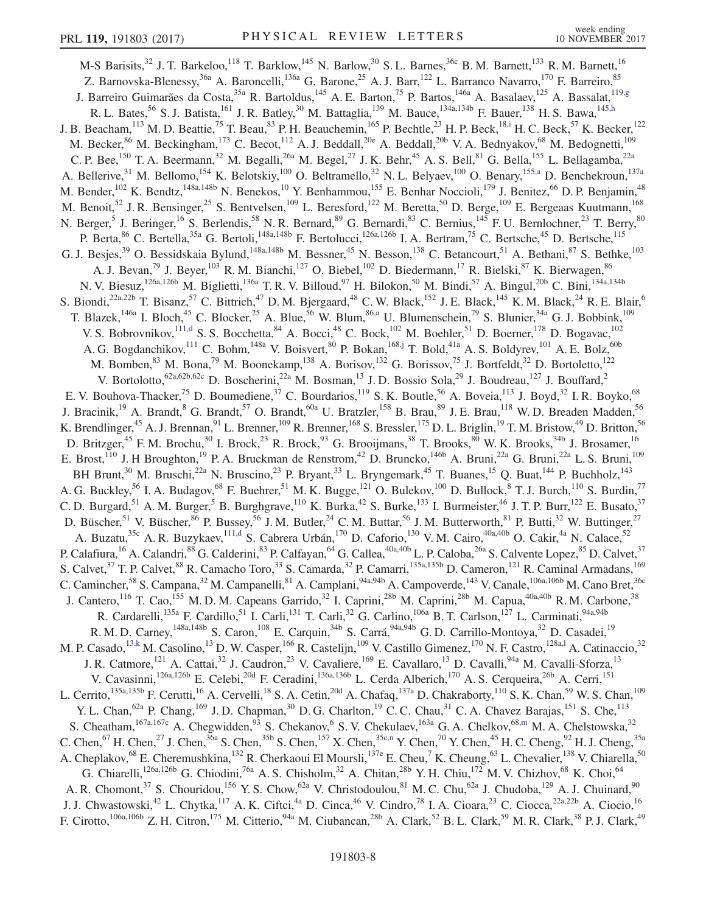<span id="page-8-6"></span><span id="page-8-5"></span><span id="page-8-4"></span><span id="page-8-3"></span><span id="page-8-2"></span><span id="page-8-1"></span><span id="page-8-0"></span>M-S Barisits,<sup>32</sup> J. T. Barkeloo,<sup>118</sup> T. Barklow,<sup>145</sup> N. Barlow,<sup>30</sup> S. L. Barnes,<sup>36c</sup> B. M. Barnett,<sup>133</sup> R. M. Barnett,<sup>16</sup> Z. Barnovska-Blenessy,<sup>36a</sup> A. Baroncelli,<sup>136a</sup> G. Barone,<sup>25</sup> A. J. Barr,<sup>122</sup> L. Barranco Navarro,<sup>170</sup> F. Barreiro,<sup>85</sup> J. Barreiro Guimarães da Costa,<sup>35a</sup> R. Bartoldus,<sup>145</sup> A. E. Barton,<sup>75</sup> P. Bartos,<sup>146a</sup> A. Basalaev,<sup>125</sup> A. Bassalat,<sup>119[,g](#page-19-6)</sup> R. L. Bates,  $^{56}$  S. J. Batista,  $^{161}$  J. R. Batley,  $^{30}$  M. Battaglia,  $^{139}$  M. Bauce,  $^{134a,134b}$  F. Bauer,  $^{138}$  H. S. Bawa,  $^{145,h}$  $^{145,h}$  $^{145,h}$ J. B. Beacham,  $^{113}$  M. D. Beattie,  $^{75}$  T. Beau,  $^{83}$  P. H. Beauchemin,  $^{165}$  P. Bechtle,  $^{23}$  H. P. Beck,  $^{18,1}$  H. C. Beck,  $^{57}$  K. Becker,  $^{122}$ M. Becker,<sup>86</sup> M. Beckingham,<sup>173</sup> C. Becot,<sup>112</sup> A. J. Beddall,<sup>20e</sup> A. Beddall,<sup>20b</sup> V. A. Bednyakov,<sup>68</sup> M. Bedognetti,<sup>109</sup> C. P. Bee, <sup>150</sup> T. A. Beermann,<sup>32</sup> M. Begalli,<sup>26a</sup> M. Begel,<sup>27</sup> J. K. Behr,<sup>45</sup> A. S. Bell,<sup>81</sup> G. Bella,<sup>155</sup> L. Bellagamba,<sup>22a</sup> A. Bellerive,<sup>31</sup> M. Bellomo,<sup>154</sup> K. Belotskiy,<sup>100</sup> O. Beltramello,<sup>32</sup> N. L. Belyaev,<sup>100</sup> O. Benary,<sup>15[5,a](#page-19-0)</sup> D. Benchekroun,<sup>137a</sup> M. Bender, <sup>102</sup> K. Bendtz, <sup>148a, 148b</sup> N. Benekos, <sup>10</sup> Y. Benhammou, <sup>155</sup> E. Benhar Noccioli, <sup>179</sup> J. Benitez, <sup>66</sup> D. P. Benjamin, <sup>48</sup> M. Benoit,<sup>52</sup> J. R. Bensinger,<sup>25</sup> S. Bentvelsen,<sup>109</sup> L. Beresford,<sup>122</sup> M. Beretta,<sup>50</sup> D. Berge,<sup>109</sup> E. Bergeaas Kuutmann,<sup>168</sup> N. Berger,<sup>5</sup> J. Beringer,<sup>16</sup> S. Berlendis,<sup>58</sup> N. R. Bernard,<sup>89</sup> G. Bernardi,<sup>83</sup> C. Bernius,<sup>145</sup> F. U. Bernlochner,<sup>23</sup> T. Berry,<sup>80</sup> P. Berta,  $^{86}$  C. Bertella,  $^{35a}$  G. Bertoli,  $^{148a,148b}$  F. Bertolucci,  $^{126a,126b}$  I. A. Bertram,  $^{75}$  C. Bertsche,  $^{45}$  D. Bertsche,  $^{115}$ G. J. Besjes,<sup>39</sup> O. Bessidskaia Bylund,<sup>148a,148b</sup> M. Bessner,<sup>45</sup> N. Besson,<sup>138</sup> C. Betancourt,<sup>51</sup> A. Bethani,<sup>87</sup> S. Bethke,<sup>103</sup> A. J. Bevan,<sup>79</sup> J. Beyer,<sup>103</sup> R. M. Bianchi,<sup>127</sup> O. Biebel,<sup>102</sup> D. Biedermann,<sup>17</sup> R. Bielski,<sup>87</sup> K. Bierwagen,<sup>86</sup> N. V. Biesuz,<sup>126a,126b</sup> M. Biglietti,<sup>136a</sup> T. R. V. Billoud,<sup>97</sup> H. Bilokon,<sup>50</sup> M. Bindi,<sup>57</sup> A. Bingul,<sup>20b</sup> C. Bini,<sup>134a,134b</sup> S. Biondi,<sup>22a,22b</sup> T. Bisanz,<sup>57</sup> C. Bittrich,<sup>47</sup> D. M. Bjergaard,<sup>48</sup> C. W. Black,<sup>152</sup> J. E. Black,<sup>145</sup> K. M. Black,<sup>24</sup> R. E. Blair,<sup>6</sup> T. Blazek,<sup>146a</sup> I. Bloch,<sup>45</sup> C. Blocker,<sup>25</sup> A. Blue,<sup>56</sup> W. Blum,<sup>8[6,a](#page-19-0)</sup> U. Blumenschein,<sup>79</sup> S. Blunier,<sup>34a</sup> G. J. Bobbink,<sup>109</sup> V. S. Bobrovnikov, <sup>111[,d](#page-19-3)</sup> S. S. Bocchetta, <sup>84</sup> A. Bocci, <sup>48</sup> C. Bock, <sup>102</sup> M. Boehler, <sup>51</sup> D. Boerner, <sup>178</sup> D. Bogavac, <sup>102</sup> A. G. Bogdanchikov, <sup>111</sup> C. Bohm, <sup>148a</sup> V. Boisvert, <sup>80</sup> P. Bokan, <sup>168[,j](#page-19-9)</sup> T. Bold, <sup>41a</sup> A. S. Boldyrev, <sup>101</sup> A. E. Bolz, <sup>60b</sup> M. Bomben,  $83$  M. Bona,  $79$  M. Boonekamp,  $138$  A. Borisov,  $132$  G. Borissov,  $75$  J. Bortfeldt,  $32$  D. Bortoletto,  $122$ V. Bortolotto,  $62a,62b,62c$  D. Boscherini,  $22a$  M. Bosman,  $13$  J. D. Bossio Sola,  $29$  J. Boudreau,  $127$  J. Bouffard,  $2$ E. V. Bouhova-Thacker,<sup>75</sup> D. Boumediene,<sup>37</sup> C. Bourdarios,<sup>119</sup> S. K. Boutle,<sup>56</sup> A. Boveia,<sup>113</sup> J. Boyd,<sup>32</sup> I. R. Boyko,<sup>68</sup> J. Bracinik,<sup>19</sup> A. Brandt,<sup>8</sup> G. Brandt,<sup>57</sup> O. Brandt,<sup>60a</sup> U. Bratzler,<sup>158</sup> B. Brau,<sup>89</sup> J. E. Brau,<sup>118</sup> W. D. Breaden Madden,<sup>56</sup> K. Brendlinger,<sup>45</sup> A. J. Brennan,<sup>91</sup> L. Brenner,<sup>109</sup> R. Brenner,<sup>168</sup> S. Bressler,<sup>175</sup> D. L. Briglin,<sup>19</sup> T. M. Bristow,<sup>49</sup> D. Britton,<sup>56</sup> D. Britzger,<sup>45</sup> F. M. Brochu,<sup>30</sup> I. Brock,<sup>23</sup> R. Brock,<sup>93</sup> G. Brooijmans,<sup>38</sup> T. Brooks,<sup>80</sup> W. K. Brooks,<sup>34b</sup> J. Brosamer,<sup>16</sup> E. Brost,<sup>110</sup> J. H Broughton,<sup>19</sup> P. A. Bruckman de Renstrom,<sup>42</sup> D. Bruncko,<sup>146b</sup> A. Bruni,<sup>22a</sup> G. Bruni,<sup>22a</sup> L. S. Bruni,<sup>109</sup> BH Brunt,<sup>30</sup> M. Bruschi,<sup>22a</sup> N. Bruscino,<sup>23</sup> P. Bryant,<sup>33</sup> L. Bryngemark,<sup>45</sup> T. Buanes,<sup>15</sup> Q. Buat,<sup>144</sup> P. Buchholz,<sup>143</sup> A. G. Buckley,<sup>56</sup> I. A. Budagov,<sup>68</sup> F. Buehrer,<sup>51</sup> M. K. Bugge,<sup>121</sup> O. Bulekov,<sup>100</sup> D. Bullock,<sup>8</sup> T. J. Burch,<sup>110</sup> S. Burdin,<sup>77</sup> C. D. Burgard, <sup>51</sup> A. M. Burger, <sup>5</sup> B. Burghgrave,  $^{110}$  K. Burka,  $^{42}$  S. Burke,  $^{133}$  I. Burmeister,  $^{46}$  J. T. P. Burr,  $^{122}$  E. Busato,  $^{37}$ D. Büscher,<sup>51</sup> V. Büscher,<sup>86</sup> P. Bussey,<sup>56</sup> J. M. Butler,<sup>24</sup> C. M. Buttar,<sup>56</sup> J. M. Butterworth,<sup>81</sup> P. Butti,<sup>32</sup> W. Buttinger,<sup>27</sup> A. Buzatu,<sup>35c</sup> A. R. Buzykaev,<sup>11[1,d](#page-19-3)</sup> S. Cabrera Urbán,<sup>170</sup> D. Caforio,<sup>130</sup> V. M. Cairo,<sup>40a,40b</sup> O. Cakir,<sup>4a</sup> N. Calace,<sup>52</sup> P. Calafiura, <sup>16</sup> A. Calandri, <sup>88</sup> G. Calderini, <sup>83</sup> P. Calfayan, <sup>64</sup> G. Callea, <sup>40a, 40b</sup> L. P. Caloba, <sup>26a</sup> S. Calvente Lopez, <sup>85</sup> D. Calvet, <sup>37</sup> S. Calvet,<sup>37</sup> T. P. Calvet,<sup>88</sup> R. Camacho Toro,<sup>33</sup> S. Camarda,<sup>32</sup> P. Camarri,<sup>135a,135b</sup> D. Cameron,<sup>121</sup> R. Caminal Armadans,<sup>169</sup> C. Camincher,<sup>58</sup> S. Campana,<sup>32</sup> M. Campanelli,<sup>81</sup> A. Camplani,<sup>94a,94b</sup> A. Campoverde,<sup>143</sup> V. Canale,<sup>106a,106b</sup> M. Cano Bret,<sup>36c</sup> J. Cantero,<sup>116</sup> T. Cao,<sup>155</sup> M. D. M. Capeans Garrido,<sup>32</sup> I. Caprini,<sup>28b</sup> M. Caprini,<sup>28b</sup> M. Capua,<sup>40a,40b</sup> R. M. Carbone,<sup>38</sup> R. Cardarelli,<sup>135a</sup> F. Cardillo,<sup>51</sup> I. Carli,<sup>131</sup> T. Carli,<sup>32</sup> G. Carlino,<sup>106a</sup> B. T. Carlson,<sup>127</sup> L. Carminati,<sup>94a,94b</sup> R. M. D. Carney, <sup>148a, 148b</sup> S. Caron, <sup>108</sup> E. Carquin, <sup>34b</sup> S. Carrá, <sup>94a, 94b</sup> G. D. Carrillo-Montoya, <sup>32</sup> D. Casadei, <sup>19</sup> M. P. Casado,<sup>1[3,k](#page-19-10)</sup> M. Casolino,<sup>13</sup> D. W. Casper,<sup>166</sup> R. Castelijn,<sup>109</sup> V. Castillo Gimenez,<sup>170</sup> N. F. Castro,<sup>128[a,l](#page-19-11)</sup> A. Catinaccio,<sup>32</sup> J. R. Catmore,<sup>121</sup> A. Cattai,<sup>32</sup> J. Caudron,<sup>23</sup> V. Cavaliere,<sup>169</sup> E. Cavallaro,<sup>13</sup> D. Cavalli,<sup>94a</sup> M. Cavalli-Sforza,<sup>13</sup> V. Cavasinni,<sup>126a,126b</sup> E. Celebi,<sup>20d</sup> F. Ceradini,<sup>136a,136b</sup> L. Cerda Alberich,<sup>170</sup> A. S. Cerqueira,<sup>26b</sup> A. Cerri,<sup>151</sup> L. Cerrito,<sup>135a,135b</sup> F. Cerutti,<sup>16</sup> A. Cervelli,<sup>18</sup> S. A. Cetin,<sup>20d</sup> A. Chafaq,<sup>137a</sup> D. Chakraborty,<sup>110</sup> S. K. Chan,<sup>59</sup> W. S. Chan,<sup>109</sup> Y. L. Chan,  $62a$  P. Chang,  $169$  J. D. Chapman,  $30$  D. G. Charlton,  $19$  C. C. Chau,  $31$  C. A. Chavez Barajas,  $151$  S. Che,  $113$ S. Cheatham,<sup>167a,167c</sup> A. Chegwidden,<sup>93</sup> S. Chekanov,<sup>6</sup> S. V. Chekulaev,<sup>163a</sup> G. A. Chelkov,<sup>6[8,m](#page-19-12)</sup> M. A. Chelstowska,<sup>32</sup> C. Chen,<sup>67</sup> H. Chen,<sup>27</sup> J. Chen,<sup>36a</sup> S. Chen,<sup>35b</sup> S. Chen,<sup>157</sup> X. Chen,<sup>35[c,n](#page-19-13)</sup> Y. Chen,<sup>70</sup> Y. Chen,<sup>45</sup> H. C. Cheng,<sup>92</sup> H. J. Cheng,<sup>35a</sup> A. Cheplakov,<sup>68</sup> E. Cheremushkina,<sup>132</sup> R. Cherkaoui El Moursli,<sup>137e</sup> E. Cheu,<sup>7</sup> K. Cheung,<sup>63</sup> L. Chevalier,<sup>138</sup> V. Chiarella,<sup>50</sup> G. Chiarelli,<sup>126a,126b</sup> G. Chiodini,<sup>76a</sup> A. S. Chisholm,<sup>32</sup> A. Chitan,<sup>28b</sup> Y. H. Chiu,<sup>172</sup> M. V. Chizhov,<sup>68</sup> K. Choi,<sup>64</sup> A. R. Chomont,<sup>37</sup> S. Chouridou,<sup>156</sup> Y. S. Chow,<sup>62a</sup> V. Christodoulou,<sup>81</sup> M. C. Chu,<sup>62a</sup> J. Chudoba,<sup>129</sup> A. J. Chuinard,<sup>90</sup> J. J. Chwastowski,<sup>42</sup> L. Chytka,<sup>117</sup> A. K. Ciftci,<sup>4a</sup> D. Cinca,<sup>46</sup> V. Cindro,<sup>78</sup> I. A. Cioara,<sup>23</sup> C. Ciocca,<sup>22a,22b</sup> A. Ciocio,<sup>16</sup> F. Cirotto,<sup>106a,106b</sup> Z. H. Citron,<sup>175</sup> M. Citterio,<sup>94a</sup> M. Ciubancan,<sup>28b</sup> A. Clark,<sup>52</sup> B. L. Clark,<sup>59</sup> M. R. Clark,<sup>38</sup> P. J. Clark,<sup>49</sup>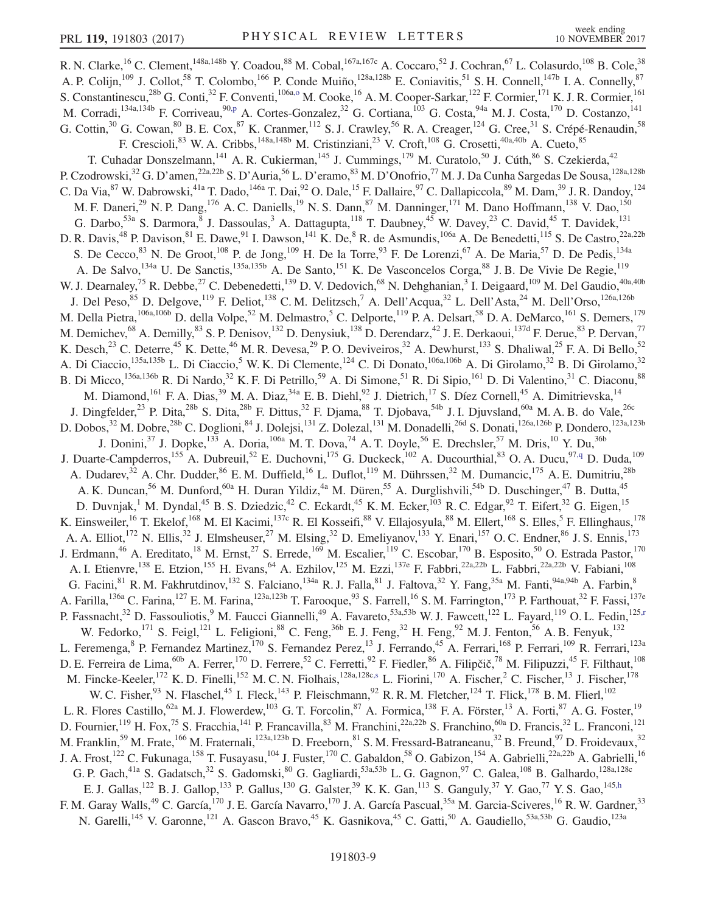<span id="page-9-4"></span><span id="page-9-3"></span><span id="page-9-2"></span><span id="page-9-1"></span><span id="page-9-0"></span>R. N. Clarke,<sup>16</sup> C. Clement,<sup>148a,148b</sup> Y. Coadou,<sup>88</sup> M. Cobal,<sup>167a,167c</sup> A. Coccaro,<sup>52</sup> J. Cochran,<sup>67</sup> L. Colasurdo,<sup>108</sup> B. Cole,<sup>38</sup> A. P. Colijn,<sup>109</sup> J. Collot,<sup>58</sup> T. Colombo,<sup>166</sup> P. Conde Muiño,<sup>128a,128b</sup> E. Coniavitis,<sup>51</sup> S. H. Connell,<sup>147b</sup> I. A. Connelly,<sup>87</sup> S. Constantinescu,<sup>28b</sup> G. Conti,<sup>32</sup> F. Conventi,<sup>106a[,o](#page-19-14)</sup> M. Cooke,<sup>16</sup> A. M. Cooper-Sarkar,<sup>122</sup> F. Cormier,<sup>171</sup> K. J. R. Cormier,<sup>161</sup> M. Corradi, <sup>134a,134b</sup> F. Corriveau, <sup>9[0,p](#page-19-15)</sup> A. Cortes-Gonzalez, <sup>32</sup> G. Cortiana, <sup>103</sup> G. Costa, <sup>94a</sup> M. J. Costa, <sup>170</sup> D. Costanzo, <sup>141</sup> G. Cottin,<sup>30</sup> G. Cowan,<sup>80</sup> B. E. Cox,<sup>87</sup> K. Cranmer,<sup>112</sup> S. J. Crawley,<sup>56</sup> R. A. Creager,<sup>124</sup> G. Cree,<sup>31</sup> S. Crépé-Renaudin,<sup>58</sup> F. Crescioli, <sup>83</sup> W. A. Cribbs, <sup>148a, 148b</sup> M. Cristinziani, <sup>23</sup> V. Croft, <sup>108</sup> G. Crosetti, <sup>40a, 40b</sup> A. Cueto, <sup>85</sup> T. Cuhadar Donszelmann, <sup>141</sup> A. R. Cukierman, <sup>145</sup> J. Cummings, <sup>179</sup> M. Curatolo, <sup>50</sup> J. Cúth, <sup>86</sup> S. Czekierda, <sup>42</sup> P. Czodrowski,<sup>32</sup> G. D'amen,<sup>22a,22b</sup> S. D'Auria,<sup>56</sup> L. D'eramo,<sup>83</sup> M. D'Onofrio,<sup>77</sup> M. J. Da Cunha Sargedas De Sousa,<sup>128a,128b</sup> C. Da Via,  ${}^{87}$  W. Dabrowski, ${}^{41a}$  T. Dado, ${}^{146a}$  T. Dai, ${}^{92}$  O. Dale, ${}^{15}$  F. Dallaire,  ${}^{97}$  C. Dallapiccola,  ${}^{89}$  M. Dam,  ${}^{39}$  J. R. Dandoy,  ${}^{124}$ M. F. Daneri,<sup>29</sup> N. P. Dang,<sup>176</sup> A. C. Daniells,<sup>19</sup> N. S. Dann,<sup>87</sup> M. Danninger,<sup>171</sup> M. Dano Hoffmann,<sup>138</sup> V. Dao,<sup>150</sup> G. Darbo,<sup>53a</sup> S. Darmora, <sup>8</sup> J. Dassoulas, <sup>3</sup> A. Dattagupta, <sup>118</sup> T. Daubney, <sup>45</sup> W. Davey, <sup>23</sup> C. David, <sup>45</sup> T. Davidek, <sup>131</sup> D. R. Davis,<sup>48</sup> P. Davison,<sup>81</sup> E. Dawe,<sup>91</sup> I. Dawson,<sup>141</sup> K. De,<sup>8</sup> R. de Asmundis,<sup>106a</sup> A. De Benedetti,<sup>115</sup> S. De Castro,<sup>22a,22b</sup> S. De Cecco,<sup>83</sup> N. De Groot,<sup>108</sup> P. de Jong,<sup>109</sup> H. De la Torre,<sup>93</sup> F. De Lorenzi,<sup>67</sup> A. De Maria,<sup>57</sup> D. De Pedis,<sup>134a</sup> A. De Salvo,<sup>134a</sup> U. De Sanctis,<sup>135a,135b</sup> A. De Santo,<sup>151</sup> K. De Vasconcelos Corga,<sup>88</sup> J. B. De Vivie De Regie,<sup>119</sup> W. J. Dearnaley,<sup>75</sup> R. Debbe,<sup>27</sup> C. Debenedetti,<sup>139</sup> D. V. Dedovich,<sup>68</sup> N. Dehghanian,<sup>3</sup> I. Deigaard,<sup>109</sup> M. Del Gaudio,<sup>40a,40b</sup> J. Del Peso,<sup>85</sup> D. Delgove,<sup>119</sup> F. Deliot,<sup>138</sup> C. M. Delitzsch,<sup>7</sup> A. Dell'Acqua,<sup>32</sup> L. Dell'Asta,<sup>24</sup> M. Dell'Orso,<sup>126a,126b</sup> M. Della Pietra,<sup>106a,106b</sup> D. della Volpe,<sup>52</sup> M. Delmastro,<sup>5</sup> C. Delporte,<sup>119</sup> P. A. Delsart,<sup>58</sup> D. A. DeMarco,<sup>161</sup> S. Demers,<sup>179</sup> M. Demichev, <sup>68</sup> A. Demilly, <sup>83</sup> S. P. Denisov, <sup>132</sup> D. Denysiuk, <sup>138</sup> D. Derendarz, <sup>42</sup> J. E. Derkaoui, <sup>137d</sup> F. Derue, <sup>83</sup> P. Dervan, <sup>77</sup> K. Desch,<sup>23</sup> C. Deterre,<sup>45</sup> K. Dette,<sup>46</sup> M. R. Devesa,<sup>29</sup> P. O. Deviveiros,<sup>32</sup> A. Dewhurst,<sup>133</sup> S. Dhaliwal,<sup>25</sup> F. A. Di Bello,<sup>52</sup> A. Di Ciaccio,<sup>135a,135b</sup> L. Di Ciaccio,<sup>5</sup> W. K. Di Clemente,<sup>124</sup> C. Di Donato,<sup>106a,106b</sup> A. Di Girolamo,<sup>32</sup> B. Di Girolamo,<sup>32</sup> B. Di Micco,<sup>136a,136b</sup> R. Di Nardo,<sup>32</sup> K. F. Di Petrillo,<sup>59</sup> A. Di Simone,<sup>51</sup> R. Di Sipio,<sup>161</sup> D. Di Valentino,<sup>31</sup> C. Diaconu,<sup>88</sup> M. Diamond, <sup>161</sup> F. A. Dias, <sup>39</sup> M. A. Diaz, <sup>34a</sup> E. B. Diehl, <sup>92</sup> J. Dietrich, <sup>17</sup> S. Díez Cornell, <sup>45</sup> A. Dimitrievska, <sup>14</sup> J. Dingfelder,<sup>23</sup> P. Dita,<sup>28b</sup> S. Dita,<sup>28b</sup> F. Dittus,<sup>32</sup> F. Djama,<sup>88</sup> T. Djobava,<sup>54b</sup> J. I. Djuvsland,<sup>60a</sup> M. A. B. do Vale,<sup>26c</sup> D. Dobos,<sup>32</sup> M. Dobre,<sup>28b</sup> C. Doglioni,<sup>84</sup> J. Dolejsi,<sup>131</sup> Z. Dolezal,<sup>131</sup> M. Donadelli,<sup>26d</sup> S. Donati,<sup>126a,126b</sup> P. Dondero,<sup>123a,123b</sup> J. Donini,<sup>37</sup> J. Dopke,<sup>133</sup> A. Doria,<sup>106a</sup> M. T. Dova,<sup>74</sup> A. T. Doyle,<sup>56</sup> E. Drechsler,<sup>57</sup> M. Dris,<sup>10</sup> Y. Du,<sup>36b</sup> J. Duarte-Campderros,<sup>155</sup> A. Dubreuil,<sup>52</sup> E. Duchovni,<sup>175</sup> G. Duckeck,<sup>102</sup> A. Ducourthial,<sup>83</sup> O. A. Ducu,<sup>9[7,q](#page-19-16)</sup> D. Duda,<sup>109</sup> A. Dudarev,<sup>32</sup> A. Chr. Dudder,<sup>86</sup> E. M. Duffield,<sup>16</sup> L. Duflot,<sup>119</sup> M. Dührssen,<sup>32</sup> M. Dumancic,<sup>175</sup> A. E. Dumitriu,<sup>28b</sup> A. K. Duncan,<sup>56</sup> M. Dunford,<sup>60a</sup> H. Duran Yildiz,<sup>4a</sup> M. Düren,<sup>55</sup> A. Durglishvili,<sup>54b</sup> D. Duschinger,<sup>47</sup> B. Dutta,<sup>45</sup> D. Duvnjak,<sup>1</sup> M. Dyndal,<sup>45</sup> B. S. Dziedzic,<sup>42</sup> C. Eckardt,<sup>45</sup> K. M. Ecker,<sup>103</sup> R. C. Edgar,<sup>92</sup> T. Eifert,<sup>32</sup> G. Eigen,<sup>15</sup> K. Einsweiler,<sup>16</sup> T. Ekelof,<sup>168</sup> M. El Kacimi,<sup>137c</sup> R. El Kosseifi,<sup>88</sup> V. Ellajosyula,<sup>88</sup> M. Ellert,<sup>168</sup> S. Elles,<sup>5</sup> F. Ellinghaus,<sup>178</sup> A. A. Elliot,<sup>172</sup> N. Ellis,<sup>32</sup> J. Elmsheuser,<sup>27</sup> M. Elsing,<sup>32</sup> D. Emeliyanov,<sup>133</sup> Y. Enari,<sup>157</sup> O. C. Endner,<sup>86</sup> J. S. Ennis,<sup>173</sup> J. Erdmann,<sup>46</sup> A. Ereditato,<sup>18</sup> M. Ernst,<sup>27</sup> S. Errede,<sup>169</sup> M. Escalier,<sup>119</sup> C. Escobar,<sup>170</sup> B. Esposito,<sup>50</sup> O. Estrada Pastor,<sup>170</sup> A. I. Etienvre,<sup>138</sup> E. Etzion,<sup>155</sup> H. Evans,<sup>64</sup> A. Ezhilov,<sup>125</sup> M. Ezzi,<sup>137e</sup> F. Fabbri,<sup>22a,22b</sup> L. Fabbri,<sup>22a,22b</sup> V. Fabiani,<sup>108</sup> G. Facini,<sup>81</sup> R. M. Fakhrutdinov,<sup>132</sup> S. Falciano,<sup>134a</sup> R. J. Falla,<sup>81</sup> J. Faltova,<sup>32</sup> Y. Fang,<sup>35a</sup> M. Fanti,<sup>94a,94b</sup> A. Farbin,<sup>8</sup> A. Farilla, <sup>136a</sup> C. Farina, <sup>127</sup> E. M. Farina, <sup>123a,123b</sup> T. Farooque, <sup>93</sup> S. Farrell, <sup>16</sup> S. M. Farrington, <sup>173</sup> P. Farthouat, <sup>32</sup> F. Fassi, <sup>137e</sup> P. Fassnacht,<sup>32</sup> D. Fassouliotis,<sup>9</sup> M. Faucci Giannelli,<sup>49</sup> A. Favareto,<sup>53a,53b</sup> W. J. Fawcett,<sup>122</sup> L. Fayard,<sup>119</sup> O. L. Fedin,<sup>125[,r](#page-19-17)</sup> W. Fedorko, <sup>171</sup> S. Feigl, <sup>121</sup> L. Feligioni, <sup>88</sup> C. Feng, <sup>36b</sup> E. J. Feng, <sup>32</sup> H. Feng, <sup>92</sup> M. J. Fenton, <sup>56</sup> A. B. Fenyuk, <sup>132</sup> L. Feremenga, <sup>8</sup> P. Fernandez Martinez,<sup>170</sup> S. Fernandez Perez,<sup>13</sup> J. Ferrando,<sup>45</sup> A. Ferrari,<sup>168</sup> P. Ferrari,<sup>109</sup> R. Ferrari,<sup>123a</sup> D. E. Ferreira de Lima,<sup>60b</sup> A. Ferrer,<sup>170</sup> D. Ferrere,<sup>52</sup> C. Ferretti,<sup>92</sup> F. Fiedler,<sup>86</sup> A. Filipčič,<sup>78</sup> M. Filipuzzi,<sup>45</sup> F. Filthaut,<sup>108</sup> M. Fincke-Keeler,<sup>172</sup> K. D. Finelli,<sup>152</sup> M. C. N. Fiolhais,<sup>128a,128c[,s](#page-19-18)</sup> L. Fiorini,<sup>170</sup> A. Fischer,<sup>2</sup> C. Fischer,<sup>13</sup> J. Fischer,<sup>178</sup> W. C. Fisher,  $93$  N. Flaschel,  $45$  I. Fleck,  $143$  P. Fleischmann,  $92$  R. R. M. Fletcher,  $124$  T. Flick,  $178$  B. M. Flierl,  $102$ L. R. Flores Castillo,<sup>62a</sup> M. J. Flowerdew,<sup>103</sup> G. T. Forcolin,<sup>87</sup> A. Formica,<sup>138</sup> F. A. Förster,<sup>13</sup> A. Forti,<sup>87</sup> A. G. Foster,<sup>19</sup> D. Fournier,<sup>119</sup> H. Fox,<sup>75</sup> S. Fracchia,<sup>141</sup> P. Francavilla,<sup>83</sup> M. Franchini,<sup>22a,22b</sup> S. Franchino,<sup>60a</sup> D. Francis,<sup>32</sup> L. Franconi,<sup>121</sup> M. Franklin,<sup>59</sup> M. Frate,<sup>166</sup> M. Fraternali,<sup>123a,123b</sup> D. Freeborn,<sup>81</sup> S. M. Fressard-Batraneanu,<sup>32</sup> B. Freund,<sup>97</sup> D. Froidevaux,<sup>32</sup> J. A. Frost,<sup>122</sup> C. Fukunaga,<sup>158</sup> T. Fusayasu,<sup>104</sup> J. Fuster,<sup>170</sup> C. Gabaldon,<sup>58</sup> O. Gabizon,<sup>154</sup> A. Gabrielli,<sup>22a,22b</sup> A. Gabrielli,<sup>16</sup> G. P. Gach,<sup>41a</sup> S. Gadatsch,<sup>32</sup> S. Gadomski,<sup>80</sup> G. Gagliardi,<sup>53a,53b</sup> L. G. Gagnon,<sup>97</sup> C. Galea,<sup>108</sup> B. Galhardo,<sup>128a,128c</sup> E. J. Gallas,<sup>122</sup> B. J. Gallop,<sup>133</sup> P. Gallus,<sup>130</sup> G. Galster,<sup>39</sup> K. K. Gan,<sup>113</sup> S. Ganguly,<sup>37</sup> Y. Gao,<sup>77</sup> Y. S. Gao,<sup>14[5,h](#page-19-7)</sup> F. M. Garay Walls,<sup>49</sup> C. García,<sup>170</sup> J. E. García Navarro,<sup>170</sup> J. A. García Pascual,<sup>35a</sup> M. Garcia-Sciveres,<sup>16</sup> R. W. Gardner,<sup>33</sup> N. Garelli,<sup>145</sup> V. Garonne,<sup>121</sup> A. Gascon Bravo,<sup>45</sup> K. Gasnikova,<sup>45</sup> C. Gatti,<sup>50</sup> A. Gaudiello,<sup>53a,53b</sup> G. Gaudio,<sup>123a</sup>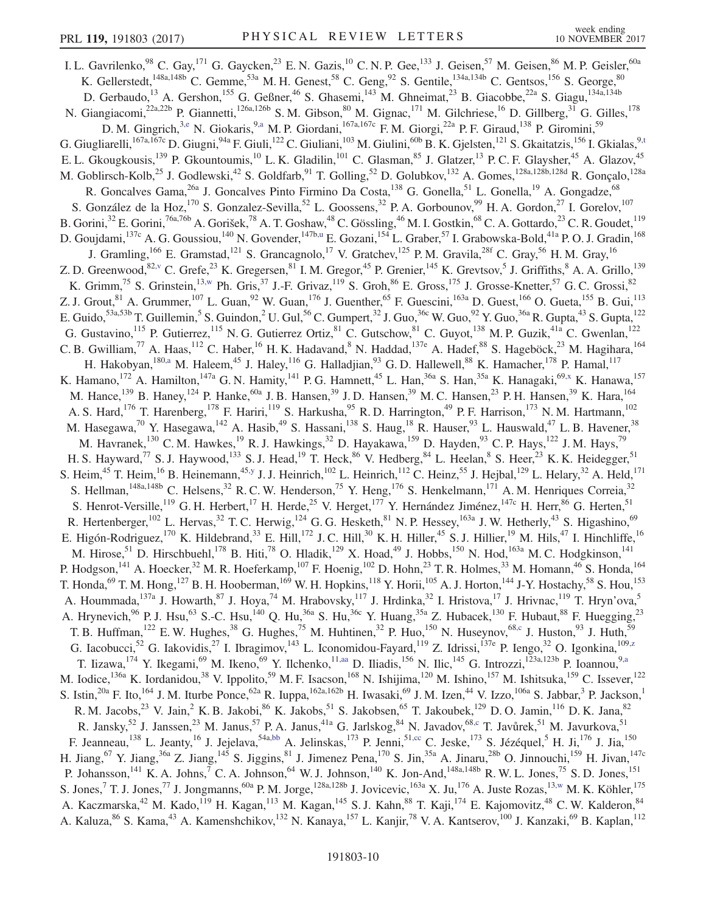<span id="page-10-8"></span><span id="page-10-7"></span><span id="page-10-6"></span><span id="page-10-5"></span><span id="page-10-4"></span><span id="page-10-3"></span><span id="page-10-2"></span><span id="page-10-1"></span><span id="page-10-0"></span>I. L. Gavrilenko,  $98$  C. Gay,  $^{171}$  G. Gaycken,  $^{23}$  E. N. Gazis,  $^{10}$  C. N. P. Gee,  $^{133}$  J. Geisen,  $^{57}$  M. Geisen,  $^{86}$  M. P. Geisler,  $^{60a}$ K. Gellerstedt,  $^{148a,148b}$  C. Gemme,  $^{53a}$  M. H. Genest,  $^{58}$  C. Geng,  $^{92}$  S. Gentile,  $^{134a,134b}$  C. Gentsos,  $^{156}$  S. George,  $^{80}$ D. Gerbaudo,<sup>13</sup> A. Gershon,<sup>155</sup> G. Geßner,<sup>46</sup> S. Ghasemi,<sup>143</sup> M. Ghneimat,<sup>23</sup> B. Giacobbe,<sup>22a</sup> S. Giagu,<sup>134a,134b</sup> N. Giangiacomi,<sup>22a,22b</sup> P. Giannetti,<sup>126a,126b</sup> S.M. Gibson,<sup>80</sup> M. Gignac,<sup>171</sup> M. Gilchriese,<sup>16</sup> D. Gillberg,<sup>31</sup> G. Gilles,<sup>178</sup> D. M. Gingrich,<sup>[3,e](#page-19-4)</sup> N. Giokaris,<sup>9[,a](#page-19-0)</sup> M. P. Giordani,<sup>167a,167c</sup> F. M. Giorgi,<sup>22a</sup> P. F. Giraud,<sup>138</sup> P. Giromini,<sup>59</sup> G. Giugliarelli,<sup>167a,167c</sup> D. Giugni,<sup>94a</sup> F. Giuli,<sup>122</sup> C. Giuliani,<sup>103</sup> M. Giulini,<sup>60b</sup> B. K. Gjelsten,<sup>121</sup> S. Gkaitatzis,<sup>156</sup> I. Gkialas,<sup>[9,t](#page-19-19)</sup> E. L. Gkougkousis,<sup>139</sup> P. Gkountoumis,<sup>10</sup> L. K. Gladilin,<sup>101</sup> C. Glasman,<sup>85</sup> J. Glatzer,<sup>13</sup> P. C. F. Glaysher,<sup>45</sup> A. Glazov,<sup>45</sup> M. Goblirsch-Kolb,<sup>25</sup> J. Godlewski,<sup>42</sup> S. Goldfarb,<sup>91</sup> T. Golling,<sup>52</sup> D. Golubkov,<sup>132</sup> A. Gomes,<sup>128a,128b,128d</sup> R. Gonçalo,<sup>128a</sup> R. Goncalves Gama,  $^{26a}$  J. Goncalves Pinto Firmino Da Costa, $^{138}$  G. Gonella, $^{51}$  L. Gonella, $^{19}$  A. Gongadze,  $^{68}$ S. González de la Hoz,<sup>170</sup> S. Gonzalez-Sevilla,<sup>52</sup> L. Goossens,<sup>32</sup> P. A. Gorbounov,<sup>99</sup> H. A. Gordon,<sup>27</sup> I. Gorelov,<sup>107</sup> B. Gorini,<sup>32</sup> E. Gorini,<sup>76a,76b</sup> A. Gorišek,<sup>78</sup> A. T. Goshaw,<sup>48</sup> C. Gössling,<sup>46</sup> M. I. Gostkin,<sup>68</sup> C. A. Gottardo,<sup>23</sup> C. R. Goudet,<sup>119</sup> D. Goujdami, <sup>137c</sup> A. G. Goussiou, <sup>140</sup> N. Govender, <sup>147[b,u](#page-19-20)</sup> E. Gozani, <sup>154</sup> L. Graber, <sup>57</sup> I. Grabowska-Bold, <sup>41a</sup> P. O. J. Gradin, <sup>168</sup> J. Gramling,<sup>166</sup> E. Gramstad,<sup>121</sup> S. Grancagnolo,<sup>17</sup> V. Gratchev,<sup>125</sup> P.M. Gravila,<sup>28f</sup> C. Gray,<sup>56</sup> H.M. Gray,<sup>16</sup> Z. D. Greenwood,  $82, v$  C. Grefe,  $23$  K. Gregersen,  $81$  I. M. Gregor,  $45$  P. Grenier,  $145$  K. Grevtsov,  $5$  J. Griffiths,  $8$  A. A. Grillo,  $139$ K. Grimm,<sup>75</sup> S. Grinstein,<sup>1[3,w](#page-20-0)</sup> Ph. Gris,<sup>37</sup> J.-F. Grivaz,<sup>119</sup> S. Groh,<sup>86</sup> E. Gross,<sup>175</sup> J. Grosse-Knetter,<sup>57</sup> G. C. Grossi,<sup>82</sup> Z. J. Grout, <sup>81</sup> A. Grummer, <sup>107</sup> L. Guan, <sup>92</sup> W. Guan, <sup>176</sup> J. Guenther, <sup>65</sup> F. Guescini, <sup>163a</sup> D. Guest, <sup>166</sup> O. Gueta, <sup>155</sup> B. Gui, <sup>113</sup> E. Guido,  $53a,53b$  T. Guillemin,  $5$  S. Guindon,  $^2$  U. Gul,  $^{56}$  C. Gumpert,  $^{32}$  J. Guo,  $^{36c}$  W. Guo,  $^{92}$  Y. Guo,  $^{36a}$  R. Gupta,  $^{43}$  S. Gupta,  $^{122}$ G. Gustavino,  $^{115}$  P. Gutierrez,  $^{115}$  N. G. Gutierrez Ortiz,  $^{81}$  C. Gutschow,  $^{81}$  C. Guyot,  $^{138}$  M. P. Guzik,  $^{41a}$  C. Gwenlan,  $^{122}$ C. B. Gwilliam,<sup>77</sup> A. Haas,<sup>112</sup> C. Haber,<sup>16</sup> H. K. Hadavand,<sup>8</sup> N. Haddad,<sup>137e</sup> A. Hadef,<sup>88</sup> S. Hageböck,<sup>23</sup> M. Hagihara,<sup>164</sup> H. Hakobyan,<sup>18[0,a](#page-19-0)</sup> M. Haleem,<sup>45</sup> J. Haley,<sup>116</sup> G. Halladjian,<sup>93</sup> G.D. Hallewell,<sup>88</sup> K. Hamacher,<sup>178</sup> P. Hamal,<sup>117</sup> K. Hamano, <sup>172</sup> A. Hamilton, <sup>147a</sup> G. N. Hamity, <sup>141</sup> P. G. Hamnett, <sup>45</sup> L. Han, <sup>36a</sup> S. Han, <sup>35a</sup> K. Hanagaki, <sup>6[9,x](#page-20-1)</sup> K. Hanawa, <sup>157</sup> M. Hance,<sup>139</sup> B. Haney,<sup>124</sup> P. Hanke,<sup>60a</sup> J. B. Hansen,<sup>39</sup> J. D. Hansen,<sup>39</sup> M. C. Hansen,<sup>23</sup> P. H. Hansen,<sup>39</sup> K. Hara,<sup>164</sup> A. S. Hard,<sup>176</sup> T. Harenberg,<sup>178</sup> F. Hariri,<sup>119</sup> S. Harkusha,<sup>95</sup> R. D. Harrington,<sup>49</sup> P. F. Harrison,<sup>173</sup> N. M. Hartmann,<sup>102</sup> M. Hasegawa,<sup>70</sup> Y. Hasegawa,<sup>142</sup> A. Hasib,<sup>49</sup> S. Hassani,<sup>138</sup> S. Haug,<sup>18</sup> R. Hauser,<sup>93</sup> L. Hauswald,<sup>47</sup> L. B. Havener,<sup>38</sup> M. Havranek,<sup>130</sup> C. M. Hawkes,<sup>19</sup> R. J. Hawkings,<sup>32</sup> D. Hayakawa,<sup>159</sup> D. Hayden,<sup>93</sup> C. P. Hays,<sup>122</sup> J. M. Hays,<sup>79</sup> H. S. Hayward,<sup>77</sup> S. J. Haywood,<sup>133</sup> S. J. Head,<sup>19</sup> T. Heck,<sup>86</sup> V. Hedberg,<sup>84</sup> L. Heelan,<sup>8</sup> S. Heer,<sup>23</sup> K. K. Heidegger,<sup>51</sup> S. Heim,<sup>45</sup> T. Heim,<sup>16</sup> B. Heinemann,<sup>45[,y](#page-20-2)</sup> J. J. Heinrich,<sup>102</sup> L. Heinrich,<sup>112</sup> C. Heinz,<sup>55</sup> J. Hejbal,<sup>129</sup> L. Helary,<sup>32</sup> A. Held,<sup>171</sup> S. Hellman,  $148a,148b$  C. Helsens,  $32$  R. C. W. Henderson,  $75$  Y. Heng,  $176$  S. Henkelmann,  $171$  A. M. Henriques Correia,  $32$ S. Henrot-Versille,  $^{19}$  G. H. Herbert,  $^{17}$  H. Herde,  $^{25}$  V. Herget,  $^{177}$  Y. Hernández Jiménez,  $^{147c}$  H. Herr,  $^{86}$  G. Herten,  $^{51}$ R. Hertenberger,<sup>102</sup> L. Hervas,<sup>32</sup> T. C. Herwig,<sup>124</sup> G. G. Hesketh,<sup>81</sup> N. P. Hessey,<sup>163a</sup> J. W. Hetherly,<sup>43</sup> S. Higashino,<sup>69</sup> E. Higón-Rodriguez,<sup>170</sup> K. Hildebrand,<sup>33</sup> E. Hill,<sup>172</sup> J. C. Hill,<sup>30</sup> K. H. Hiller,<sup>45</sup> S. J. Hillier,<sup>19</sup> M. Hils,<sup>47</sup> I. Hinchliffe,<sup>16</sup> M. Hirose,<sup>51</sup> D. Hirschbuehl,<sup>178</sup> B. Hiti,<sup>78</sup> O. Hladik,<sup>129</sup> X. Hoad,<sup>49</sup> J. Hobbs,<sup>150</sup> N. Hod,<sup>163a</sup> M. C. Hodgkinson,<sup>141</sup> P. Hodgson,<sup>141</sup> A. Hoecker,<sup>32</sup> M. R. Hoeferkamp,<sup>107</sup> F. Hoenig,<sup>102</sup> D. Hohn,<sup>23</sup> T. R. Holmes,<sup>33</sup> M. Homann,<sup>46</sup> S. Honda,<sup>164</sup> T. Honda,  $^{69}$  T. M. Hong,  $^{127}$  B. H. Hooberman,  $^{169}$  W. H. Hopkins,  $^{118}$  Y. Horii,  $^{105}$  A. J. Horton,  $^{144}$  J-Y. Hostachy,  $^{58}$  S. Hou,  $^{153}$ A. Hoummada,<sup>137a</sup> J. Howarth,<sup>87</sup> J. Hoya,<sup>74</sup> M. Hrabovsky,<sup>117</sup> J. Hrdinka,<sup>32</sup> I. Hristova,<sup>17</sup> J. Hrivnac,<sup>119</sup> T. Hryn'ova,<sup>5</sup> A. Hrynevich,  $96$  P. J. Hsu,  $63$  S.-C. Hsu,  $140$  Q. Hu,  $36a$  S. Hu,  $36c$  Y. Huang,  $35a$  Z. Hubacek,  $130$  F. Hubaut,  $88$  F. Huegging,  $23$ T. B. Huffman,<sup>122</sup> E. W. Hughes,<sup>38</sup> G. Hughes,<sup>75</sup> M. Huhtinen,<sup>32</sup> P. Huo,<sup>150</sup> N. Huseynov,<sup>68[,c](#page-19-2)</sup> J. Huston,<sup>93</sup> J. Huth,<sup>59</sup> G. Iacobucci,<sup>52</sup> G. Iakovidis,<sup>27</sup> I. Ibragimov,<sup>143</sup> L. Iconomidou-Fayard,<sup>119</sup> Z. Idrissi,<sup>137e</sup> P. Iengo,<sup>32</sup> O. Igonkina,<sup>109[,z](#page-20-3)</sup> T. Iizawa, <sup>174</sup> Y. Ikegami, <sup>69</sup> M. Ikeno, <sup>69</sup> Y. Ilchenko, <sup>1[1,aa](#page-20-4)</sup> D. Iliadis, <sup>156</sup> N. Ilic, <sup>145</sup> G. Introzzi, <sup>123a, 123b</sup> P. Ioannou, <sup>[9,a](#page-19-0)</sup> M. Iodice,<sup>136a</sup> K. Iordanidou,<sup>38</sup> V. Ippolito,<sup>59</sup> M. F. Isacson,<sup>168</sup> N. Ishijima,<sup>120</sup> M. Ishino,<sup>157</sup> M. Ishitsuka,<sup>159</sup> C. Issever,<sup>122</sup> S. Istin,<sup>20a</sup> F. Ito,<sup>164</sup> J. M. Iturbe Ponce,<sup>62a</sup> R. Iuppa,<sup>162a,162b</sup> H. Iwasaki,<sup>69</sup> J. M. Izen,<sup>44</sup> V. Izzo,<sup>106a</sup> S. Jabbar,<sup>3</sup> P. Jackson,<sup>1</sup> R. M. Jacobs,<sup>23</sup> V. Jain,<sup>2</sup> K. B. Jakobi,<sup>86</sup> K. Jakobs,<sup>51</sup> S. Jakobsen,<sup>65</sup> T. Jakoubek,<sup>129</sup> D. O. Jamin,<sup>116</sup> D. K. Jana,<sup>82</sup> R. Jansky,<sup>52</sup> J. Janssen,<sup>23</sup> M. Janus,<sup>57</sup> P. A. Janus,<sup>41a</sup> G. Jarlskog,<sup>84</sup> N. Javadov,<sup>68[,c](#page-19-2)</sup> T. Javůrek,<sup>51</sup> M. Javurkova,<sup>51</sup> F. Jeanneau,  $^{138}$  L. Jeanty,  $^{16}$  J. Jejelava,  $^{54a,bb}$  $^{54a,bb}$  $^{54a,bb}$  A. Jelinskas,  $^{173}$  P. Jenni,  $^{51,cc}$  $^{51,cc}$  $^{51,cc}$  C. Jeske,  $^{173}$  S. Jézéquel,  $^{5}$  H. Ji,  $^{176}$  J. Jia,  $^{150}$ H. Jiang,  $^{67}$  Y. Jiang,  $^{36a}$  Z. Jiang,  $^{145}$  S. Jiggins,  $^{81}$  J. Jimenez Pena,  $^{170}$  S. Jin,  $^{35a}$  A. Jinaru,  $^{28b}$  O. Jinnouchi,  $^{159}$  H. Jivan,  $^{147c}$ P. Johansson,<sup>141</sup> K. A. Johns,<sup>7</sup> C. A. Johnson,<sup>64</sup> W. J. Johnson,<sup>140</sup> K. Jon-And,<sup>148a,148b</sup> R. W. L. Jones,<sup>75</sup> S. D. Jones,<sup>151</sup> S. Jones,  $^7$  T. J. Jones,  $^{77}$  J. Jongmanns,  $^{60a}$  P. M. Jorge,  $^{128a,128b}$  J. Jovicevic,  $^{163a}$  X. Ju,  $^{176}$  A. Juste Rozas,  $^{13,w}$  $^{13,w}$  $^{13,w}$  M. K. Köhler,  $^{175}$ A. Kaczmarska,<sup>42</sup> M. Kado,<sup>119</sup> H. Kagan,<sup>113</sup> M. Kagan,<sup>145</sup> S. J. Kahn,<sup>88</sup> T. Kaji,<sup>174</sup> E. Kajomovitz,<sup>48</sup> C. W. Kalderon,<sup>84</sup> A. Kaluza, <sup>86</sup> S. Kama, <sup>43</sup> A. Kamenshchikov, <sup>132</sup> N. Kanaya, <sup>157</sup> L. Kanjir, <sup>78</sup> V. A. Kantserov, <sup>100</sup> J. Kanzaki, <sup>69</sup> B. Kaplan, <sup>112</sup>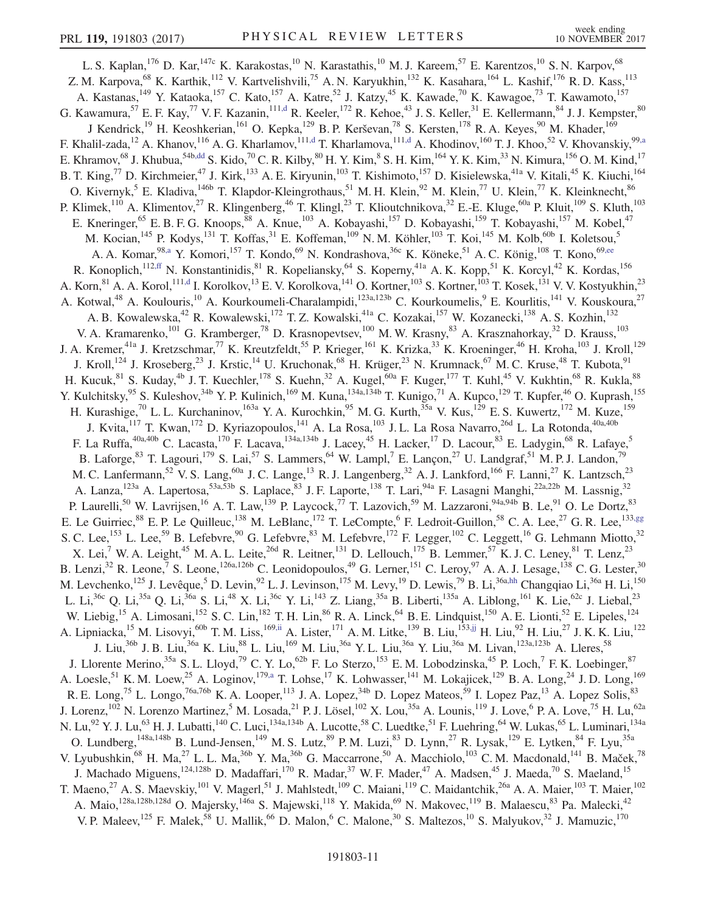<span id="page-11-5"></span><span id="page-11-4"></span><span id="page-11-3"></span><span id="page-11-2"></span><span id="page-11-1"></span><span id="page-11-0"></span>L. S. Kaplan,<sup>176</sup> D. Kar,<sup>147c</sup> K. Karakostas,<sup>10</sup> N. Karastathis,<sup>10</sup> M. J. Kareem,<sup>57</sup> E. Karentzos,<sup>10</sup> S. N. Karpov,<sup>68</sup> Z. M. Karpova,<sup>68</sup> K. Karthik,<sup>112</sup> V. Kartvelishvili,<sup>75</sup> A. N. Karyukhin,<sup>132</sup> K. Kasahara,<sup>164</sup> L. Kashif,<sup>176</sup> R. D. Kass,<sup>113</sup> A. Kastanas,<sup>149</sup> Y. Kataoka,<sup>157</sup> C. Kato,<sup>157</sup> A. Katre,<sup>52</sup> J. Katzy,<sup>45</sup> K. Kawade,<sup>70</sup> K. Kawagoe,<sup>73</sup> T. Kawamoto,<sup>157</sup> G. Kawamura,  $^{57}$  E. F. Kay,  $^{77}$  V. F. Kazanin,  $^{111, d}$  R. Keeler,  $^{172}$  R. Kehoe,  $^{43}$  J. S. Keller,  $^{31}$  E. Kellermann,  $^{84}$  J. J. Kempster,  $^{80}$ J Kendrick,<sup>19</sup> H. Keoshkerian,<sup>161</sup> O. Kepka,<sup>129</sup> B. P. Kerševan,<sup>78</sup> S. Kersten,<sup>178</sup> R. A. Keyes,<sup>90</sup> M. Khader,<sup>169</sup> F. Khalil-zada,<sup>12</sup> A. Khanov,<sup>116</sup> A. G. Kharlamov,<sup>11[1,d](#page-19-3)</sup> T. Kharlamova,<sup>111,d</sup> A. Khodinov,<sup>160</sup> T. J. Khoo,<sup>52</sup> V. Khovanskiy,<sup>9[9,a](#page-19-0)</sup> E. Khramov,<sup>68</sup> J. Khubua,<sup>54b[,dd](#page-20-7)</sup> S. Kido,<sup>70</sup> C. R. Kilby,<sup>80</sup> H. Y. Kim,<sup>8</sup> S. H. Kim,<sup>164</sup> Y. K. Kim,<sup>33</sup> N. Kimura,<sup>156</sup> O. M. Kind,<sup>17</sup> B. T. King,<sup>77</sup> D. Kirchmeier,<sup>47</sup> J. Kirk,<sup>133</sup> A. E. Kiryunin,<sup>103</sup> T. Kishimoto,<sup>157</sup> D. Kisielewska,<sup>41a</sup> V. Kitali,<sup>45</sup> K. Kiuchi,<sup>164</sup> O. Kivernyk,<sup>5</sup> E. Kladiva,<sup>146b</sup> T. Klapdor-Kleingrothaus,<sup>51</sup> M. H. Klein,<sup>92</sup> M. Klein,<sup>77</sup> U. Klein,<sup>77</sup> K. Kleinknecht,<sup>86</sup> P. Klimek,<sup>110</sup> A. Klimentov,<sup>27</sup> R. Klingenberg,<sup>46</sup> T. Klingl,<sup>23</sup> T. Klioutchnikova,<sup>32</sup> E.-E. Kluge,<sup>60a</sup> P. Kluit,<sup>109</sup> S. Kluth,<sup>103</sup> E. Kneringer,<sup>65</sup> E. B. F. G. Knoops,<sup>88</sup> A. Knue,<sup>103</sup> A. Kobayashi,<sup>157</sup> D. Kobayashi,<sup>159</sup> T. Kobayashi,<sup>157</sup> M. Kobel,<sup>47</sup> M. Kocian, <sup>145</sup> P. Kodys, <sup>131</sup> T. Koffas, <sup>31</sup> E. Koffeman, <sup>109</sup> N. M. Köhler, <sup>103</sup> T. Koi, <sup>145</sup> M. Kolb, <sup>60b</sup> I. Koletsou, <sup>5</sup> A. A. Komar,  $^{98, a}$  Y. Komori,<sup>157</sup> T. Kondo,<sup>69</sup> N. Kondrashova,<sup>36c</sup> K. Köneke,<sup>51</sup> A. C. König,<sup>108</sup> T. Kono,<sup>69[,ee](#page-20-8)</sup> R. Konoplich,<sup>11[2,ff](#page-20-9)</sup> N. Konstantinidis,<sup>81</sup> R. Kopeliansky,<sup>64</sup> S. Koperny,<sup>41a</sup> A. K. Kopp,<sup>51</sup> K. Korcyl,<sup>42</sup> K. Kordas,<sup>156</sup> A. Korn,<sup>81</sup> A. A. Korol,<sup>111[,d](#page-19-3)</sup> I. Korolkov,<sup>13</sup> E. V. Korolkova,<sup>141</sup> O. Kortner,<sup>103</sup> S. Kortner,<sup>103</sup> T. Kosek,<sup>131</sup> V. V. Kostyukhin,<sup>23</sup> A. Kotwal,<sup>48</sup> A. Koulouris,<sup>10</sup> A. Kourkoumeli-Charalampidi,<sup>123a,123b</sup> C. Kourkoumelis,<sup>9</sup> E. Kourlitis,<sup>141</sup> V. Kouskoura,<sup>27</sup> A. B. Kowalewska,<sup>42</sup> R. Kowalewski,<sup>172</sup> T. Z. Kowalski,<sup>41a</sup> C. Kozakai,<sup>157</sup> W. Kozanecki,<sup>138</sup> A. S. Kozhin,<sup>132</sup> V. A. Kramarenko,<sup>101</sup> G. Kramberger,<sup>78</sup> D. Krasnopevtsev,<sup>100</sup> M. W. Krasny,<sup>83</sup> A. Krasznahorkay,<sup>32</sup> D. Krauss,<sup>103</sup> J. A. Kremer,<sup>41a</sup> J. Kretzschmar,<sup>77</sup> K. Kreutzfeldt,<sup>55</sup> P. Krieger,<sup>161</sup> K. Krizka,<sup>33</sup> K. Kroeninger,<sup>46</sup> H. Kroha,<sup>103</sup> J. Kroll,<sup>129</sup> J. Kroll,<sup>124</sup> J. Kroseberg,<sup>23</sup> J. Krstic,<sup>14</sup> U. Kruchonak,<sup>68</sup> H. Krüger,<sup>23</sup> N. Krumnack,<sup>67</sup> M. C. Kruse,<sup>48</sup> T. Kubota,<sup>91</sup> H. Kucuk, $^{81}$  S. Kuday, $^{4b}$  J. T. Kuechler, $^{178}$  S. Kuehn, $^{32}$  A. Kugel, $^{60a}$  F. Kuger, $^{177}$  T. Kuhl, $^{45}$  V. Kukhtin, $^{68}$  R. Kukla, $^{88}$ Y. Kulchitsky,<sup>95</sup> S. Kuleshov,<sup>34b</sup> Y. P. Kulinich,<sup>169</sup> M. Kuna,<sup>134a,134b</sup> T. Kunigo,<sup>71</sup> A. Kupco,<sup>129</sup> T. Kupfer,<sup>46</sup> O. Kuprash,<sup>155</sup> H. Kurashige,<sup>70</sup> L. L. Kurchaninov,<sup>163a</sup> Y. A. Kurochkin,<sup>95</sup> M. G. Kurth,<sup>35a</sup> V. Kus,<sup>129</sup> E. S. Kuwertz,<sup>172</sup> M. Kuze,<sup>159</sup> J. Kvita,<sup>117</sup> T. Kwan,<sup>172</sup> D. Kyriazopoulos,<sup>141</sup> A. La Rosa,<sup>103</sup> J. L. La Rosa Navarro,<sup>26d</sup> L. La Rotonda,<sup>40a,40b</sup> F. La Ruffa,<sup>40a,40b</sup> C. Lacasta,<sup>170</sup> F. Lacava,<sup>134a,134b</sup> J. Lacey,<sup>45</sup> H. Lacker,<sup>17</sup> D. Lacour,<sup>83</sup> E. Ladygin,<sup>68</sup> R. Lafaye,<sup>5</sup> B. Laforge,  $83$  T. Lagouri,<sup>179</sup> S. Lai,<sup>57</sup> S. Lammers,  $64$  W. Lampl, E. Lançon,  $27$  U. Landgraf,  $51$  M. P. J. Landon,  $79$ M. C. Lanfermann,<sup>52</sup> V. S. Lang,<sup>60a</sup> J. C. Lange,<sup>13</sup> R. J. Langenberg,<sup>32</sup> A. J. Lankford,<sup>166</sup> F. Lanni,<sup>27</sup> K. Lantzsch,<sup>23</sup> A. Lanza,<sup>123a</sup> A. Lapertosa,<sup>53a,53b</sup> S. Laplace,<sup>83</sup> J. F. Laporte,<sup>138</sup> T. Lari,<sup>94a</sup> F. Lasagni Manghi,<sup>22a,22b</sup> M. Lassnig,<sup>32</sup> P. Laurelli,<sup>50</sup> W. Lavrijsen,<sup>16</sup> A. T. Law,<sup>139</sup> P. Laycock,<sup>77</sup> T. Lazovich,<sup>59</sup> M. Lazzaroni,<sup>94a,94b</sup> B. Le,<sup>91</sup> O. Le Dortz,<sup>83</sup> E. Le Guirriec,<sup>88</sup> E. P. Le Quilleuc,<sup>138</sup> M. LeBlanc,<sup>172</sup> T. LeCompte,<sup>6</sup> F. Ledroit-Guillon,<sup>58</sup> C. A. Lee,<sup>27</sup> G. R. Lee,<sup>133[,gg](#page-20-10)</sup> S. C. Lee,<sup>153</sup> L. Lee,<sup>59</sup> B. Lefebvre,<sup>90</sup> G. Lefebvre,<sup>83</sup> M. Lefebvre,<sup>172</sup> F. Legger,<sup>102</sup> C. Leggett,<sup>16</sup> G. Lehmann Miotto,<sup>32</sup> X. Lei,<sup>7</sup> W. A. Leight,<sup>45</sup> M. A. L. Leite,<sup>26d</sup> R. Leitner,<sup>131</sup> D. Lellouch,<sup>175</sup> B. Lemmer,<sup>57</sup> K. J. C. Leney,<sup>81</sup> T. Lenz,<sup>23</sup> B. Lenzi,<sup>32</sup> R. Leone,<sup>7</sup> S. Leone,<sup>126a,126b</sup> C. Leonidopoulos,<sup>49</sup> G. Lerner,<sup>151</sup> C. Leroy,<sup>97</sup> A. A. J. Lesage,<sup>138</sup> C. G. Lester,<sup>30</sup> M. Levchenko, <sup>125</sup> J. Levêque, <sup>5</sup> D. Levin, <sup>92</sup> L. J. Levinson, <sup>175</sup> M. Levy, <sup>19</sup> D. Lewis, <sup>79</sup> B. Li, <sup>36[a,hh](#page-20-11)</sup> Changqiao Li, <sup>36a</sup> H. Li, <sup>150</sup> L. Li,<sup>36c</sup> Q. Li,<sup>35a</sup> Q. Li,<sup>36a</sup> S. Li,<sup>48</sup> X. Li,<sup>36c</sup> Y. Li,<sup>143</sup> Z. Liang,<sup>35a</sup> B. Liberti,<sup>135a</sup> A. Liblong,<sup>161</sup> K. Lie,<sup>62c</sup> J. Liebal,<sup>23</sup> W. Liebig,<sup>15</sup> A. Limosani,<sup>152</sup> S. C. Lin,<sup>182</sup> T. H. Lin,<sup>86</sup> R. A. Linck,<sup>64</sup> B. E. Lindquist,<sup>150</sup> A. E. Lionti,<sup>52</sup> E. Lipeles,<sup>124</sup> A. Lipniacka, <sup>15</sup> M. Lisovyi, <sup>60b</sup> T. M. Liss, <sup>16[9,ii](#page-20-12)</sup> A. Lister, <sup>171</sup> A. M. Litke, <sup>139</sup> B. Liu, <sup>153[,jj](#page-20-13)</sup> H. Liu, <sup>92</sup> H. Liu, <sup>27</sup> J. K. K. Liu, <sup>122</sup> J. Liu,<sup>36b</sup> J. B. Liu,<sup>36a</sup> K. Liu,<sup>88</sup> L. Liu,<sup>169</sup> M. Liu,<sup>36a</sup> Y. L. Liu,<sup>36a</sup> Y. Liu,<sup>36a</sup> M. Livan,<sup>123a,123b</sup> A. Lleres,<sup>58</sup> J. Llorente Merino,  $35a$  S. L. Lloyd,  $79$  C. Y. Lo,  $62b$  F. Lo Sterzo,  $153$  E. M. Lobodzinska,  $45$  P. Loch,  $7$  F. K. Loebinger,  $87$ A. Loesle,<sup>51</sup> K. M. Loew,<sup>25</sup> A. Loginov,<sup>179[,a](#page-19-0)</sup> T. Lohse,<sup>17</sup> K. Lohwasser,<sup>141</sup> M. Lokajicek,<sup>129</sup> B. A. Long,<sup>24</sup> J. D. Long,<sup>169</sup> R. E. Long,<sup>75</sup> L. Longo,<sup>76a,76b</sup> K. A. Looper,<sup>113</sup> J. A. Lopez,<sup>34b</sup> D. Lopez Mateos,<sup>59</sup> I. Lopez Paz,<sup>13</sup> A. Lopez Solis,<sup>83</sup> J. Lorenz,  $^{102}$  N. Lorenzo Martinez,  $^5$  M. Losada,  $^{21}$  P. J. Lösel,  $^{102}$  X. Lou,  $^{35a}$  A. Lounis,  $^{119}$  J. Love,  $^6$  P. A. Love,  $^{75}$  H. Lu,  $^{62a}$ N. Lu,<sup>92</sup> Y. J. Lu,<sup>63</sup> H. J. Lubatti,<sup>140</sup> C. Luci,<sup>134a,134b</sup> A. Lucotte,<sup>58</sup> C. Luedtke,<sup>51</sup> F. Luehring,<sup>64</sup> W. Lukas,<sup>65</sup> L. Luminari,<sup>134a</sup> O. Lundberg,<sup>148a,148b</sup> B. Lund-Jensen,<sup>149</sup> M. S. Lutz,<sup>89</sup> P. M. Luzi,<sup>83</sup> D. Lynn,<sup>27</sup> R. Lysak,<sup>129</sup> E. Lytken,<sup>84</sup> F. Lyu,<sup>35a</sup> V. Lyubushkin,<sup>68</sup> H. Ma,<sup>27</sup> L. L. Ma,<sup>36b</sup> Y. Ma,<sup>36b</sup> G. Maccarrone,<sup>50</sup> A. Macchiolo,<sup>103</sup> C. M. Macdonald,<sup>141</sup> B. Maček,<sup>78</sup> J. Machado Miguens,<sup>124,128b</sup> D. Madaffari,<sup>170</sup> R. Madar,<sup>37</sup> W. F. Mader,<sup>47</sup> A. Madsen,<sup>45</sup> J. Maeda,<sup>70</sup> S. Maeland,<sup>15</sup> T. Maeno,<sup>27</sup> A. S. Maevskiy,<sup>101</sup> V. Magerl,<sup>51</sup> J. Mahlstedt,<sup>109</sup> C. Maiani,<sup>119</sup> C. Maidantchik,<sup>26a</sup> A. A. Maier,<sup>103</sup> T. Maier,<sup>102</sup> A. Maio,<sup>128a,128b,128d</sup> O. Majersky,<sup>146a</sup> S. Majewski,<sup>118</sup> Y. Makida,<sup>69</sup> N. Makovec,<sup>119</sup> B. Malaescu,<sup>83</sup> Pa. Malecki,<sup>42</sup> V. P. Maleev,<sup>125</sup> F. Malek,<sup>58</sup> U. Mallik,<sup>66</sup> D. Malon,<sup>6</sup> C. Malone,<sup>30</sup> S. Maltezos,<sup>10</sup> S. Malyukov,<sup>32</sup> J. Mamuzic,<sup>170</sup>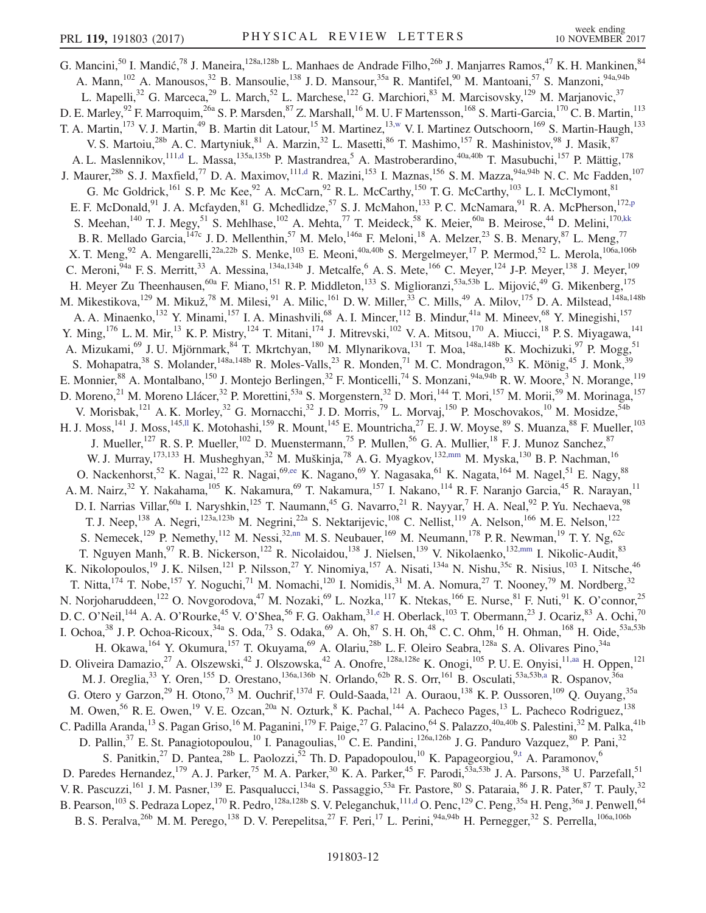<span id="page-12-3"></span><span id="page-12-2"></span><span id="page-12-1"></span><span id="page-12-0"></span>G. Mancini,<sup>50</sup> I. Mandić,<sup>78</sup> J. Maneira,<sup>128a,128b</sup> L. Manhaes de Andrade Filho,<sup>26b</sup> J. Manjarres Ramos,<sup>47</sup> K. H. Mankinen,<sup>84</sup> A. Mann,<sup>102</sup> A. Manousos,<sup>32</sup> B. Mansoulie,<sup>138</sup> J. D. Mansour,<sup>35a</sup> R. Mantifel,<sup>90</sup> M. Mantoani,<sup>57</sup> S. Manzoni,<sup>94a,94b</sup> L. Mapelli,<sup>32</sup> G. Marceca,<sup>29</sup> L. March,<sup>52</sup> L. Marchese,<sup>122</sup> G. Marchiori,<sup>83</sup> M. Marcisovsky,<sup>129</sup> M. Marjanovic,<sup>37</sup> D. E. Marley, <sup>92</sup> F. Marroquim, <sup>26a</sup> S. P. Marsden, <sup>87</sup> Z. Marshall, <sup>16</sup> M. U. F Martensson, <sup>168</sup> S. Marti-Garcia, <sup>170</sup> C. B. Martin, <sup>113</sup> T. A. Martin,<sup>173</sup> V. J. Martin,<sup>49</sup> B. Martin dit Latour,<sup>15</sup> M. Martinez,<sup>1[3,w](#page-20-0)</sup> V. I. Martinez Outschoorn,<sup>169</sup> S. Martin-Haugh,<sup>133</sup> V. S. Martoiu,<sup>28b</sup> A. C. Martyniuk,<sup>81</sup> A. Marzin,<sup>32</sup> L. Masetti,<sup>86</sup> T. Mashimo,<sup>157</sup> R. Mashinistov,<sup>98</sup> J. Masik,<sup>87</sup> A. L. Maslennikov,<sup>11[1,d](#page-19-3)</sup> L. Massa,<sup>135a,135b</sup> P. Mastrandrea,<sup>5</sup> A. Mastroberardino,<sup>40a,40b</sup> T. Masubuchi,<sup>157</sup> P. Mättig,<sup>178</sup> J. Maurer,<sup>28b</sup> S. J. Maxfield,<sup>77</sup> D. A. Maximov,<sup>111[,d](#page-19-3)</sup> R. Mazini,<sup>153</sup> I. Maznas,<sup>156</sup> S. M. Mazza,<sup>94a,94b</sup> N. C. Mc Fadden,<sup>107</sup> G. Mc Goldrick,  $^{161}$  S. P. Mc Kee,  $^{92}$  A. McCarn,  $^{92}$  R. L. McCarthy,  $^{150}$  T. G. McCarthy,  $^{103}$  L. I. McClymont,  $^{81}$ E. F. McDonald,<sup>91</sup> J. A. Mcfayden,<sup>81</sup> G. Mchedlidze,<sup>57</sup> S. J. McMahon,<sup>133</sup> P. C. McNamara,<sup>91</sup> R. A. McPherson,<sup>172[,p](#page-19-15)</sup> S. Meehan,<sup>140</sup> T. J. Megy,<sup>51</sup> S. Mehlhase,<sup>102</sup> A. Mehta,<sup>77</sup> T. Meideck,<sup>58</sup> K. Meier,<sup>60a</sup> B. Meirose,<sup>44</sup> D. Melini,<sup>170[,kk](#page-20-14)</sup> B. R. Mellado Garcia, <sup>147c</sup> J. D. Mellenthin,<sup>57</sup> M. Melo, <sup>146a</sup> F. Meloni, <sup>18</sup> A. Melzer, <sup>23</sup> S. B. Menary, <sup>87</sup> L. Meng, <sup>77</sup> X. T. Meng,  $92$  A. Mengarelli,  $22a,22b$  S. Menke,  $103$  E. Meoni,  $40a,40b$  S. Mergelmeyer,  $17$  P. Mermod,  $52$  L. Merola,  $106a,106b$ C. Meroni,  $94a$  F. S. Merritt,  $33$  A. Messina,  $134a,134b$  J. Metcalfe,  $6$  A. S. Mete,  $166$  C. Meyer,  $124$  J-P. Meyer,  $138$  J. Meyer,  $109$ H. Meyer Zu Theenhausen,<sup>60a</sup> F. Miano,<sup>151</sup> R. P. Middleton,<sup>133</sup> S. Miglioranzi,<sup>53a,53b</sup> L. Mijović,<sup>49</sup> G. Mikenberg,<sup>175</sup> M. Mikestikova, 129 M. Mikuž, <sup>78</sup> M. Milesi, <sup>91</sup> A. Milic, <sup>161</sup> D. W. Miller, <sup>33</sup> C. Mills, <sup>49</sup> A. Milov, 175 D. A. Milstead, 148a, 148b A. A. Minaenko,<sup>132</sup> Y. Minami,<sup>157</sup> I. A. Minashvili,<sup>68</sup> A. I. Mincer,<sup>112</sup> B. Mindur,<sup>41a</sup> M. Mineev,<sup>68</sup> Y. Minegishi,<sup>157</sup> Y. Ming,<sup>176</sup> L. M. Mir,<sup>13</sup> K. P. Mistry,<sup>124</sup> T. Mitani,<sup>174</sup> J. Mitrevski,<sup>102</sup> V. A. Mitsou,<sup>170</sup> A. Miucci,<sup>18</sup> P. S. Miyagawa,<sup>141</sup> A. Mizukami,<sup>69</sup> J. U. Mjörnmark,<sup>84</sup> T. Mkrtchyan,<sup>180</sup> M. Mlynarikova,<sup>131</sup> T. Moa,<sup>148a,148b</sup> K. Mochizuki,<sup>97</sup> P. Mogg,<sup>51</sup> S. Mohapatra,<sup>38</sup> S. Molander,<sup>148a,148b</sup> R. Moles-Valls,<sup>23</sup> R. Monden,<sup>71</sup> M. C. Mondragon,<sup>93</sup> K. Mönig,<sup>45</sup> J. Monk,<sup>39</sup> E. Monnier, <sup>88</sup> A. Montalbano, <sup>150</sup> J. Montejo Berlingen, <sup>32</sup> F. Monticelli, <sup>74</sup> S. Monzani, <sup>94a, 94b</sup> R. W. Moore, <sup>3</sup> N. Morange, <sup>119</sup> D. Moreno,<sup>21</sup> M. Moreno Llácer,<sup>32</sup> P. Morettini,<sup>53a</sup> S. Morgenstern,<sup>32</sup> D. Mori,<sup>144</sup> T. Mori,<sup>157</sup> M. Morii,<sup>59</sup> M. Morinaga,<sup>157</sup> V. Morisbak,<sup>121</sup> A. K. Morley,<sup>32</sup> G. Mornacchi,<sup>32</sup> J. D. Morris,<sup>79</sup> L. Morvaj,<sup>150</sup> P. Moschovakos,<sup>10</sup> M. Mosidze,<sup>54b</sup> H. J. Moss,<sup>141</sup> J. Moss,<sup>14[5,ll](#page-20-15)</sup> K. Motohashi,<sup>159</sup> R. Mount,<sup>145</sup> E. Mountricha,<sup>27</sup> E. J. W. Moyse,<sup>89</sup> S. Muanza,<sup>88</sup> F. Mueller,<sup>103</sup> J. Mueller,<sup>127</sup> R. S. P. Mueller,<sup>102</sup> D. Muenstermann,<sup>75</sup> P. Mullen,<sup>56</sup> G. A. Mullier,<sup>18</sup> F. J. Munoz Sanchez,<sup>87</sup> W. J. Murray, <sup>173,133</sup> H. Musheghyan, <sup>32</sup> M. Muškinja, <sup>78</sup> A. G. Myagkov, <sup>13[2,mm](#page-20-16)</sup> M. Myska, <sup>130</sup> B. P. Nachman, <sup>16</sup> O. Nackenhorst,<sup>52</sup> K. Nagai,<sup>122</sup> R. Nagai,<sup>69[,ee](#page-20-8)</sup> K. Nagano,<sup>69</sup> Y. Nagasaka,<sup>61</sup> K. Nagata,<sup>164</sup> M. Nagel,<sup>51</sup> E. Nagy,<sup>88</sup> A. M. Nairz,<sup>32</sup> Y. Nakahama,<sup>105</sup> K. Nakamura,<sup>69</sup> T. Nakamura,<sup>157</sup> I. Nakano,<sup>114</sup> R. F. Naranjo Garcia,<sup>45</sup> R. Narayan,<sup>11</sup> D. I. Narrias Villar,<sup>60a</sup> I. Naryshkin,<sup>125</sup> T. Naumann,<sup>45</sup> G. Navarro,<sup>21</sup> R. Nayyar,<sup>7</sup> H. A. Neal,<sup>92</sup> P. Yu. Nechaeva,<sup>98</sup> T. J. Neep,<sup>138</sup> A. Negri,<sup>123a,123b</sup> M. Negrini,<sup>22a</sup> S. Nektarijevic,<sup>108</sup> C. Nellist,<sup>119</sup> A. Nelson,<sup>166</sup> M. E. Nelson,<sup>122</sup> S. Nemecek,<sup>129</sup> P. Nemethy,<sup>112</sup> M. Nessi,<sup>32[,nn](#page-20-17)</sup> M. S. Neubauer,<sup>169</sup> M. Neumann,<sup>178</sup> P. R. Newman,<sup>19</sup> T. Y. Ng,<sup>62c</sup> T. Nguyen Manh,<sup>97</sup> R. B. Nickerson,<sup>122</sup> R. Nicolaidou,<sup>138</sup> J. Nielsen,<sup>139</sup> V. Nikolaenko,<sup>13[2,mm](#page-20-16)</sup> I. Nikolic-Audit,<sup>83</sup> K. Nikolopoulos,<sup>19</sup> J. K. Nilsen,<sup>121</sup> P. Nilsson,<sup>27</sup> Y. Ninomiya,<sup>157</sup> A. Nisati,<sup>134a</sup> N. Nishu,<sup>35c</sup> R. Nisius,<sup>103</sup> I. Nitsche,<sup>46</sup> T. Nitta,<sup>174</sup> T. Nobe,<sup>157</sup> Y. Noguchi,<sup>71</sup> M. Nomachi,<sup>120</sup> I. Nomidis,<sup>31</sup> M. A. Nomura,<sup>27</sup> T. Nooney,<sup>79</sup> M. Nordberg,<sup>32</sup> N. Norjoharuddeen, <sup>122</sup> O. Novgorodova, <sup>47</sup> M. Nozaki, <sup>69</sup> L. Nozka, <sup>117</sup> K. Ntekas, <sup>166</sup> E. Nurse, <sup>81</sup> F. Nuti, <sup>91</sup> K. O'connor, <sup>25</sup> D. C. O'Neil,<sup>144</sup> A. A. O'Rourke,<sup>45</sup> V. O'Shea,<sup>56</sup> F. G. Oakham,<sup>31[,e](#page-19-4)</sup> H. Oberlack,<sup>103</sup> T. Obermann,<sup>23</sup> J. Ocariz,<sup>83</sup> A. Ochi,<sup>70</sup> I. Ochoa,  $38$  J. P. Ochoa-Ricoux,  $34a$  S. Oda,  $73$  S. Odaka,  $69$  A. Oh,  $87$  S. H. Oh,  $48$  C. C. Ohm,  $^{16}$  H. Ohman,  $^{168}$  H. Oide,  $^{53a,53b}$ H. Okawa, <sup>164</sup> Y. Okumura, <sup>157</sup> T. Okuyama, <sup>69</sup> A. Olariu, <sup>28b</sup> L. F. Oleiro Seabra, <sup>128a</sup> S. A. Olivares Pino, <sup>34a</sup> D. Oliveira Damazio,<sup>27</sup> A. Olszewski,<sup>42</sup> J. Olszowska,<sup>42</sup> A. Onofre,<sup>128a,128e</sup> K. Onogi,<sup>105</sup> P. U. E. Onyisi,<sup>1[1,aa](#page-20-4)</sup> H. Oppen,<sup>121</sup> M. J. Oreglia,<sup>33</sup> Y. Oren,<sup>155</sup> D. Orestano,<sup>136a,136b</sup> N. Orlando,<sup>62b</sup> R. S. Orr,<sup>161</sup> B. Osculati,<sup>53a,53b[,a](#page-19-0)</sup> R. Ospanov,<sup>36a</sup> G. Otero y Garzon,<sup>29</sup> H. Otono,<sup>73</sup> M. Ouchrif,<sup>137d</sup> F. Ould-Saada,<sup>121</sup> A. Ouraou,<sup>138</sup> K. P. Oussoren,<sup>109</sup> Q. Ouyang,<sup>35a</sup> M. Owen,<sup>56</sup> R. E. Owen,<sup>19</sup> V. E. Ozcan,<sup>20a</sup> N. Ozturk,<sup>8</sup> K. Pachal,<sup>144</sup> A. Pacheco Pages,<sup>13</sup> L. Pacheco Rodriguez,<sup>138</sup> C. Padilla Aranda,<sup>13</sup> S. Pagan Griso,<sup>16</sup> M. Paganini,<sup>179</sup> F. Paige,<sup>27</sup> G. Palacino,<sup>64</sup> S. Palazzo,<sup>40a,40b</sup> S. Palestini,<sup>32</sup> M. Palka,<sup>41b</sup> D. Pallin,<sup>37</sup> E. St. Panagiotopoulou,<sup>10</sup> I. Panagoulias,<sup>10</sup> C. E. Pandini,<sup>126a,126b</sup> J. G. Panduro Vazquez,<sup>80</sup> P. Pani,<sup>32</sup> S. Panitkin,<sup>27</sup> D. Pantea,<sup>28b</sup> L. Paolozzi,<sup>52</sup> Th. D. Papadopoulou,<sup>10</sup> K. Papageorgiou,<sup>[9,t](#page-19-19)</sup> A. Paramonov,<sup>6</sup> D. Paredes Hernandez,<sup>179</sup> A. J. Parker,<sup>75</sup> M. A. Parker,<sup>30</sup> K. A. Parker,<sup>45</sup> F. Parodi,<sup>53a,53b</sup> J. A. Parsons,<sup>38</sup> U. Parzefall,<sup>51</sup> V. R. Pascuzzi,<sup>161</sup> J. M. Pasner,<sup>139</sup> E. Pasqualucci,<sup>134a</sup> S. Passaggio,<sup>53a</sup> Fr. Pastore,<sup>80</sup> S. Pataraia,<sup>86</sup> J. R. Pater,<sup>87</sup> T. Pauly,<sup>32</sup> B. Pearson, $^{103}$  S. Pedraza Lopez, $^{170}$  R. Pedro, $^{128a,128b}$  S. V. Peleganchuk, $^{111,d}$  $^{111,d}$  $^{111,d}$  O. Penc, $^{129}$  C. Peng, $^{35a}$  H. Peng, $^{36a}$  J. Penwell, $^{64}$ B. S. Peralva,<sup>26b</sup> M. M. Perego,<sup>138</sup> D. V. Perepelitsa,<sup>27</sup> F. Peri,<sup>17</sup> L. Perini,<sup>94a,94b</sup> H. Pernegger,<sup>32</sup> S. Perrella,<sup>106a,106b</sup>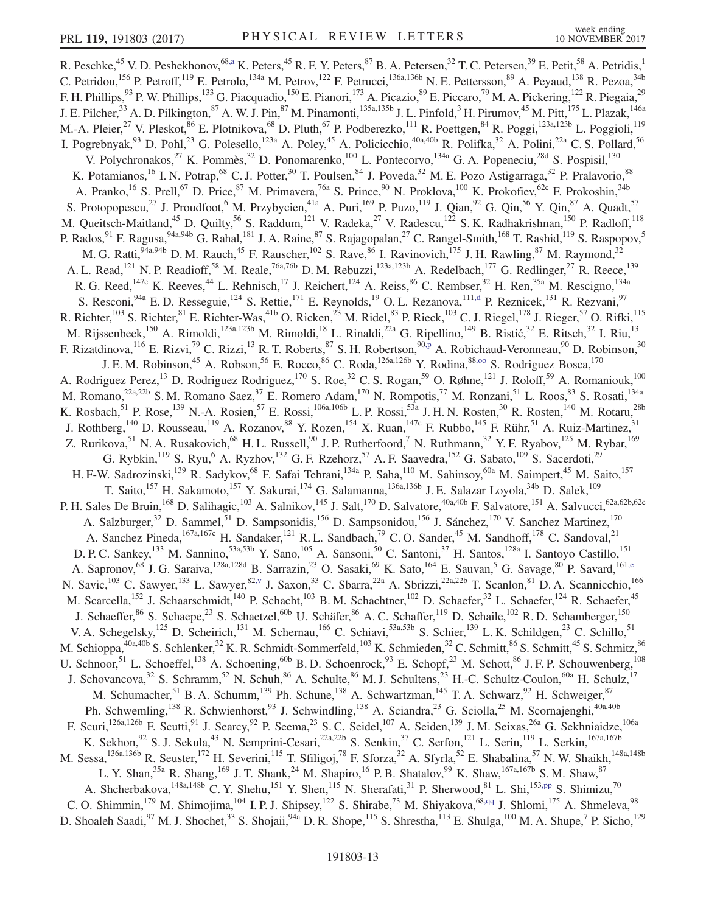<span id="page-13-2"></span><span id="page-13-1"></span><span id="page-13-0"></span>R. Peschke,<sup>45</sup> V. D. Peshekhonov,<sup>68[,a](#page-19-0)</sup> K. Peters,<sup>45</sup> R. F. Y. Peters,<sup>87</sup> B. A. Petersen,<sup>32</sup> T. C. Petersen,<sup>39</sup> E. Petit,<sup>58</sup> A. Petridis,<sup>1</sup> C. Petridou,<sup>156</sup> P. Petroff,<sup>119</sup> E. Petrolo,<sup>134a</sup> M. Petrov,<sup>122</sup> F. Petrucci,<sup>136a,136b</sup> N. E. Pettersson,<sup>89</sup> A. Peyaud,<sup>138</sup> R. Pezoa,<sup>34b</sup> F. H. Phillips,<sup>93</sup> P. W. Phillips,<sup>133</sup> G. Piacquadio,<sup>150</sup> E. Pianori,<sup>173</sup> A. Picazio,<sup>89</sup> E. Piccaro,<sup>79</sup> M. A. Pickering,<sup>122</sup> R. Piegaia,<sup>29</sup> J. E. Pilcher,<sup>33</sup> A. D. Pilkington,<sup>87</sup> A. W. J. Pin,<sup>87</sup> M. Pinamonti,<sup>135a,135b</sup> J. L. Pinfold,<sup>3</sup> H. Pirumov,<sup>45</sup> M. Pitt,<sup>175</sup> L. Plazak,<sup>146a</sup> M.-A. Pleier,<sup>27</sup> V. Pleskot,<sup>86</sup> E. Plotnikova,<sup>68</sup> D. Pluth,<sup>67</sup> P. Podberezko,<sup>111</sup> R. Poettgen,<sup>84</sup> R. Poggi,<sup>123a,123b</sup> L. Poggioli,<sup>119</sup> I. Pogrebnyak,  $93$  D. Pohl,  $23$  G. Polesello,  $123a$  A. Poley,  $45$  A. Policicchio,  $40a,40b$  R. Polifka,  $32$  A. Polini,  $22a$  C. S. Pollard,  $56$ V. Polychronakos,<sup>27</sup> K. Pommès,<sup>32</sup> D. Ponomarenko,<sup>100</sup> L. Pontecorvo,<sup>134a</sup> G. A. Popeneciu,<sup>28d</sup> S. Pospisil,<sup>130</sup> K. Potamianos,<sup>16</sup> I. N. Potrap,<sup>68</sup> C. J. Potter,<sup>30</sup> T. Poulsen,<sup>84</sup> J. Poveda,<sup>32</sup> M. E. Pozo Astigarraga,<sup>32</sup> P. Pralavorio,<sup>88</sup> A. Pranko,<sup>16</sup> S. Prell,<sup>67</sup> D. Price,<sup>87</sup> M. Primavera,<sup>76a</sup> S. Prince,<sup>90</sup> N. Proklova,<sup>100</sup> K. Prokofiev,<sup>62c</sup> F. Prokoshin,<sup>34b</sup> S. Protopopescu,<sup>27</sup> J. Proudfoot,<sup>6</sup> M. Przybycien,<sup>41a</sup> A. Puri,<sup>169</sup> P. Puzo,<sup>119</sup> J. Qian,<sup>92</sup> G. Qin,<sup>56</sup> Y. Qin,<sup>87</sup> A. Quadt,<sup>57</sup> M. Queitsch-Maitland,<sup>45</sup> D. Quilty,<sup>56</sup> S. Raddum,<sup>121</sup> V. Radeka,<sup>27</sup> V. Radescu,<sup>122</sup> S. K. Radhakrishnan,<sup>150</sup> P. Radloff,<sup>118</sup> P. Rados, <sup>91</sup> F. Ragusa, <sup>94a, 94b</sup> G. Rahal, <sup>181</sup> J. A. Raine, <sup>87</sup> S. Rajagopalan, <sup>27</sup> C. Rangel-Smith, <sup>168</sup> T. Rashid, <sup>119</sup> S. Raspopov, <sup>5</sup> M. G. Ratti, <sup>94a, 94b</sup> D. M. Rauch, <sup>45</sup> F. Rauscher, <sup>102</sup> S. Rave, <sup>86</sup> I. Ravinovich, <sup>175</sup> J. H. Rawling, <sup>87</sup> M. Raymond, <sup>32</sup> A. L. Read,<sup>121</sup> N. P. Readioff,<sup>58</sup> M. Reale,<sup>76a,76b</sup> D. M. Rebuzzi,<sup>123a,123b</sup> A. Redelbach,<sup>177</sup> G. Redlinger,<sup>27</sup> R. Reece,<sup>139</sup> R. G. Reed,<sup>147c</sup> K. Reeves,<sup>44</sup> L. Rehnisch,<sup>17</sup> J. Reichert,<sup>124</sup> A. Reiss,<sup>86</sup> C. Rembser,<sup>32</sup> H. Ren,<sup>35a</sup> M. Rescigno,<sup>134a</sup> S. Resconi, <sup>94a</sup> E. D. Resseguie, <sup>124</sup> S. Rettie, <sup>171</sup> E. Reynolds, <sup>19</sup> O. L. Rezanova, <sup>111[,d](#page-19-3)</sup> P. Reznicek, <sup>131</sup> R. Rezvani, <sup>97</sup> R. Richter,<sup>103</sup> S. Richter,<sup>81</sup> E. Richter-Was,<sup>41b</sup> O. Ricken,<sup>23</sup> M. Ridel,<sup>83</sup> P. Rieck,<sup>103</sup> C. J. Riegel,<sup>178</sup> J. Rieger,<sup>57</sup> O. Rifki,<sup>115</sup> M. Rijssenbeek, <sup>150</sup> A. Rimoldi, <sup>123a,123b</sup> M. Rimoldi, <sup>18</sup> L. Rinaldi, <sup>22a</sup> G. Ripellino, <sup>149</sup> B. Ristić, <sup>32</sup> E. Ritsch, <sup>32</sup> I. Riu, <sup>13</sup> F. Rizatdinova, <sup>116</sup> E. Rizvi, <sup>79</sup> C. Rizzi, <sup>13</sup> R. T. Roberts, <sup>87</sup> S. H. Robertson, <sup>90</sup>.<sub>P</sub> A. Robichaud-Veronneau, <sup>90</sup> D. Robinson, <sup>30</sup> J. E. M. Robinson,<sup>45</sup> A. Robson,<sup>56</sup> E. Rocco,<sup>86</sup> C. Roda,<sup>126a,126b</sup> Y. Rodina,<sup>88,00</sup> S. Rodriguez Bosca,<sup>170</sup> A. Rodriguez Perez,<sup>13</sup> D. Rodriguez Rodriguez,<sup>170</sup> S. Roe,<sup>32</sup> C. S. Rogan,<sup>59</sup> O. Røhne,<sup>121</sup> J. Roloff,<sup>59</sup> A. Romaniouk,<sup>100</sup> M. Romano,<sup>22a,22b</sup> S. M. Romano Saez,<sup>37</sup> E. Romero Adam,<sup>170</sup> N. Rompotis,<sup>77</sup> M. Ronzani,<sup>51</sup> L. Roos,<sup>83</sup> S. Rosati,<sup>134a</sup> K. Rosbach, <sup>51</sup> P. Rose, <sup>139</sup> N.-A. Rosien, <sup>57</sup> E. Rossi, <sup>106a, 106b</sup> L. P. Rossi, <sup>53a</sup> J. H. N. Rosten, <sup>30</sup> R. Rosten, <sup>140</sup> M. Rotaru, <sup>28b</sup> J. Rothberg,<sup>140</sup> D. Rousseau,<sup>119</sup> A. Rozanov,<sup>88</sup> Y. Rozen,<sup>154</sup> X. Ruan,<sup>147c</sup> F. Rubbo,<sup>145</sup> F. Rühr,<sup>51</sup> A. Ruiz-Martinez,<sup>31</sup> Z. Rurikova,<sup>51</sup> N. A. Rusakovich,<sup>68</sup> H. L. Russell,<sup>90</sup> J. P. Rutherfoord,<sup>7</sup> N. Ruthmann,<sup>32</sup> Y. F. Ryabov,<sup>125</sup> M. Rybar,<sup>169</sup> G. Rybkin,  $^{119}$  S. Ryu,  $^{6}$  A. Ryzhov,  $^{132}$  G. F. Rzehorz,  $^{57}$  A. F. Saavedra,  $^{152}$  G. Sabato,  $^{109}$  S. Sacerdoti,  $^{29}$ H. F-W. Sadrozinski,<sup>139</sup> R. Sadykov,<sup>68</sup> F. Safai Tehrani,<sup>134a</sup> P. Saha,<sup>110</sup> M. Sahinsoy,<sup>60a</sup> M. Saimpert,<sup>45</sup> M. Saito,<sup>157</sup> T. Saito,<sup>157</sup> H. Sakamoto,<sup>157</sup> Y. Sakurai,<sup>174</sup> G. Salamanna,<sup>136a,136b</sup> J. E. Salazar Loyola,<sup>34b</sup> D. Salek,<sup>109</sup> P. H. Sales De Bruin, <sup>168</sup> D. Salihagic, <sup>103</sup> A. Salnikov, <sup>145</sup> J. Salt, <sup>170</sup> D. Salvatore, <sup>40a, 40b</sup> F. Salvatore, <sup>151</sup> A. Salvucci, <sup>62a, 62b, 62c</sup> A. Salzburger,<sup>32</sup> D. Sammel,<sup>51</sup> D. Sampsonidis,<sup>156</sup> D. Sampsonidou,<sup>156</sup> J. Sánchez,<sup>170</sup> V. Sanchez Martinez,<sup>170</sup> A. Sanchez Pineda,<sup>167a,167c</sup> H. Sandaker,<sup>121</sup> R. L. Sandbach,<sup>79</sup> C. O. Sander,<sup>45</sup> M. Sandhoff,<sup>178</sup> C. Sandoval,<sup>21</sup> D. P. C. Sankey,<sup>133</sup> M. Sannino,<sup>53a,53b</sup> Y. Sano,<sup>105</sup> A. Sansoni,<sup>50</sup> C. Santoni,<sup>37</sup> H. Santos,<sup>128a</sup> I. Santoyo Castillo,<sup>151</sup> A. Sapronov,<sup>68</sup> J. G. Saraiva,<sup>128a,128d</sup> B. Sarrazin,<sup>23</sup> O. Sasaki,<sup>69</sup> K. Sato,<sup>164</sup> E. Sauvan,<sup>5</sup> G. Savage,<sup>80</sup> P. Savard,<sup>161[,e](#page-19-4)</sup> N. Savic,<sup>103</sup> C. Sawyer,<sup>133</sup> L. Sawyer,<sup>82[,v](#page-19-21)</sup> J. Saxon,<sup>33</sup> C. Sbarra,<sup>22a</sup> A. Sbrizzi,<sup>22a,22b</sup> T. Scanlon,<sup>81</sup> D. A. Scannicchio,<sup>166</sup> M. Scarcella,<sup>152</sup> J. Schaarschmidt,<sup>140</sup> P. Schacht,<sup>103</sup> B. M. Schachtner,<sup>102</sup> D. Schaefer,<sup>32</sup> L. Schaefer,<sup>124</sup> R. Schaefer,<sup>45</sup> J. Schaeffer,<sup>86</sup> S. Schaepe,<sup>23</sup> S. Schaetzel,<sup>60b</sup> U. Schäfer,<sup>86</sup> A. C. Schaffer,<sup>119</sup> D. Schaile,<sup>102</sup> R. D. Schamberger,<sup>150</sup> V. A. Schegelsky,<sup>125</sup> D. Scheirich,<sup>131</sup> M. Schernau,<sup>166</sup> C. Schiavi,<sup>53a,53b</sup> S. Schier,<sup>139</sup> L. K. Schildgen,<sup>23</sup> C. Schillo,<sup>51</sup> M. Schioppa, <sup>40a, 40b</sup> S. Schlenker, <sup>32</sup> K. R. Schmidt-Sommerfeld, <sup>103</sup> K. Schmieden, <sup>32</sup> C. Schmitt, <sup>86</sup> S. Schmitt, <sup>45</sup> S. Schmitz, <sup>86</sup> U. Schnoor, <sup>51</sup> L. Schoeffel, <sup>138</sup> A. Schoening, <sup>60b</sup> B. D. Schoenrock, <sup>93</sup> E. Schopf, <sup>23</sup> M. Schott, <sup>86</sup> J. F. P. Schouwenberg, <sup>108</sup> J. Schovancova,<sup>32</sup> S. Schramm,<sup>52</sup> N. Schuh,<sup>86</sup> A. Schulte,<sup>86</sup> M. J. Schultens,<sup>23</sup> H.-C. Schultz-Coulon,<sup>60a</sup> H. Schulz,<sup>17</sup> M. Schumacher,<sup>51</sup> B. A. Schumm,<sup>139</sup> Ph. Schune,<sup>138</sup> A. Schwartzman,<sup>145</sup> T. A. Schwarz,<sup>92</sup> H. Schweiger,<sup>87</sup> Ph. Schwemling,<sup>138</sup> R. Schwienhorst,<sup>93</sup> J. Schwindling,<sup>138</sup> A. Sciandra,<sup>23</sup> G. Sciolla,<sup>25</sup> M. Scornajenghi,<sup>40a,40b</sup> F. Scuri,<sup>126a,126b</sup> F. Scutti,<sup>91</sup> J. Searcy,<sup>92</sup> P. Seema,<sup>23</sup> S. C. Seidel,<sup>107</sup> A. Seiden,<sup>139</sup> J. M. Seixas,<sup>26a</sup> G. Sekhniaidze,<sup>106a</sup> K. Sekhon,  $92$  S. J. Sekula,  $43$  N. Semprini-Cesari,  $22a,22b$  S. Senkin,  $37$  C. Serfon,  $121$  L. Serin,  $119$  L. Serkin,  $167a,167b$ M. Sessa,<sup>136a,136b</sup> R. Seuster,<sup>172</sup> H. Severini,<sup>115</sup> T. Sfiligoj,<sup>78</sup> F. Sforza,<sup>32</sup> A. Sfyrla,<sup>52</sup> E. Shabalina,<sup>57</sup> N. W. Shaikh,<sup>148a,148b</sup> L. Y. Shan,<sup>35a</sup> R. Shang,<sup>169</sup> J. T. Shank,<sup>24</sup> M. Shapiro,<sup>16</sup> P. B. Shatalov,<sup>99</sup> K. Shaw,<sup>167a,167b</sup> S. M. Shaw,<sup>87</sup> A. Shcherbakova,<sup>148a,148b</sup> C. Y. Shehu,<sup>151</sup> Y. Shen,<sup>115</sup> N. Sherafati,<sup>31</sup> P. Sherwood,<sup>81</sup> L. Shi,<sup>153[,pp](#page-20-19)</sup> S. Shimizu,<sup>70</sup> C. O. Shimmin,<sup>179</sup> M. Shimojima,<sup>104</sup> I. P. J. Shipsey,<sup>122</sup> S. Shirabe,<sup>73</sup> M. Shiyakova,<sup>68[,qq](#page-20-20)</sup> J. Shlomi,<sup>175</sup> A. Shmeleva,<sup>98</sup> D. Shoaleh Saadi,  $97$  M. J. Shochet,  $33$  S. Shojaii,  $94a$  D. R. Shope,  $115$  S. Shrestha,  $113$  E. Shulga,  $100$  M. A. Shupe,  $7$  P. Sicho,  $129$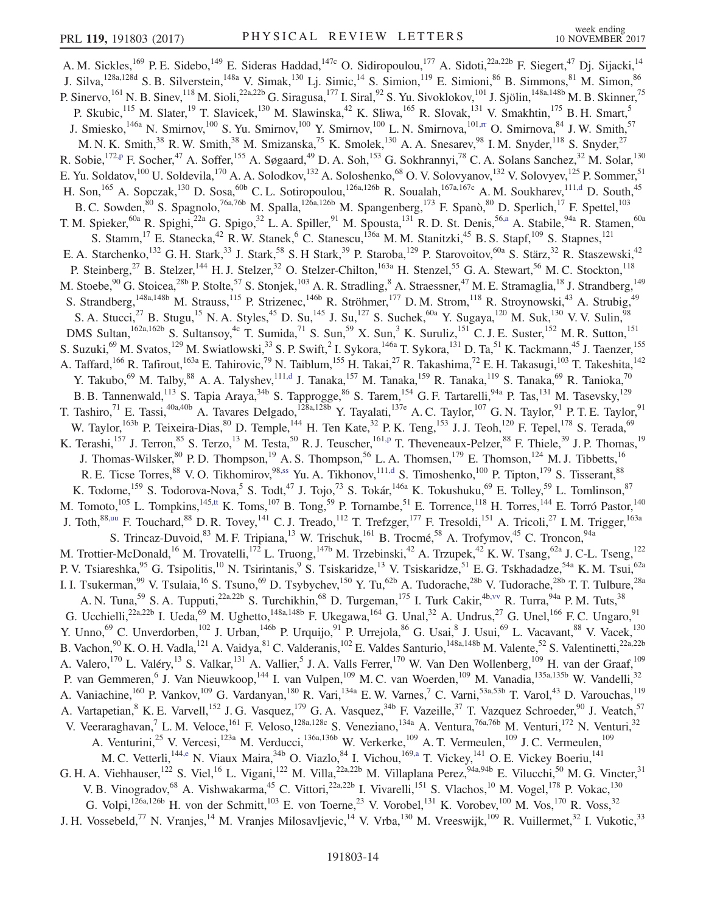<span id="page-14-0"></span>A. M. Sickles,<sup>169</sup> P. E. Sidebo,<sup>149</sup> E. Sideras Haddad,<sup>147c</sup> O. Sidiropoulou,<sup>177</sup> A. Sidoti,<sup>22a,22b</sup> F. Siegert,<sup>47</sup> Dj. Sijacki,<sup>14</sup> J. Silva,<sup>128a,128d</sup> S. B. Silverstein,<sup>148a</sup> V. Simak,<sup>130</sup> Lj. Simic,<sup>14</sup> S. Simion,<sup>119</sup> E. Simioni,<sup>86</sup> B. Simmons,<sup>81</sup> M. Simon,<sup>86</sup> P. Sinervo,<sup>161</sup> N. B. Sinev,<sup>118</sup> M. Sioli,<sup>22a,22b</sup> G. Siragusa,<sup>177</sup> I. Siral,<sup>92</sup> S. Yu. Sivoklokov,<sup>101</sup> J. Sjölin,<sup>148a,148b</sup> M. B. Skinner,<sup>75</sup> P. Skubic,<sup>115</sup> M. Slater,<sup>19</sup> T. Slavicek,<sup>130</sup> M. Slawinska,<sup>42</sup> K. Sliwa,<sup>165</sup> R. Slovak,<sup>131</sup> V. Smakhtin,<sup>175</sup> B. H. Smart,<sup>5</sup> J. Smiesko,<sup>146a</sup> N. Smirnov,<sup>100</sup> S. Yu. Smirnov,<sup>100</sup> Y. Smirnov,<sup>100</sup> L. N. Smirnova,<sup>101[,rr](#page-20-21)</sup> O. Smirnova,<sup>84</sup> J. W. Smith,<sup>57</sup> M. N. K. Smith,<sup>38</sup> R. W. Smith,<sup>38</sup> M. Smizanska,<sup>75</sup> K. Smolek,<sup>130</sup> A. A. Snesarev,<sup>98</sup> I. M. Snyder,<sup>118</sup> S. Snyder,<sup>27</sup> R. Sobie,<sup>172[,p](#page-19-15)</sup> F. Socher,<sup>47</sup> A. Soffer,<sup>155</sup> A. Søgaard,<sup>49</sup> D. A. Soh,<sup>153</sup> G. Sokhrannyi,<sup>78</sup> C. A. Solans Sanchez,<sup>32</sup> M. Solar,<sup>130</sup> E. Yu. Soldatov,<sup>100</sup> U. Soldevila,<sup>170</sup> A. A. Solodkov,<sup>132</sup> A. Soloshenko,<sup>68</sup> O. V. Solovyanov,<sup>132</sup> V. Solovyev,<sup>125</sup> P. Sommer,<sup>51</sup> H. Son,<sup>165</sup> A. Sopczak,<sup>130</sup> D. Sosa,<sup>60b</sup> C. L. Sotiropoulou,<sup>126a,126b</sup> R. Soualah,<sup>167a,167c</sup> A. M. Soukharev,<sup>11[1,d](#page-19-3)</sup> D. South,<sup>45</sup> B. C. Sowden,  $80$  S. Spagnolo,  $76a,76b$  M. Spalla,  $126a,126b$  M. Spangenberg,  $173$  F. Spanò,  $80$  D. Sperlich,  $17$  F. Spettel,  $103$ T. M. Spieker,<sup>60a</sup> R. Spighi,<sup>22a</sup> G. Spigo,<sup>32</sup> L. A. Spiller,<sup>91</sup> M. Spousta,<sup>131</sup> R. D. St. Denis,<sup>5[6,a](#page-19-0)</sup> A. Stabile,<sup>94a</sup> R. Stamen,<sup>60a</sup> S. Stamm,<sup>17</sup> E. Stanecka,<sup>42</sup> R. W. Stanek,<sup>6</sup> C. Stanescu,<sup>136a</sup> M. M. Stanitzki,<sup>45</sup> B. S. Stapf,<sup>109</sup> S. Stapnes,<sup>121</sup> E. A. Starchenko,<sup>132</sup> G. H. Stark,<sup>33</sup> J. Stark,<sup>58</sup> S. H Stark,<sup>39</sup> P. Staroba,<sup>129</sup> P. Starovoitov,<sup>60a</sup> S. Stärz,<sup>32</sup> R. Staszewski,<sup>42</sup> P. Steinberg,<sup>27</sup> B. Stelzer,<sup>144</sup> H. J. Stelzer,<sup>32</sup> O. Stelzer-Chilton,<sup>163a</sup> H. Stenzel,<sup>55</sup> G. A. Stewart,<sup>56</sup> M. C. Stockton,<sup>118</sup> M. Stoebe,<sup>90</sup> G. Stoicea,<sup>28b</sup> P. Stolte,<sup>57</sup> S. Stonjek,<sup>103</sup> A. R. Stradling,<sup>8</sup> A. Straessner,<sup>47</sup> M. E. Stramaglia,<sup>18</sup> J. Strandberg,<sup>149</sup> S. Strandberg, <sup>148a,148b</sup> M. Strauss, <sup>115</sup> P. Strizenec, <sup>146b</sup> R. Ströhmer, <sup>177</sup> D. M. Strom, <sup>118</sup> R. Stroynowski, <sup>43</sup> A. Strubig, <sup>49</sup> S. A. Stucci,<sup>27</sup> B. Stugu,<sup>15</sup> N. A. Styles,<sup>45</sup> D. Su,<sup>145</sup> J. Su,<sup>127</sup> S. Suchek,<sup>60a</sup> Y. Sugaya,<sup>120</sup> M. Suk,<sup>130</sup> V. V. Sulin,<sup>98</sup> DMS Sultan,<sup>162a,162b</sup> S. Sultansoy,<sup>4c</sup> T. Sumida,<sup>71</sup> S. Sun,<sup>59</sup> X. Sun,<sup>3</sup> K. Suruliz,<sup>151</sup> C. J. E. Suster,<sup>152</sup> M. R. Sutton,<sup>151</sup> S. Suzuki,<sup>69</sup> M. Svatos,<sup>129</sup> M. Swiatlowski,<sup>33</sup> S. P. Swift,<sup>2</sup> I. Sykora,<sup>146a</sup> T. Sykora,<sup>131</sup> D. Ta,<sup>51</sup> K. Tackmann,<sup>45</sup> J. Taenzer,<sup>155</sup> A. Taffard,<sup>166</sup> R. Tafirout,<sup>163a</sup> E. Tahirovic,<sup>79</sup> N. Taiblum,<sup>155</sup> H. Takai,<sup>27</sup> R. Takashima,<sup>72</sup> E. H. Takasugi,<sup>103</sup> T. Takeshita,<sup>142</sup> Y. Takubo,<sup>69</sup> M. Talby,<sup>88</sup> A. A. Talyshev,<sup>11[1,d](#page-19-3)</sup> J. Tanaka,<sup>157</sup> M. Tanaka,<sup>159</sup> R. Tanaka,<sup>119</sup> S. Tanaka,<sup>69</sup> R. Tanioka,<sup>70</sup> B. B. Tannenwald,<sup>113</sup> S. Tapia Araya,<sup>34b</sup> S. Tapprogge,<sup>86</sup> S. Tarem,<sup>154</sup> G. F. Tartarelli,<sup>94a</sup> P. Tas,<sup>131</sup> M. Tasevsky,<sup>129</sup> T. Tashiro,<sup>71</sup> E. Tassi,<sup>40a,40b</sup> A. Tavares Delgado,<sup>128a,128b</sup> Y. Tayalati,<sup>137e</sup> A. C. Taylor,<sup>107</sup> G. N. Taylor,<sup>91</sup> P. T. E. Taylor,<sup>91</sup> W. Taylor,<sup>163b</sup> P. Teixeira-Dias,<sup>80</sup> D. Temple,<sup>144</sup> H. Ten Kate,<sup>32</sup> P. K. Teng,<sup>153</sup> J. J. Teoh,<sup>120</sup> F. Tepel,<sup>178</sup> S. Terada,<sup>69</sup> K. Terashi,<sup>157</sup> J. Terron,<sup>85</sup> S. Terzo,<sup>13</sup> M. Testa,<sup>50</sup> R. J. Teuscher,<sup>161[,p](#page-19-15)</sup> T. Theveneaux-Pelzer,<sup>88</sup> F. Thiele,<sup>39</sup> J. P. Thomas,<sup>19</sup> J. Thomas-Wilsker,  $80$  P. D. Thompson,  $^{19}$  A. S. Thompson,  $^{56}$  L. A. Thomsen,  $^{179}$  E. Thomson,  $^{124}$  M. J. Tibbetts,  $^{16}$ R. E. Ticse Torres,<sup>88</sup> V. O. Tikhomirov,<sup>9[8,ss](#page-20-22)</sup> Yu. A. Tikhonov,<sup>11[1,d](#page-19-3)</sup> S. Timoshenko,<sup>100</sup> P. Tipton,<sup>179</sup> S. Tisserant,<sup>88</sup> K. Todome,<sup>159</sup> S. Todorova-Nova,<sup>5</sup> S. Todt,<sup>47</sup> J. Tojo,<sup>73</sup> S. Tokár,<sup>146a</sup> K. Tokushuku,<sup>69</sup> E. Tolley,<sup>59</sup> L. Tomlinson,<sup>87</sup> M. Tomoto,<sup>105</sup> L. Tompkins,<sup>145[,tt](#page-20-23)</sup> K. Toms,<sup>107</sup> B. Tong,<sup>59</sup> P. Tornambe,<sup>51</sup> E. Torrence,<sup>118</sup> H. Torres,<sup>144</sup> E. Torró Pastor,<sup>140</sup> J. Toth,<sup>88[,uu](#page-20-24)</sup> F. Touchard,<sup>88</sup> D. R. Tovey,<sup>141</sup> C. J. Treado,<sup>112</sup> T. Trefzger,<sup>177</sup> F. Tresoldi,<sup>151</sup> A. Tricoli,<sup>27</sup> I. M. Trigger,<sup>163a</sup> S. Trincaz-Duvoid,  $83$  M. F. Tripiana,  $13$  W. Trischuk,  $161$  B. Trocmé,  $58$  A. Trofymov,  $45$  C. Troncon,  $94a$ M. Trottier-McDonald,<sup>16</sup> M. Trovatelli,<sup>172</sup> L. Truong,<sup>147b</sup> M. Trzebinski,<sup>42</sup> A. Trzupek,<sup>42</sup> K. W. Tsang,<sup>62a</sup> J. C-L. Tseng,<sup>122</sup> P. V. Tsiareshka,<sup>95</sup> G. Tsipolitis,<sup>10</sup> N. Tsirintanis,<sup>9</sup> S. Tsiskaridze,<sup>13</sup> V. Tsiskaridze,<sup>51</sup> E. G. Tskhadadze,<sup>54a</sup> K. M. Tsui,<sup>62a</sup> I. I. Tsukerman,<sup>99</sup> V. Tsulaia,<sup>16</sup> S. Tsuno,<sup>69</sup> D. Tsybychev,<sup>150</sup> Y. Tu,<sup>62b</sup> A. Tudorache,<sup>28b</sup> V. Tudorache,<sup>28b</sup> T. T. Tulbure,<sup>28a</sup> A. N. Tuna,<sup>59</sup> S. A. Tupputi,<sup>22a,22b</sup> S. Turchikhin,<sup>68</sup> D. Turgeman,<sup>175</sup> I. Turk Cakir,<sup>4[b,vv](#page-20-25)</sup> R. Turra,<sup>94a</sup> P. M. Tuts,<sup>38</sup> G. Ucchielli,<sup>22a,22b</sup> I. Ueda,<sup>69</sup> M. Ughetto,<sup>148a,148b</sup> F. Ukegawa,<sup>164</sup> G. Unal,<sup>32</sup> A. Undrus,<sup>27</sup> G. Unel,<sup>166</sup> F. C. Ungaro,<sup>91</sup> Y. Unno,<sup>69</sup> C. Unverdorben,<sup>102</sup> J. Urban,<sup>146b</sup> P. Urquijo,<sup>91</sup> P. Urrejola,<sup>86</sup> G. Usai,<sup>8</sup> J. Usui,<sup>69</sup> L. Vacavant,<sup>88</sup> V. Vacek,<sup>130</sup> B. Vachon, <sup>90</sup> K. O. H. Vadla, <sup>121</sup> A. Vaidya, <sup>81</sup> C. Valderanis, <sup>102</sup> E. Valdes Santurio, <sup>148a, 148b</sup> M. Valente, <sup>52</sup> S. Valentinetti, <sup>22a, 22b</sup> A. Valero,<sup>170</sup> L. Valéry,<sup>13</sup> S. Valkar,<sup>131</sup> A. Vallier,<sup>5</sup> J. A. Valls Ferrer,<sup>170</sup> W. Van Den Wollenberg,<sup>109</sup> H. van der Graaf,<sup>109</sup> P. van Gemmeren,<sup>6</sup> J. Van Nieuwkoop,<sup>144</sup> I. van Vulpen,<sup>109</sup> M. C. van Woerden,<sup>109</sup> M. Vanadia,<sup>135a,135b</sup> W. Vandelli,<sup>32</sup> A. Vaniachine,<sup>160</sup> P. Vankov,<sup>109</sup> G. Vardanyan,<sup>180</sup> R. Vari,<sup>134a</sup> E.W. Varnes,<sup>7</sup> C. Varni,<sup>53a,53b</sup> T. Varol,<sup>43</sup> D. Varouchas,<sup>119</sup> A. Vartapetian, <sup>8</sup> K. E. Varvell, <sup>152</sup> J. G. Vasquez, <sup>179</sup> G. A. Vasquez, <sup>34b</sup> F. Vazeille, <sup>37</sup> T. Vazquez Schroeder, <sup>90</sup> J. Veatch, <sup>57</sup> V. Veeraraghavan,<sup>7</sup> L. M. Veloce,<sup>161</sup> F. Veloso,<sup>128a,128c</sup> S. Veneziano,<sup>134a</sup> A. Ventura,<sup>76a,76b</sup> M. Venturi,<sup>172</sup> N. Venturi,<sup>32</sup> A. Venturini,<sup>25</sup> V. Vercesi,<sup>123a</sup> M. Verducci,<sup>136a,136b</sup> W. Verkerke,<sup>109</sup> A. T. Vermeulen,<sup>109</sup> J. C. Vermeulen,<sup>109</sup> M. C. Vetterli, <sup>144[,e](#page-19-4)</sup> N. Viaux Maira, <sup>34b</sup> O. Viazlo, <sup>84</sup> I. Vichou, <sup>169[,a](#page-19-0)</sup> T. Vickey, <sup>141</sup> O. E. Vickey Boeriu, <sup>141</sup> G. H. A. Viehhauser,<sup>122</sup> S. Viel,<sup>16</sup> L. Vigani,<sup>122</sup> M. Villa,<sup>22a,22b</sup> M. Villaplana Perez,<sup>94a,94b</sup> E. Vilucchi,<sup>50</sup> M. G. Vincter,<sup>31</sup> V. B. Vinogradov,<sup>68</sup> A. Vishwakarma,<sup>45</sup> C. Vittori,<sup>22a,22b</sup> I. Vivarelli,<sup>151</sup> S. Vlachos,<sup>10</sup> M. Vogel,<sup>178</sup> P. Vokac,<sup>130</sup> G. Volpi,  $^{126a,126b}$  H. von der Schmitt,  $^{103}$  E. von Toerne,  $^{23}$  V. Vorobel,  $^{131}$  K. Vorobev,  $^{100}$  M. Vos,  $^{170}$  R. Voss,  $^{32}$ 

<span id="page-14-4"></span><span id="page-14-3"></span><span id="page-14-2"></span><span id="page-14-1"></span>J. H. Vossebeld,<sup>77</sup> N. Vranjes,<sup>14</sup> M. Vranjes Milosavljevic,<sup>14</sup> V. Vrba,<sup>130</sup> M. Vreeswijk,<sup>109</sup> R. Vuillermet,<sup>32</sup> I. Vukotic,<sup>33</sup>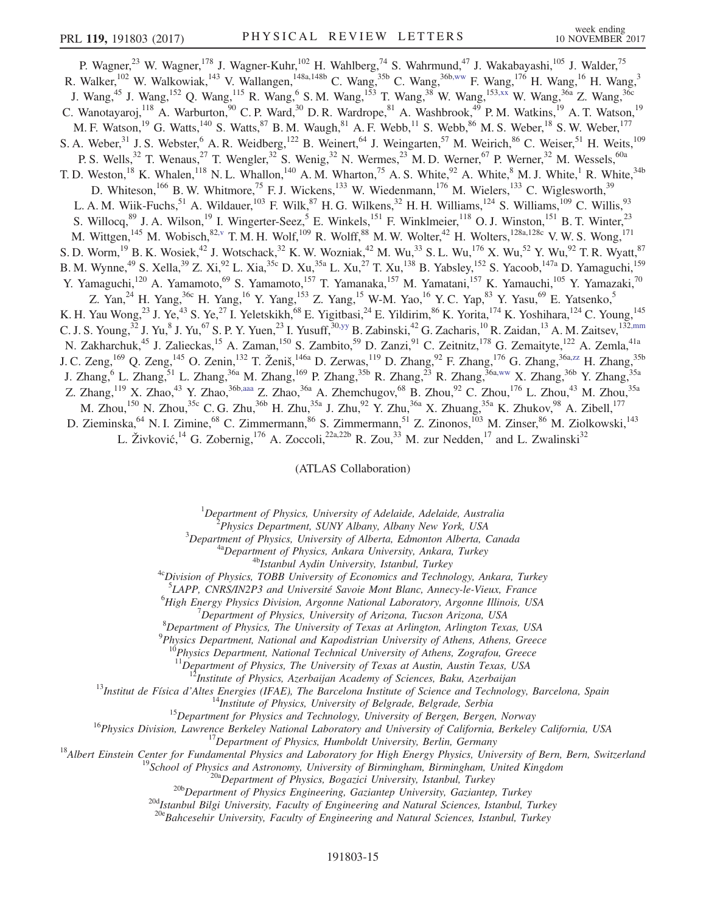<span id="page-15-1"></span>P. Wagner,<sup>23</sup> W. Wagner,<sup>178</sup> J. Wagner-Kuhr,<sup>102</sup> H. Wahlberg,<sup>74</sup> S. Wahrmund,<sup>47</sup> J. Wakabayashi,<sup>105</sup> J. Walder,<sup>75</sup> R. Walker,<sup>102</sup> W. Walkowiak,<sup>143</sup> V. Wallangen,<sup>148a,148b</sup> C. Wang,<sup>35b</sup> C. Wang,<sup>36[b,ww](#page-20-26)</sup> F. Wang,<sup>176</sup> H. Wang,<sup>16</sup> H. Wang,<sup>3</sup> J. Wang,<sup>45</sup> J. Wang,<sup>152</sup> Q. Wang,<sup>115</sup> R. Wang,<sup>6</sup> S. M. Wang,<sup>153</sup> T. Wang,<sup>38</sup> W. Wang,<sup>15[3,xx](#page-20-27)</sup> W. Wang,<sup>36a</sup> Z. Wang,<sup>36c</sup> C. Wanotayaroj,<sup>118</sup> A. Warburton,<sup>90</sup> C. P. Ward,<sup>30</sup> D. R. Wardrope,<sup>81</sup> A. Washbrook,<sup>49</sup> P. M. Watkins,<sup>19</sup> A. T. Watson,<sup>19</sup> M. F. Watson,<sup>19</sup> G. Watts,<sup>140</sup> S. Watts,<sup>87</sup> B. M. Waugh,<sup>81</sup> A. F. Webb,<sup>11</sup> S. Webb,<sup>86</sup> M. S. Weber,<sup>18</sup> S. W. Weber,<sup>177</sup> S. A. Weber,  $31$  J. S. Webster,  $6$  A. R. Weidberg,  $122$  B. Weinert,  $64$  J. Weingarten,  $57$  M. Weirich,  $86$  C. Weiser,  $51$  H. Weits,  $109$ P. S. Wells,<sup>32</sup> T. Wenaus,<sup>27</sup> T. Wengler,<sup>32</sup> S. Wenig,<sup>32</sup> N. Wermes,<sup>23</sup> M. D. Werner,<sup>67</sup> P. Werner,<sup>32</sup> M. Wessels,<sup>60a</sup> T. D. Weston,<sup>18</sup> K. Whalen,<sup>118</sup> N. L. Whallon,<sup>140</sup> A. M. Wharton,<sup>75</sup> A. S. White,<sup>92</sup> A. White,<sup>8</sup> M. J. White,<sup>1</sup> R. White,<sup>34b</sup> D. Whiteson,<sup>166</sup> B. W. Whitmore,<sup>75</sup> F. J. Wickens,<sup>133</sup> W. Wiedenmann,<sup>176</sup> M. Wielers,<sup>133</sup> C. Wiglesworth,<sup>39</sup> L. A. M. Wiik-Fuchs, <sup>51</sup> A. Wildauer, <sup>103</sup> F. Wilk, <sup>87</sup> H. G. Wilkens, <sup>32</sup> H. H. Williams, <sup>124</sup> S. Williams, <sup>109</sup> C. Willis, <sup>93</sup> S. Willocq,<sup>89</sup> J. A. Wilson,<sup>19</sup> I. Wingerter-Seez,<sup>5</sup> E. Winkels,<sup>151</sup> F. Winklmeier,<sup>118</sup> O. J. Winston,<sup>151</sup> B. T. Winter,<sup>23</sup> M. Wittgen,<sup>145</sup> M. Wobisch,<sup>8[2,v](#page-19-21)</sup> T. M. H. Wolf,<sup>109</sup> R. Wolff,<sup>88</sup> M. W. Wolter,<sup>42</sup> H. Wolters,<sup>128a,128c</sup> V. W. S. Wong,<sup>171</sup> S. D. Worm, <sup>19</sup> B. K. Wosiek, <sup>42</sup> J. Wotschack, <sup>32</sup> K. W. Wozniak, <sup>42</sup> M. Wu, <sup>33</sup> S. L. Wu, <sup>176</sup> X. Wu, <sup>52</sup> Y. Wu, <sup>92</sup> T. R. Wyatt, <sup>87</sup> B. M. Wynne,<sup>49</sup> S. Xella,<sup>39</sup> Z. Xi,<sup>92</sup> L. Xia,<sup>35c</sup> D. Xu,<sup>35a</sup> L. Xu,<sup>27</sup> T. Xu,<sup>138</sup> B. Yabsley,<sup>152</sup> S. Yacoob,<sup>147a</sup> D. Yamaguchi,<sup>159</sup> Y. Yamaguchi,<sup>120</sup> A. Yamamoto,<sup>69</sup> S. Yamamoto,<sup>157</sup> T. Yamanaka,<sup>157</sup> M. Yamatani,<sup>157</sup> K. Yamauchi,<sup>105</sup> Y. Yamazaki,<sup>70</sup> Z. Yan,<sup>24</sup> H. Yang,<sup>36c</sup> H. Yang,<sup>16</sup> Y. Yang,<sup>153</sup> Z. Yang,<sup>15</sup> W-M. Yao,<sup>16</sup> Y. C. Yap,<sup>83</sup> Y. Yasu,<sup>69</sup> E. Yatsenko,<sup>5</sup> K. H. Yau Wong,<sup>23</sup> J. Ye,<sup>43</sup> S. Ye,<sup>27</sup> I. Yeletskikh,<sup>68</sup> E. Yigitbasi,<sup>24</sup> E. Yildirim,<sup>86</sup> K. Yorita,<sup>174</sup> K. Yoshihara,<sup>124</sup> C. Young,<sup>145</sup> C. J. S. Young, <sup>32</sup> J. Yu, <sup>8</sup> J. Yu, <sup>67</sup> S. P. Y. Yuen, <sup>23</sup> I. Yusuff, <sup>3[0,yy](#page-20-28)</sup> B. Zabinski, <sup>42</sup> G. Zacharis, <sup>10</sup> R. Zaidan, <sup>13</sup> A. M. Zaitsev, <sup>13[2,mm](#page-20-16)</sup> N. Zakharchuk,<sup>45</sup> J. Zalieckas,<sup>15</sup> A. Zaman,<sup>150</sup> S. Zambito,<sup>59</sup> D. Zanzi,<sup>91</sup> C. Zeitnitz,<sup>178</sup> G. Zemaityte,<sup>122</sup> A. Zemla,<sup>41a</sup> J. C. Zeng,<sup>169</sup> Q. Zeng,<sup>145</sup> O. Zenin,<sup>132</sup> T. Ženiš,<sup>146a</sup> D. Zerwas,<sup>119</sup> D. Zhang,<sup>92</sup> F. Zhang,<sup>176</sup> G. Zhang,<sup>36a[,zz](#page-20-29)</sup> H. Zhang,<sup>35b</sup> J. Zhang,<sup>6</sup> L. Zhang,<sup>51</sup> L. Zhang,<sup>36a</sup> M. Zhang,<sup>169</sup> P. Zhang,<sup>35b</sup> R. Zhang,<sup>23</sup> R. Zhang,<sup>36a[,ww](#page-20-26)</sup> X. Zhang,<sup>35b</sup> Y. Zhang,<sup>35a</sup> Z. Zhang,<sup>119</sup> X. Zhao,<sup>43</sup> Y. Zhao,<sup>36b[,aaa](#page-20-30)</sup> Z. Zhao,<sup>36a</sup> A. Zhemchugov,<sup>68</sup> B. Zhou,<sup>92</sup> C. Zhou,<sup>176</sup> L. Zhou,<sup>43</sup> M. Zhou,<sup>35a</sup> M. Zhou,<sup>150</sup> N. Zhou,<sup>35c</sup> C. G. Zhu,<sup>36b</sup> H. Zhu,<sup>35a</sup> J. Zhu,<sup>92</sup> Y. Zhu,<sup>36a</sup> X. Zhuang,<sup>35a</sup> K. Zhukov,<sup>98</sup> A. Zibell,<sup>177</sup> D. Zieminska, <sup>64</sup> N. I. Zimine, <sup>68</sup> C. Zimmermann, <sup>86</sup> S. Zimmermann, <sup>51</sup> Z. Zinonos, <sup>103</sup> M. Zinser, <sup>86</sup> M. Ziolkowski, <sup>143</sup> L. Živković,<sup>14</sup> G. Zobernig,<sup>176</sup> A. Zoccoli,<sup>22a,22b</sup> R. Zou,<sup>33</sup> M. zur Nedden,<sup>17</sup> and L. Zwalinski<sup>32</sup>

(ATLAS Collaboration)

<span id="page-15-2"></span><sup>1</sup>Department of Physics, University of Adelaide, Adelaide, Australia<br><sup>2</sup>Physics Department, SUNY Albany, Albany New York, USA

<span id="page-15-4"></span><span id="page-15-3"></span><span id="page-15-0"></span><sup>2</sup>Physics Department, SUNY Albany, Albany New York, USA<br><sup>3</sup>Department of Physics, University of Alberta, Edmonton Alberta, Canada

<sup>4a</sup>Department of Physics, Ankara University, Ankara, Turkey<br><sup>4b</sup>Istanbul Aydin University, Istanbul, Turkey<br><sup>4c</sup>Division of Physics, TOBB University of Economics and Technology, Ankara, Turkey

<sup>5</sup>LAPP, CNRS/IN2P3 and Université Savoie Mont Blanc, Annecy-le-Vieux, France 6High Energy Physics Division, Argenta Mational Laboratory, Argenta Illinois, US

<sup>6</sup>High Energy Physics Division, Argonne National Laboratory, Argonne Illinois, USA

 $^7$ Department of Physics, University of Arizona, Tucson Arizona, USA

 ${}^{8}$ Department of Physics, The University of Texas at Arlington, Arlington Texas, USA

 $^{9}$ Physics Department, National and Kapodistrian University of Athens, Athens, Greece

 $10^6$ Physics Department, National Technical University of Athens, Zografou, Greece

<sup>11</sup>Department of Physics, The University of Texas at Austin, Austin Texas, USA<br><sup>12</sup>Institute of Physics, Azerbaijan Academy of Sciences, Baku, Azerbaijan

<sup>12</sup>Institute of Physics, Azerbaijan Academy of Sciences, Baku, Azerbaijan<br><sup>12</sup>Institute of Altes Energies (IFAE), The Barcelona Institute of Science and Technology, Barcelona, Spain<br><sup>14</sup>Institute of Physics (IFAE), The B

 $^{20d}$ Istanbul Bilgi University, Faculty of Engineering and Natural Sciences, Istanbul, Turkey<br> $^{20e}$ Bahcesehir University, Faculty of Engineering and Natural Sciences, Istanbul, Turkey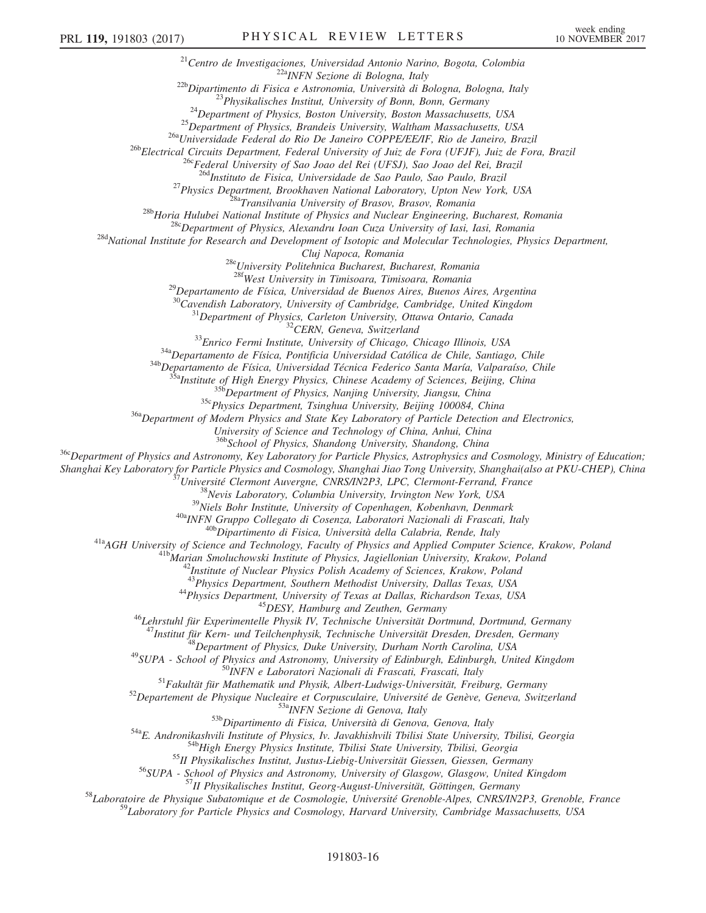<sup>21</sup>Centro de Investigaciones, Universidad Antonio Narino, Bogota, Colombia<br><sup>22</sup>Dipartimento di Fisica e Astronomia, Università di Bologna, Bologna, Italy<br><sup>22</sup>Dipartimento di Fisica e Astronomia, Università di Bologna, Bo <sup>27</sup>Physics Department, Brookhaven National Laboratory, Upton New York, USA<br><sup>28b</sup>Horia Hulubei National Institute of Physics and Nuclear Engineering, Bucharest, Romania<br><sup>28b</sup>Horia Hulubei National Institute of Physics and

Cluj Napoca, Romania<br><sup>28e</sup>University Politehnica Bucharest, Bucharest, Romania<br><sup>28f</sup>West University in Timisoara, Timisoara, Romania

<sup>29</sup>Departamento de Física, Universidad de Buenos Aires, Buenos Aires, Argentina  $\frac{30}{2}$ Cavendish Laboratory, University of Cambridge, Cambridge, United Kingdom

<sup>31</sup>Department of Physics, Carleton University, Ottawa Ontario, Canada<br><sup>32</sup>CERN, Geneva, Switzerland<br><sup>32</sup>SEnrico Fermi Institute, University of Chicago, Chicago Illinois, USA<br><sup>34a</sup>Departamento de Física, Pontificia Univer

University of Science and Technology of China, Anhui, China<br><sup>36b</sup>School of Physics, Shandong University, Shandong, China

<sup>36c</sup>Department of Physics and Astronomy, Key Laboratory for Particle Physics, Astrophysics and Cosmology, Ministry of Education;<br>Shanghai Key Laboratory for Particle Physics and Cosmology, Shanghai Jiao Tong University, S

<sup>37</sup>Université Clermont Auvergne, CNRS/IN2P3, LPC, Clermont-Ferrand, France<br><sup>38</sup>Nevis Laboratory, Columbia University, Irvington New York, USA<br><sup>39</sup>Niels Bohr Institute, University of Copenhagen, Kobenhavn, Denmark<br><sup>40a</sup>IN

<sup>44</sup>Physics Department, University of Texas at Dallas, Richardson Texas, USA<br><sup>45</sup>DESY, Hamburg and Zeuthen, Germany<br><sup>46</sup>Lehrstuhl für Experimentelle Physik IV, Technische Universität Dortmund, Dortmund, Germany<br><sup>47</sup>Instit

<sup>47</sup>Institut für Kern- und Teilchenphysik, Technische Universität Dresden, Dresden, Germany<br><sup>48</sup>Institut für Kern- und Teilchenphysik, Technische University, Durham North Carolina, USA<br><sup>49</sup>SUPA - School of Physics and Ast

<sup>59</sup>Laboratory for Particle Physics and Cosmology, Harvard University, Cambridge Massachusetts, USA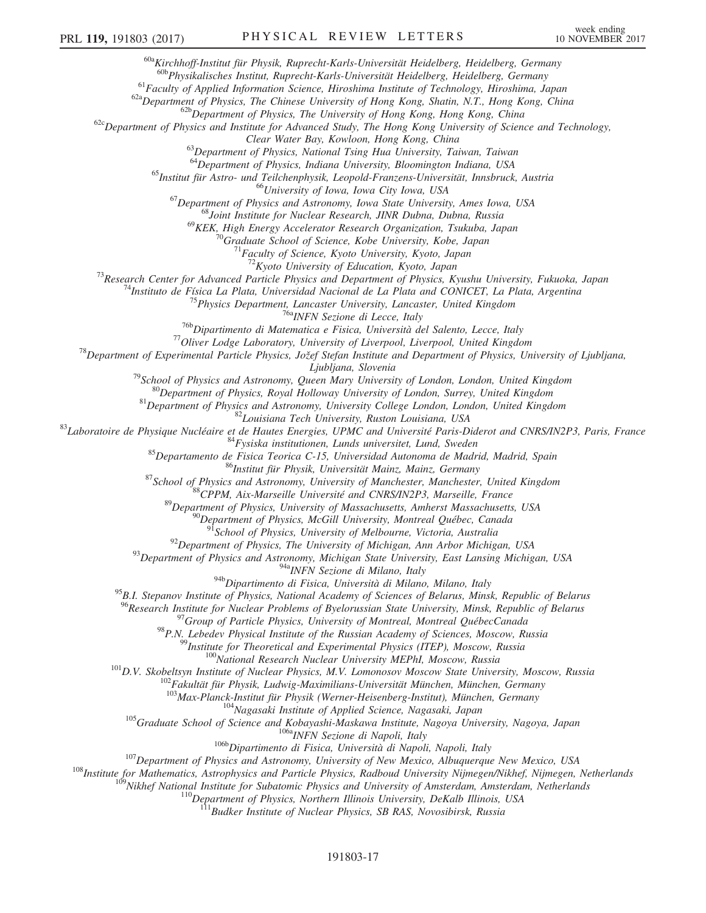<sup>60a</sup>Kirchhoff-Institut für Physik, Ruprecht-Karls-Universität Heidelberg, Heidelberg, Germany<br><sup>60b</sup>Physikalisches Institut, Ruprecht-Karls-Universität Heidelberg, Heidelberg, Germany

<sup>61</sup>Faculty of Applied Information Science, Hiroshima Institute of Technology, Hiroshima, Japan<br><sup>62a</sup>Department of Physics, The Chinese University of Hong Kong, Shatin, N.T., Hong Kong, China<br><sup>62b</sup>Department of Physics an

Clear Water Bay, Kowloon, Hong Kong, China<br><sup>63</sup>Department of Physics, National Tsing Hua University, Taiwan, Taiwan<br><sup>64</sup>Department of Physics, Indiana University, Bloomington Indiana, USA

<sup>65</sup>Institut für Astro- und Teilchenphysik, Leopold-Franzens-Universität, Innsbruck, Austria<br><sup>66</sup>University of Iowa, Iowa City Iowa, USA<br><sup>67</sup>Department of Physics and Astronomy, Iowa State University, Ames Iowa, USA<br><sup>68</sup>J

<sup>69</sup>KEK, High Energy Accelerator Research Organization, Tsukuba, Japan <sup>70</sup>Graduate School of Science, Kobe University, Kobe, Japan <sup>71</sup>Faculty of Science, Kyoto University, Kyoto, Japan <sup>72</sup>Kyoto University of Education,

<sup>73</sup>Research Center for Advanced Particle Physics and Department of Physics, Kyushu University, Fukuoka, Japan<br><sup>74</sup>Instituto de Física La Plata, Universidad Nacional de La Plata and CONICET, La Plata, Argentina<br><sup>75</sup>Physic

*Lipbljana, Slovenia*<br><sup>79</sup>School of Physics and Astronomy, Queen Mary University of London, London, United Kingdom<br><sup>80</sup>Department of Physics, Royal Holloway University of London, Surrey, United Kingdom<br><sup>81</sup>Department of Ph

<sup>94a</sup> $NFN$  Sezione di Milano, Italy<br><sup>94b</sup>Dipartimento di Fisica, Università di Milano, Milano, Italy

<sup>95</sup>B.I. Stepanov Institute of Physics, National Academy of Sciences of Belarus, Minsk, Republic of Belarus<br><sup>96</sup>Research Institute for Nuclear Problems of Byelorussian State University, Minsk, Republic of Belarus

<sup>97</sup>Group of Particle Physics, University of Montreal, Montreal QuébecCanada<br><sup>98</sup>P.N. Lebedev Physical Institute of the Russian Academy of Sciences, Moscow, Russia<br><sup>99</sup>Institute for Theoretical and Experimental Physics (I

<sup>104</sup>Nagasaki Institute of Applied Science, Nagasaki, Japan<br><sup>105</sup>Graduate School of Science and Kobayashi-Maskawa Institute, Nagoya University, Nagoya, Japan<br><sup>106</sup>Dipartimento di Fisica, Università di Napoli, Italy<br><sup>107</sup>D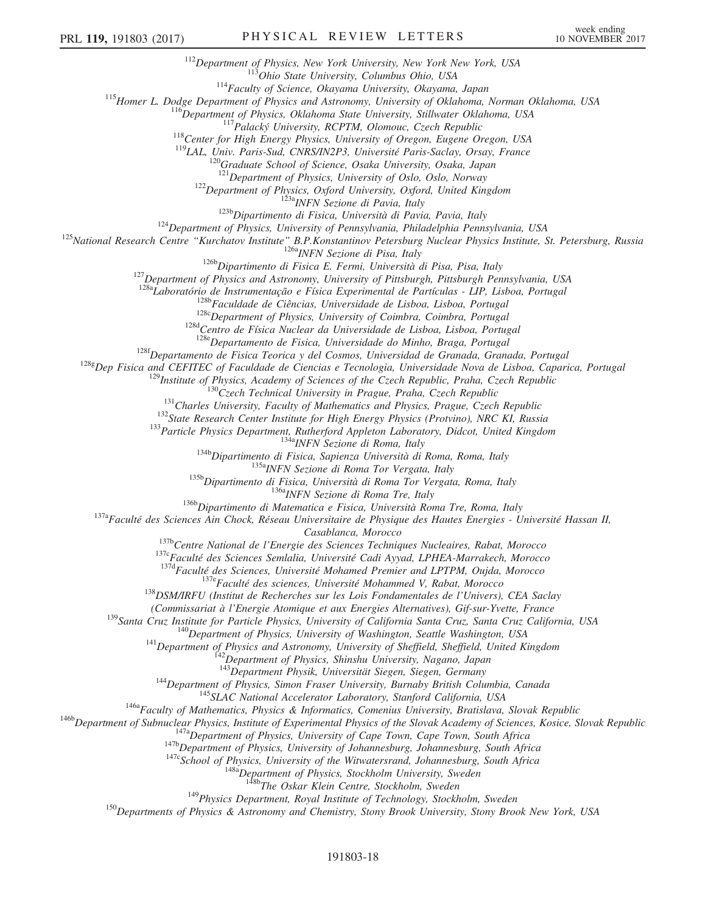<sup>112</sup>Department of Physics, New York University, New York New York, USA<br><sup>113</sup>Ohio State University, Columbus Ohio, USA<br><sup>114</sup>Faculty of Science, Okayama University, Okayama, Japan<br><sup>115</sup>Homer L. Dodge Department of Physics

<sup>122</sup>Department of Physics, Oxford University, Oxford, United Kingdom<br><sup>123b</sup>Dipartment of Physics, Oxford Università di Pavia, Italy<br><sup>123b</sup>Dipartimento di Fisica, Università di Pavia, Pavia, Italy<br><sup>124</sup>Department of Physi

<sup>128a</sup>Laboratório de Instrumentação e Física Experimental de Partículas - LIP, Lisboa, Portugal<br><sup>128b</sup>Faculdade de Ciências, Universidade de Lisboa, Lisboa, Portugal<br><sup>128c</sup>Department of Physics, University of Coimbra, Coi

<sup>128f</sup>Departamento de Fisica Teorica y del Cosmos, Universidad de Granada, Granada, Portugal <sup>128g</sup>Dep Fisica and CEFITEC of Faculdade de Ciencias e Tecnologia, Universidade Nova de Lisboa, Caparica, Portugal

<sup>129</sup>Institute of Physics, Academy of Sciences of the Czech Republic, Praha, Czech Republic<br><sup>130</sup>Czech Technical University in Prague, Praha, Czech Republic<br><sup>131</sup>Charles University, Faculty of Mathematics and Physics, Pra

Casablanca, Morocco<br><sup>137b</sup>Centre National de l'Energie des Sciences Techniques Nucleaires, Rabat, Morocco<br><sup>137c</sup>Faculté des Sciences Semlalia, Université Cadi Ayyad, LPHEA-Marrakech, Morocco<br><sup>137d</sup>Faculté des Sciences, Uni

(Commissariat à l'Energie Atomique et aux Energies Alternatives), Gif-sur-Yvette, France<br>
<sup>139</sup>Santa Cruz Institute for Particle Physics, University of California Santa Cruz, Santa Cruz California, USA<br>
<sup>140</sup>Department of

<sup>144</sup>Department of Physics, Simon Fraser University, Burnaby British Columbia, Canada<br><sup>145</sup>SLAC National Accelerator Laboratory, Stanford California, USA<br><sup>146a</sup>Faculty of Mathematics, Physics & Informatics, Comenius Unive

<sup>149</sup>Physics Department, Royal Institute of Technology, Stockholm, Sweden <sup>150</sup>Departments of Physics & Astronomy and Chemistry, Stony Brook University, Stony Brook New York, USA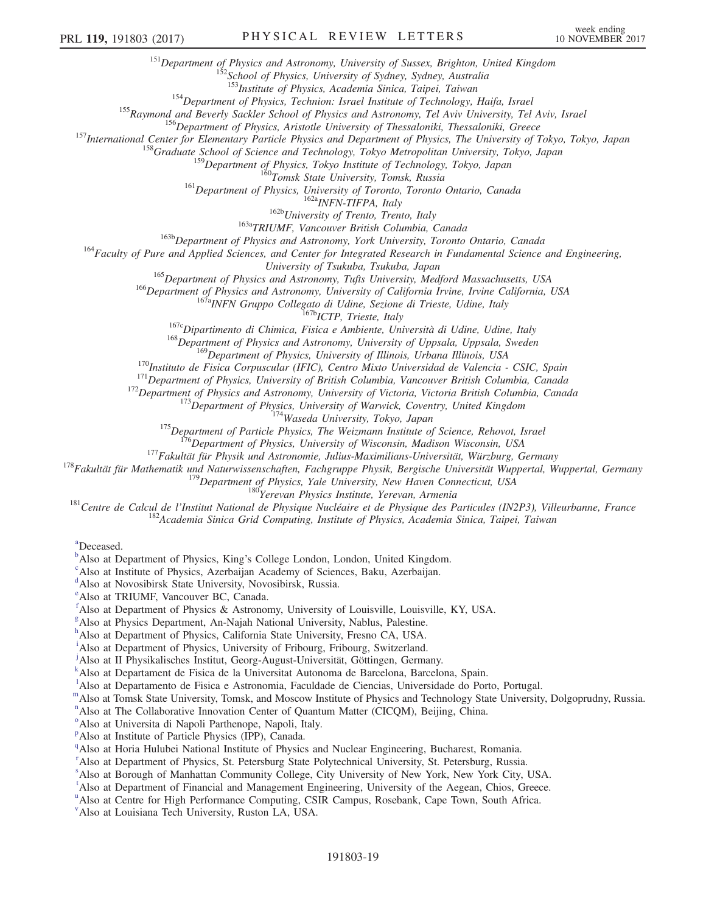<sup>151</sup>Department of Physics and Astronomy, University of Sussex, Brighton, United Kingdom<br><sup>152</sup>School of Physics, University of Sydney, Sydney, Australia<br><sup>153</sup>Institute of Physics, Academia Sinica, Taipei, Taiwan

<sup>154</sup>Department of Physics, Technion: Israel Institute of Technology, Haifa, Israel<br><sup>155</sup>Raymond and Beverly Sackler School of Physics and Astronomy, Tel Aviv University, Tel Aviv, Israel<br><sup>156</sup>Department of Physics, Arist

<sup>161</sup>Department of Physics, University of Toronto, Toronto Ontario, Canada<br><sup>162b</sup>University of Trento, Trento, Italy<br><sup>163b</sup>University of Trento, Italy<br><sup>163b</sup>Department of Physics and Astronomy, York University, Toronto On

<sup>165</sup>Department of Physics and Astronomy, Tufts University, Medford Massachusetts, USA<br><sup>166</sup>Department of Physics and Astronomy, University of California Irvine, Irvine California, USA<br><sup>167a</sup>INFN Gruppo Collegato di Udine

<sup>170</sup>Instituto de Fisica Corpuscular (IFIC), Centro Mixto Universidad de Valencia - CSIC, Spain<br><sup>171</sup>Department of Physics, University of Illinois, Urbana Illinois, USA<br><sup>171</sup>Department of Physics, University of British Co

<span id="page-19-0"></span>[a](#page-7-15) Deceased.

<span id="page-19-1"></span> $\mu^b$  $\mu^b$ Also at Department of Physi[c](#page-7-17)s, King's College London, London, United Kingdom.

<span id="page-19-2"></span>Also at Institute of Physics, Azerbaijan Academy of Sciences, Baku, Azerbaijan.

<span id="page-19-3"></span>[d](#page-7-18) Also at Novosibirsk State University, Novosibirsk, Russia.

<span id="page-19-4"></span>[e](#page-7-19) Also at TRIUMF, Vancouver BC, Canada.

<span id="page-19-5"></span>[f](#page-7-20) Also at Department of Physics & Astronomy, University of Louisville, Louisville, KY, USA.

<span id="page-19-6"></span>[g](#page-8-0) Also at Physics Department, An-Najah National University, Nablus, Palestine.

<span id="page-19-7"></span>[h](#page-8-1) Also at Department of Physics, California State University, Fresno CA, USA.

<span id="page-19-8"></span><sup>[i](#page-8-2)</sup>Also at Department of Physics, University of Fribourg, Fribourg, Switzerland.

<span id="page-19-9"></span>[j](#page-8-3) Also at II Physikalisches Institut, Georg-August-Universität, Göttingen, Germany.

<span id="page-19-10"></span><sup>[k](#page-8-4)</sup>Also at Departament de Fisica de la Universitat Autonoma de Barcelona, Barcelona, Spain.

<span id="page-19-11"></span><sup>1</sup>A[l](#page-8-4)so at Departamento de Fisica e Astronomia, Faculdade de Ciencias, Universidade do Porto, Portugal.

<span id="page-19-13"></span><span id="page-19-12"></span>[m](#page-8-5)Also at Tomsk State University, Tomsk, and Moscow Institute of Physics and Technology State University, Dolgoprudny, Russia.

<sup>[n](#page-8-6)</sup>Also at The Collaborative Innovation Center of Quantum Matter (CICQM), Beijing, China.

<span id="page-19-14"></span><sup>[o](#page-9-0)</sup>Also at Universita di Napoli Parthenope, Napoli, Italy.

<span id="page-19-15"></span><su[p](#page-9-1)>p</sup>Also at Institute of Particle Physics (IPP), Canada.

<span id="page-19-16"></span><sup>[q](#page-9-2)</sup> Also at Horia Hulubei National Institute of Physics and Nuclear Engineering, Bucharest, Romania.

<span id="page-19-17"></span><sup>[r](#page-9-3)</sup> Also at Department of Physics, St. Petersburg State Polytechnical University, St. Petersburg, Russia.

<span id="page-19-18"></span>[s](#page-9-4) Also at Borough of Manhattan Community College, City University of New York, New York City, USA.

<span id="page-19-19"></span><sup>[t](#page-10-0)</sup>Also at Department of Financial and Management Engineering, University of the Aegean, Chios, Greece.

<span id="page-19-20"></span><s[u](#page-10-1)p>u</sup>Also at Centre for High Performance Computing, CSIR Campus, Rosebank, Cape Town, South Africa.

<span id="page-19-21"></span>[v](#page-10-2) Also at Louisiana Tech University, Ruston LA, USA.